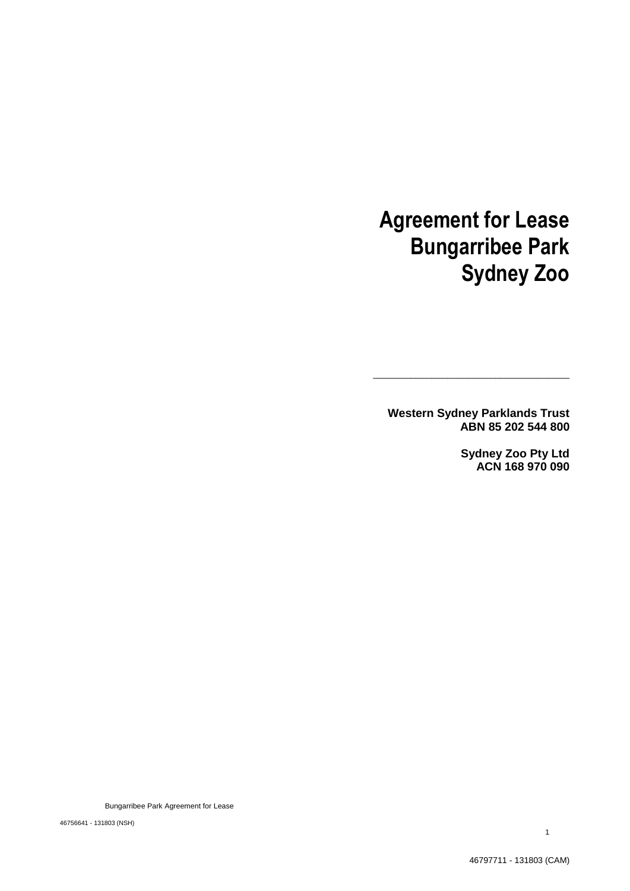# **Agreement for Lease Bungarribee Park Sydney Zoo**

**Western Sydney Parklands Trust ABN 85 202 544 800**

**\_\_\_\_\_\_\_\_\_\_\_\_\_\_\_\_\_\_\_\_\_\_\_\_\_\_\_\_\_\_\_\_\_\_\_\_\_**

**Sydney Zoo Pty Ltd ACN 168 970 090**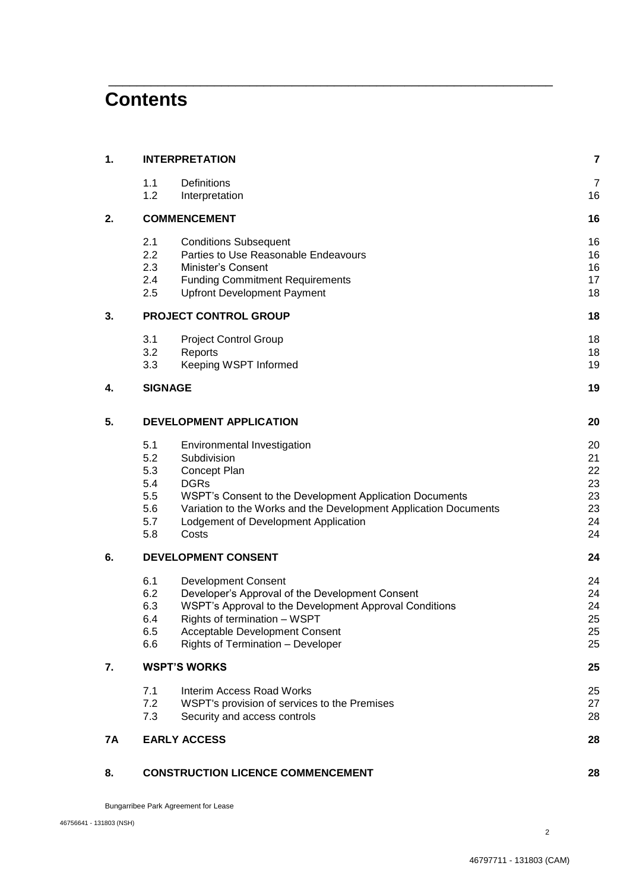## **Contents**

| 1. | <b>INTERPRETATION</b>        |                                                                            |                      |
|----|------------------------------|----------------------------------------------------------------------------|----------------------|
|    | 1.1<br>1.2                   | Definitions<br>Interpretation                                              | $\overline{7}$<br>16 |
| 2. | <b>COMMENCEMENT</b>          |                                                                            |                      |
|    | 2.1                          | <b>Conditions Subsequent</b>                                               | 16                   |
|    | 2.2                          | Parties to Use Reasonable Endeavours                                       | 16                   |
|    | 2.3                          | Minister's Consent                                                         | 16                   |
|    | 2.4                          | <b>Funding Commitment Requirements</b>                                     | 17                   |
|    | 2.5                          | <b>Upfront Development Payment</b>                                         | 18                   |
| 3. | <b>PROJECT CONTROL GROUP</b> |                                                                            |                      |
|    | 3.1                          | <b>Project Control Group</b>                                               | 18                   |
|    | 3.2                          | Reports                                                                    | 18                   |
|    | 3.3                          | Keeping WSPT Informed                                                      | 19                   |
| 4. | <b>SIGNAGE</b>               |                                                                            | 19                   |
| 5. |                              | DEVELOPMENT APPLICATION                                                    | 20                   |
|    | 5.1                          | Environmental Investigation                                                | 20                   |
|    | 5.2                          | Subdivision                                                                | 21                   |
|    | 5.3                          | Concept Plan                                                               | 22                   |
|    | 5.4                          | <b>DGRs</b>                                                                | 23                   |
|    | 5.5                          | WSPT's Consent to the Development Application Documents                    | 23                   |
|    | 5.6                          | Variation to the Works and the Development Application Documents           | 23                   |
|    | 5.7                          | Lodgement of Development Application                                       | 24                   |
|    | 5.8                          | Costs                                                                      | 24                   |
| 6. | DEVELOPMENT CONSENT          |                                                                            |                      |
|    | 6.1                          | <b>Development Consent</b>                                                 | 24                   |
|    | 6.2                          | Developer's Approval of the Development Consent                            | 24                   |
|    | 6.3                          | WSPT's Approval to the Development Approval Conditions                     | 24                   |
|    | 6.4                          | Rights of termination - WSPT                                               | 25                   |
|    | 6.5<br>6.6                   | Acceptable Development Consent<br><b>Rights of Termination - Developer</b> | 25<br>25             |
| 7. | <b>WSPT'S WORKS</b>          |                                                                            |                      |
|    | 7.1                          | Interim Access Road Works                                                  | 25                   |
|    | 7.2                          | WSPT's provision of services to the Premises                               | 27                   |
|    | 7.3                          | Security and access controls                                               | 28                   |
| 7A |                              | <b>EARLY ACCESS</b>                                                        | 28                   |
| 8. |                              | <b>CONSTRUCTION LICENCE COMMENCEMENT</b>                                   | 28                   |

\_\_\_\_\_\_\_\_\_\_\_\_\_\_\_\_\_\_\_\_\_\_\_\_\_\_\_\_\_\_\_\_\_\_\_\_\_\_\_\_\_\_\_\_\_\_\_\_\_\_\_\_\_\_\_\_\_\_\_\_\_\_\_

Bungarribee Park Agreement for Lease

2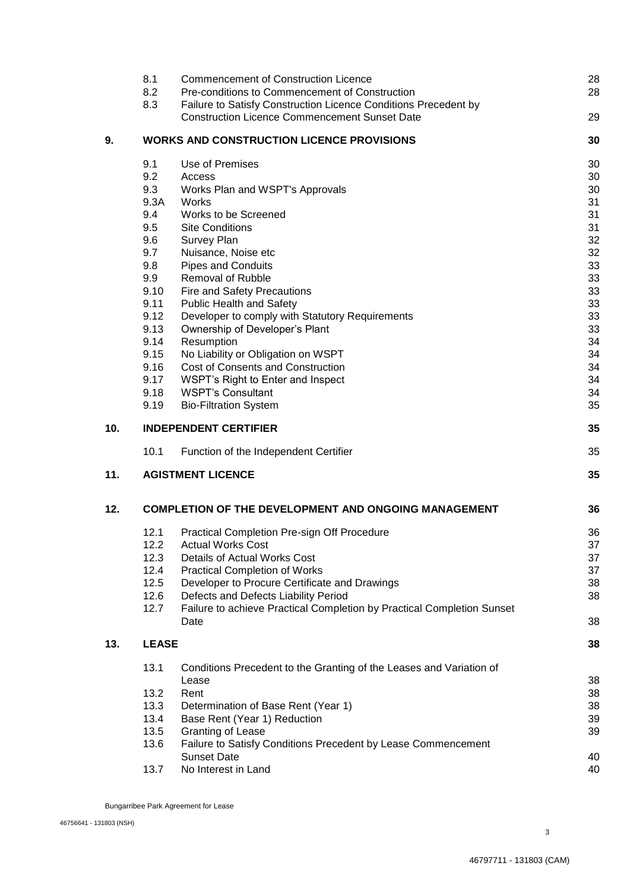|     | 8.1          | <b>Commencement of Construction Licence</b>                            | 28 |
|-----|--------------|------------------------------------------------------------------------|----|
|     | 8.2          | Pre-conditions to Commencement of Construction                         | 28 |
|     | 8.3          | Failure to Satisfy Construction Licence Conditions Precedent by        |    |
|     |              | <b>Construction Licence Commencement Sunset Date</b>                   | 29 |
| 9.  |              | <b>WORKS AND CONSTRUCTION LICENCE PROVISIONS</b>                       | 30 |
|     | 9.1          | Use of Premises                                                        | 30 |
|     | 9.2          | Access                                                                 | 30 |
|     | 9.3          | Works Plan and WSPT's Approvals                                        | 30 |
|     | 9.3A         | Works                                                                  | 31 |
|     | 9.4          | Works to be Screened                                                   | 31 |
|     | 9.5          | <b>Site Conditions</b>                                                 | 31 |
|     | 9.6          | Survey Plan                                                            | 32 |
|     | 9.7          | Nuisance, Noise etc                                                    | 32 |
|     | 9.8          | <b>Pipes and Conduits</b>                                              | 33 |
|     | 9.9          | <b>Removal of Rubble</b>                                               | 33 |
|     | 9.10         | Fire and Safety Precautions                                            | 33 |
|     | 9.11         | <b>Public Health and Safety</b>                                        | 33 |
|     | 9.12         | Developer to comply with Statutory Requirements                        | 33 |
|     | 9.13         | Ownership of Developer's Plant                                         | 33 |
|     | 9.14         | Resumption                                                             | 34 |
|     | 9.15         | No Liability or Obligation on WSPT                                     | 34 |
|     | 9.16         | <b>Cost of Consents and Construction</b>                               | 34 |
|     | 9.17         | WSPT's Right to Enter and Inspect                                      | 34 |
|     | 9.18         | <b>WSPT's Consultant</b>                                               | 34 |
|     | 9.19         | <b>Bio-Filtration System</b>                                           | 35 |
| 10. |              | <b>INDEPENDENT CERTIFIER</b>                                           | 35 |
|     | 10.1         | Function of the Independent Certifier                                  | 35 |
| 11. |              | <b>AGISTMENT LICENCE</b>                                               | 35 |
| 12. |              | <b>COMPLETION OF THE DEVELOPMENT AND ONGOING MANAGEMENT</b>            | 36 |
|     | 12.1         | Practical Completion Pre-sign Off Procedure                            | 36 |
|     | 12.2         | <b>Actual Works Cost</b>                                               | 37 |
|     | 12.3         | Details of Actual Works Cost                                           | 37 |
|     | 12.4         | <b>Practical Completion of Works</b>                                   | 37 |
|     | 12.5         | Developer to Procure Certificate and Drawings                          | 38 |
|     | 12.6         | Defects and Defects Liability Period                                   | 38 |
|     | 12.7         | Failure to achieve Practical Completion by Practical Completion Sunset |    |
|     |              | Date                                                                   | 38 |
| 13. | <b>LEASE</b> |                                                                        |    |
|     | 13.1         | Conditions Precedent to the Granting of the Leases and Variation of    |    |
|     |              | Lease                                                                  | 38 |
|     | 13.2         | Rent                                                                   | 38 |
|     | 13.3         | Determination of Base Rent (Year 1)                                    | 38 |
|     | 13.4         | Base Rent (Year 1) Reduction                                           | 39 |
|     | 13.5         | Granting of Lease                                                      | 39 |
|     | 13.6         | Failure to Satisfy Conditions Precedent by Lease Commencement          |    |
|     |              | <b>Sunset Date</b>                                                     | 40 |
|     | 13.7         | No Interest in Land                                                    | 40 |
|     |              |                                                                        |    |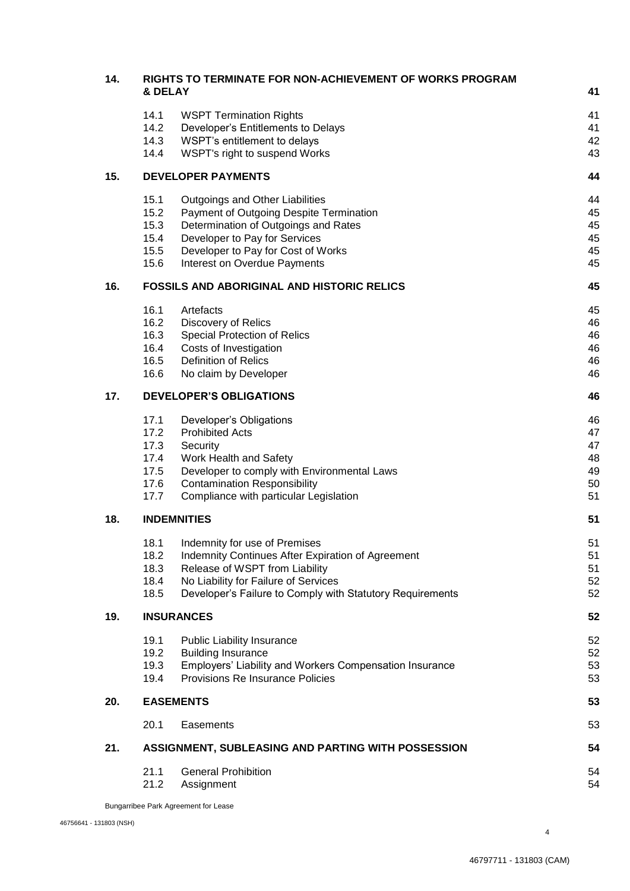| 14. | RIGHTS TO TERMINATE FOR NON-ACHIEVEMENT OF WORKS PROGRAM<br>& DELAY |                                                                                                   |          |  |
|-----|---------------------------------------------------------------------|---------------------------------------------------------------------------------------------------|----------|--|
|     |                                                                     |                                                                                                   | 41       |  |
|     | 14.1                                                                | <b>WSPT Termination Rights</b>                                                                    | 41       |  |
|     | 14.2                                                                | Developer's Entitlements to Delays                                                                | 41       |  |
|     | 14.3<br>14.4                                                        | WSPT's entitlement to delays<br>WSPT's right to suspend Works                                     | 42<br>43 |  |
|     |                                                                     |                                                                                                   |          |  |
| 15. |                                                                     | <b>DEVELOPER PAYMENTS</b>                                                                         | 44       |  |
|     | 15.1                                                                | Outgoings and Other Liabilities                                                                   | 44       |  |
|     | 15.2                                                                | Payment of Outgoing Despite Termination                                                           | 45       |  |
|     | 15.3<br>15.4                                                        | Determination of Outgoings and Rates<br>Developer to Pay for Services                             | 45<br>45 |  |
|     | 15.5                                                                | Developer to Pay for Cost of Works                                                                | 45       |  |
|     | 15.6                                                                | Interest on Overdue Payments                                                                      | 45       |  |
| 16. | <b>FOSSILS AND ABORIGINAL AND HISTORIC RELICS</b>                   |                                                                                                   |          |  |
|     | 16.1                                                                | Artefacts                                                                                         | 45       |  |
|     | 16.2                                                                | Discovery of Relics                                                                               | 46       |  |
|     | 16.3                                                                | Special Protection of Relics                                                                      | 46       |  |
|     | 16.4<br>16.5                                                        | Costs of Investigation<br><b>Definition of Relics</b>                                             | 46       |  |
|     | 16.6                                                                | No claim by Developer                                                                             | 46<br>46 |  |
| 17. |                                                                     |                                                                                                   |          |  |
|     |                                                                     | <b>DEVELOPER'S OBLIGATIONS</b>                                                                    | 46       |  |
|     | 17.1                                                                | Developer's Obligations                                                                           | 46       |  |
|     | 17.2                                                                | <b>Prohibited Acts</b>                                                                            | 47       |  |
|     | 17.3<br>17.4                                                        | Security<br>Work Health and Safety                                                                | 47<br>48 |  |
|     | 17.5                                                                | Developer to comply with Environmental Laws                                                       | 49       |  |
|     | 17.6                                                                | <b>Contamination Responsibility</b>                                                               | 50       |  |
|     | 17.7                                                                | Compliance with particular Legislation                                                            | 51       |  |
| 18. |                                                                     | <b>INDEMNITIES</b>                                                                                | 51       |  |
|     | 18.1                                                                | Indemnity for use of Premises                                                                     | 51       |  |
|     | 18.2                                                                | Indemnity Continues After Expiration of Agreement                                                 | 51       |  |
|     | 18.3                                                                | Release of WSPT from Liability                                                                    | 51       |  |
|     | 18.4<br>18.5                                                        | No Liability for Failure of Services<br>Developer's Failure to Comply with Statutory Requirements | 52<br>52 |  |
| 19. |                                                                     |                                                                                                   |          |  |
|     |                                                                     | <b>INSURANCES</b>                                                                                 | 52       |  |
|     | 19.1                                                                | <b>Public Liability Insurance</b>                                                                 | 52       |  |
|     | 19.2                                                                | <b>Building Insurance</b><br>Employers' Liability and Workers Compensation Insurance              | 52       |  |
|     | 19.3<br>19.4                                                        | Provisions Re Insurance Policies                                                                  | 53<br>53 |  |
| 20. |                                                                     | <b>EASEMENTS</b>                                                                                  | 53       |  |
|     | 20.1                                                                | Easements                                                                                         | 53       |  |
| 21. |                                                                     | ASSIGNMENT, SUBLEASING AND PARTING WITH POSSESSION                                                | 54       |  |
|     | 21.1                                                                | <b>General Prohibition</b>                                                                        | 54       |  |
|     | 21.2                                                                | Assignment                                                                                        | 54       |  |
|     | Bungarribee Park Agreement for Lease                                |                                                                                                   |          |  |

4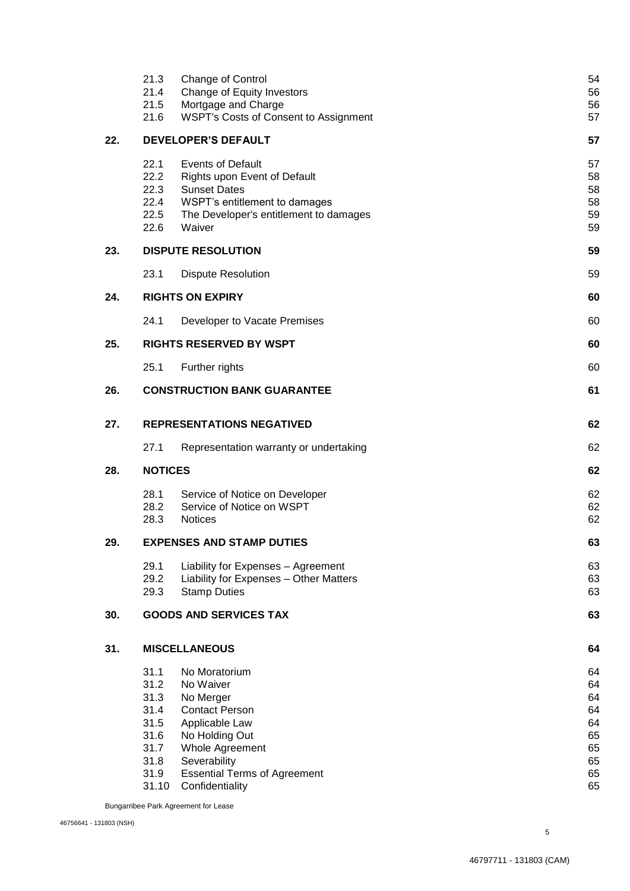|     | 21.3<br>21.4<br>21.5<br>21.6                                                  | Change of Control<br>Change of Equity Investors<br>Mortgage and Charge<br>WSPT's Costs of Consent to Assignment                                                                                   | 54<br>56<br>56<br>57                                     |  |
|-----|-------------------------------------------------------------------------------|---------------------------------------------------------------------------------------------------------------------------------------------------------------------------------------------------|----------------------------------------------------------|--|
| 22. | <b>DEVELOPER'S DEFAULT</b>                                                    |                                                                                                                                                                                                   |                                                          |  |
|     | 22.1<br>22.2<br>22.3<br>22.4<br>22.5<br>22.6                                  | <b>Events of Default</b><br>Rights upon Event of Default<br><b>Sunset Dates</b><br>WSPT's entitlement to damages<br>The Developer's entitlement to damages<br>Waiver                              | 57<br>58<br>58<br>58<br><b>59</b><br><b>59</b>           |  |
| 23. |                                                                               | <b>DISPUTE RESOLUTION</b>                                                                                                                                                                         | 59                                                       |  |
|     | 23.1                                                                          | <b>Dispute Resolution</b>                                                                                                                                                                         | <b>59</b>                                                |  |
| 24. |                                                                               | <b>RIGHTS ON EXPIRY</b>                                                                                                                                                                           | 60                                                       |  |
|     | 24.1                                                                          | Developer to Vacate Premises                                                                                                                                                                      | <b>60</b>                                                |  |
| 25. |                                                                               | <b>RIGHTS RESERVED BY WSPT</b>                                                                                                                                                                    | 60                                                       |  |
|     | 25.1                                                                          | Further rights                                                                                                                                                                                    | 60                                                       |  |
| 26. |                                                                               | <b>CONSTRUCTION BANK GUARANTEE</b>                                                                                                                                                                | 61                                                       |  |
| 27. |                                                                               | <b>REPRESENTATIONS NEGATIVED</b>                                                                                                                                                                  |                                                          |  |
|     | 27.1                                                                          | Representation warranty or undertaking                                                                                                                                                            | 62                                                       |  |
| 28. | <b>NOTICES</b>                                                                |                                                                                                                                                                                                   |                                                          |  |
|     | 28.1<br>28.2<br>28.3                                                          | Service of Notice on Developer<br>Service of Notice on WSPT<br><b>Notices</b>                                                                                                                     | 62<br>62<br>62                                           |  |
| 29. |                                                                               | <b>EXPENSES AND STAMP DUTIES</b>                                                                                                                                                                  | 63                                                       |  |
|     | 29.1<br>29.2<br>29.3                                                          | Liability for Expenses - Agreement<br>Liability for Expenses - Other Matters<br><b>Stamp Duties</b>                                                                                               | 63<br>63<br>63                                           |  |
| 30. |                                                                               | <b>GOODS AND SERVICES TAX</b>                                                                                                                                                                     | 63                                                       |  |
| 31. |                                                                               | <b>MISCELLANEOUS</b>                                                                                                                                                                              | 64                                                       |  |
|     | 31.1<br>31.2<br>31.3<br>31.4<br>31.5<br>31.6<br>31.7<br>31.8<br>31.9<br>31.10 | No Moratorium<br>No Waiver<br>No Merger<br><b>Contact Person</b><br>Applicable Law<br>No Holding Out<br>Whole Agreement<br>Severability<br><b>Essential Terms of Agreement</b><br>Confidentiality | 64<br>64<br>64<br>64<br>64<br>65<br>65<br>65<br>65<br>65 |  |

Bungarribee Park Agreement for Lease

5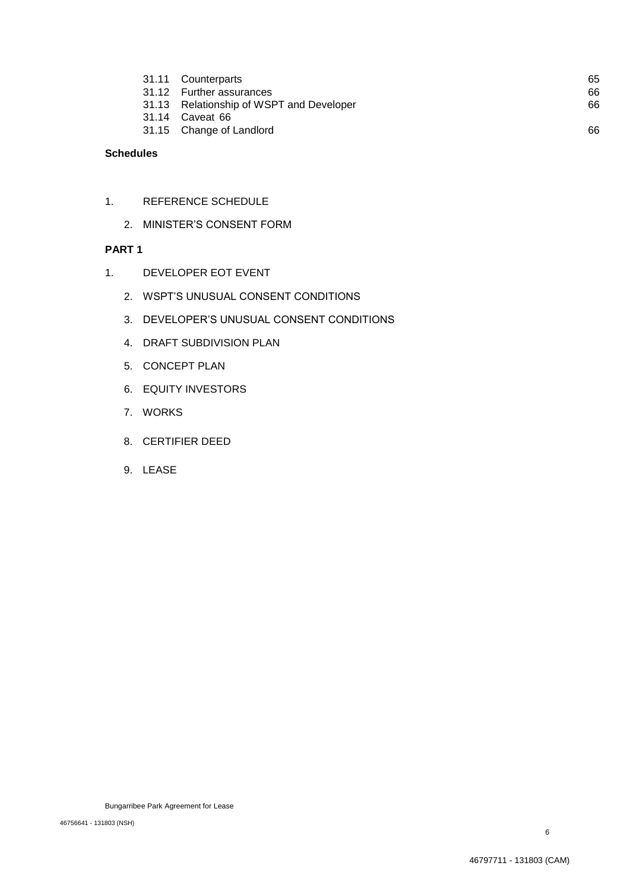|  | 31.11 Counterparts                       | 65 |
|--|------------------------------------------|----|
|  | 31.12 Further assurances                 | 66 |
|  | 31.13 Relationship of WSPT and Developer | 66 |
|  | 31.14 Caveat 66                          |    |
|  | 31.15 Change of Landlord                 | 66 |
|  |                                          |    |

## **Schedules**

- 1. REFERENCE SCHEDULE
	- 2. MINISTER'S CONSENT FORM

## **PART 1**

- 1. DEVELOPER EOT EVENT
	- 2. WSPT'S UNUSUAL CONSENT CONDITIONS
	- 3. DEVELOPER'S UNUSUAL CONSENT CONDITIONS
	- 4. DRAFT SUBDIVISION PLAN
	- 5. CONCEPT PLAN
	- 6. EQUITY INVESTORS
	- 7. WORKS
	- 8. CERTIFIER DEED
	- 9. LEASE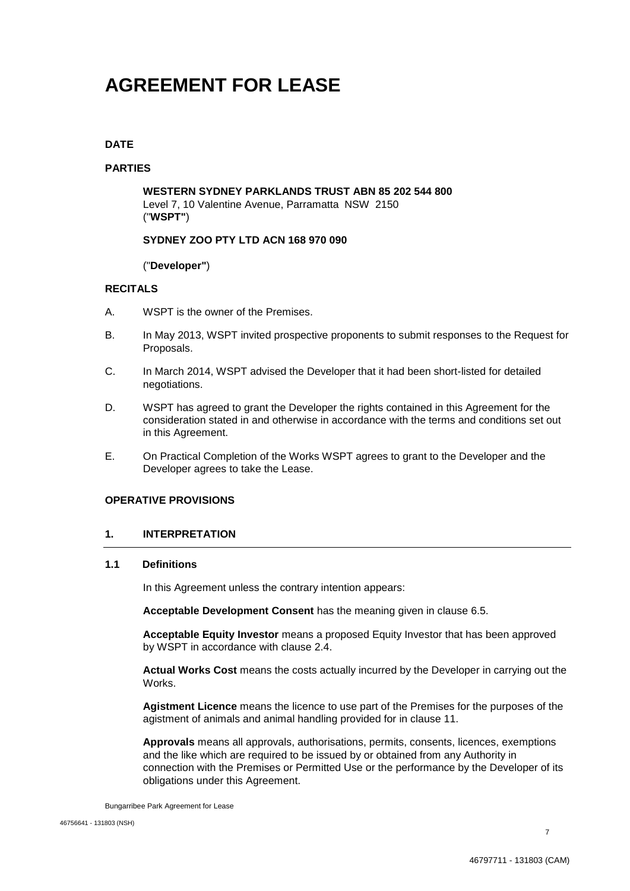## **AGREEMENT FOR LEASE**

## **DATE**

## **PARTIES**

**WESTERN SYDNEY PARKLANDS TRUST ABN 85 202 544 800** Level 7, 10 Valentine Avenue, Parramatta NSW 2150 ("**WSPT"**)

## **SYDNEY ZOO PTY LTD ACN 168 970 090**

## ("**Developer"**)

## **RECITALS**

- A. WSPT is the owner of the Premises.
- B. In May 2013, WSPT invited prospective proponents to submit responses to the Request for Proposals.
- C. In March 2014, WSPT advised the Developer that it had been short-listed for detailed negotiations.
- D. WSPT has agreed to grant the Developer the rights contained in this Agreement for the consideration stated in and otherwise in accordance with the terms and conditions set out in this Agreement.
- E. On Practical Completion of the Works WSPT agrees to grant to the Developer and the Developer agrees to take the Lease.

## **OPERATIVE PROVISIONS**

## **1. INTERPRETATION**

## **1.1 Definitions**

In this Agreement unless the contrary intention appears:

**Acceptable Development Consent** has the meaning given in clause 6.5.

**Acceptable Equity Investor** means a proposed Equity Investor that has been approved by WSPT in accordance with clause 2.4.

**Actual Works Cost** means the costs actually incurred by the Developer in carrying out the Works.

**Agistment Licence** means the licence to use part of the Premises for the purposes of the agistment of animals and animal handling provided for in clause 11.

**Approvals** means all approvals, authorisations, permits, consents, licences, exemptions and the like which are required to be issued by or obtained from any Authority in connection with the Premises or Permitted Use or the performance by the Developer of its obligations under this Agreement.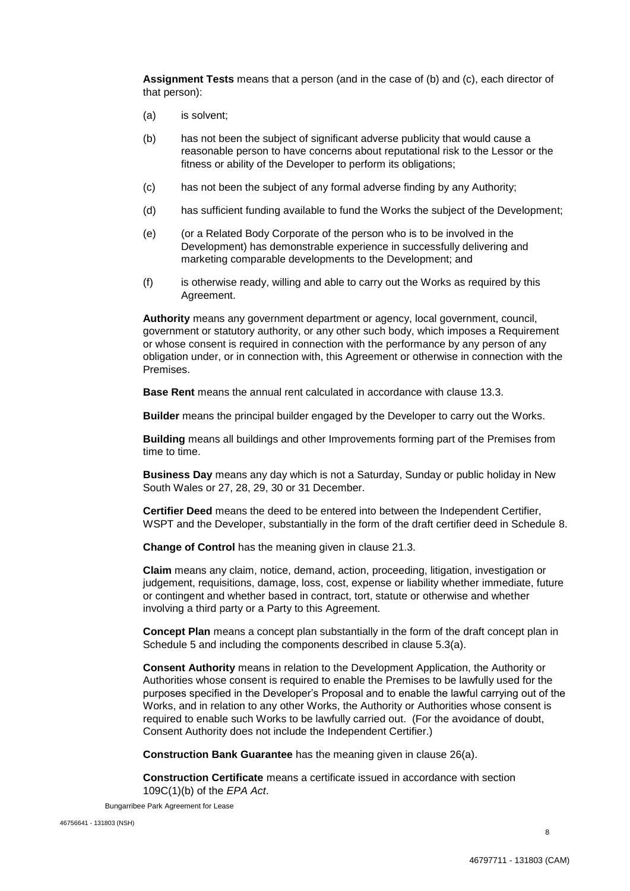**Assignment Tests** means that a person (and in the case of (b) and (c), each director of that person):

- (a) is solvent;
- (b) has not been the subject of significant adverse publicity that would cause a reasonable person to have concerns about reputational risk to the Lessor or the fitness or ability of the Developer to perform its obligations;
- (c) has not been the subject of any formal adverse finding by any Authority;
- (d) has sufficient funding available to fund the Works the subject of the Development;
- (e) (or a Related Body Corporate of the person who is to be involved in the Development) has demonstrable experience in successfully delivering and marketing comparable developments to the Development; and
- (f) is otherwise ready, willing and able to carry out the Works as required by this Agreement.

**Authority** means any government department or agency, local government, council, government or statutory authority, or any other such body, which imposes a Requirement or whose consent is required in connection with the performance by any person of any obligation under, or in connection with, this Agreement or otherwise in connection with the Premises.

**Base Rent** means the annual rent calculated in accordance with clause 13.3.

**Builder** means the principal builder engaged by the Developer to carry out the Works.

**Building** means all buildings and other Improvements forming part of the Premises from time to time.

**Business Day** means any day which is not a Saturday, Sunday or public holiday in New South Wales or 27, 28, 29, 30 or 31 December.

**Certifier Deed** means the deed to be entered into between the Independent Certifier, WSPT and the Developer, substantially in the form of the draft certifier deed in Schedule 8.

**Change of Control** has the meaning given in clause 21.3.

**Claim** means any claim, notice, demand, action, proceeding, litigation, investigation or judgement, requisitions, damage, loss, cost, expense or liability whether immediate, future or contingent and whether based in contract, tort, statute or otherwise and whether involving a third party or a Party to this Agreement.

**Concept Plan** means a concept plan substantially in the form of the draft concept plan in Schedule 5 and including the components described in clause 5.3(a).

**Consent Authority** means in relation to the Development Application, the Authority or Authorities whose consent is required to enable the Premises to be lawfully used for the purposes specified in the Developer's Proposal and to enable the lawful carrying out of the Works, and in relation to any other Works, the Authority or Authorities whose consent is required to enable such Works to be lawfully carried out. (For the avoidance of doubt, Consent Authority does not include the Independent Certifier.)

**Construction Bank Guarantee** has the meaning given in clause 26(a).

**Construction Certificate** means a certificate issued in accordance with section 109C(1)(b) of the *EPA Act*.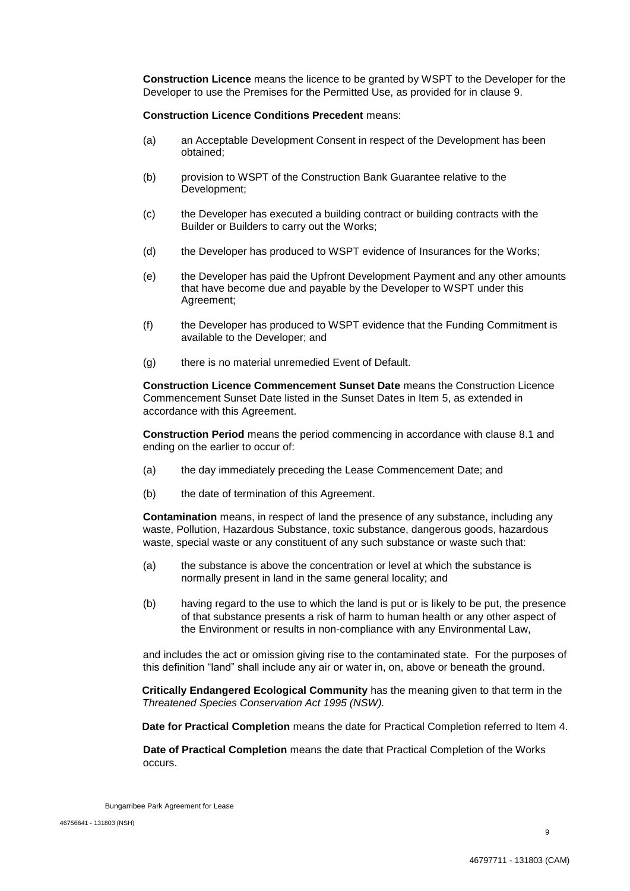**Construction Licence** means the licence to be granted by WSPT to the Developer for the Developer to use the Premises for the Permitted Use, as provided for in clause 9.

#### **Construction Licence Conditions Precedent** means:

- (a) an Acceptable Development Consent in respect of the Development has been obtained;
- (b) provision to WSPT of the Construction Bank Guarantee relative to the Development;
- (c) the Developer has executed a building contract or building contracts with the Builder or Builders to carry out the Works;
- (d) the Developer has produced to WSPT evidence of Insurances for the Works;
- (e) the Developer has paid the Upfront Development Payment and any other amounts that have become due and payable by the Developer to WSPT under this Agreement;
- (f) the Developer has produced to WSPT evidence that the Funding Commitment is available to the Developer; and
- (g) there is no material unremedied Event of Default.

**Construction Licence Commencement Sunset Date** means the Construction Licence Commencement Sunset Date listed in the Sunset Dates in Item 5, as extended in accordance with this Agreement.

**Construction Period** means the period commencing in accordance with clause 8.1 and ending on the earlier to occur of:

- (a) the day immediately preceding the Lease Commencement Date; and
- (b) the date of termination of this Agreement.

**Contamination** means, in respect of land the presence of any substance, including any waste, Pollution, Hazardous Substance, toxic substance, dangerous goods, hazardous waste, special waste or any constituent of any such substance or waste such that:

- (a) the substance is above the concentration or level at which the substance is normally present in land in the same general locality; and
- (b) having regard to the use to which the land is put or is likely to be put, the presence of that substance presents a risk of harm to human health or any other aspect of the Environment or results in non-compliance with any Environmental Law,

and includes the act or omission giving rise to the contaminated state. For the purposes of this definition "land" shall include any air or water in, on, above or beneath the ground.

**Critically Endangered Ecological Community** has the meaning given to that term in the *Threatened Species Conservation Act 1995 (NSW).*

**Date for Practical Completion** means the date for Practical Completion referred to Item 4.

**Date of Practical Completion** means the date that Practical Completion of the Works occurs.

Bungarribee Park Agreement for Lease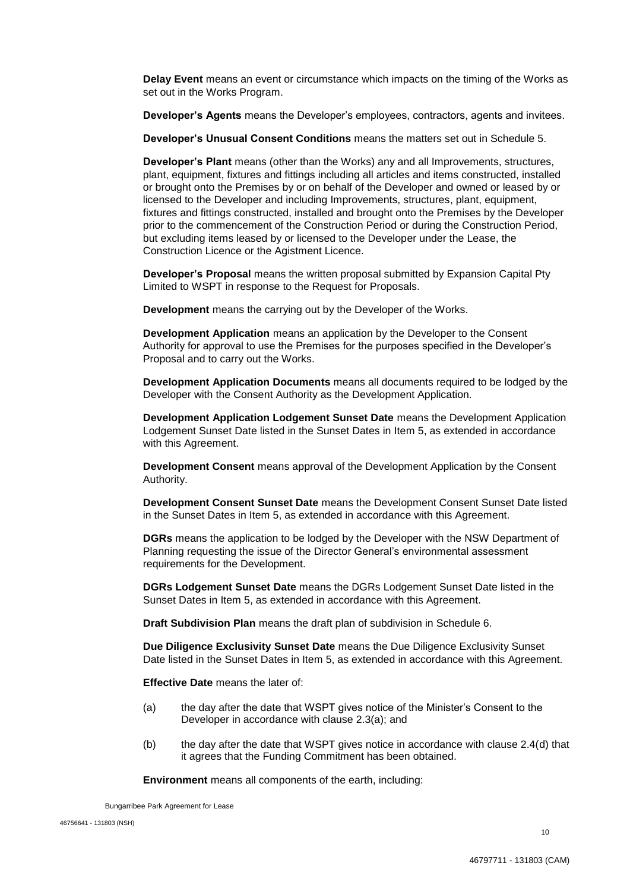**Delay Event** means an event or circumstance which impacts on the timing of the Works as set out in the Works Program.

**Developer's Agents** means the Developer's employees, contractors, agents and invitees.

**Developer's Unusual Consent Conditions** means the matters set out in Schedule 5.

**Developer's Plant** means (other than the Works) any and all Improvements, structures, plant, equipment, fixtures and fittings including all articles and items constructed, installed or brought onto the Premises by or on behalf of the Developer and owned or leased by or licensed to the Developer and including Improvements, structures, plant, equipment, fixtures and fittings constructed, installed and brought onto the Premises by the Developer prior to the commencement of the Construction Period or during the Construction Period, but excluding items leased by or licensed to the Developer under the Lease, the Construction Licence or the Agistment Licence.

**Developer's Proposal** means the written proposal submitted by Expansion Capital Pty Limited to WSPT in response to the Request for Proposals.

**Development** means the carrying out by the Developer of the Works.

**Development Application** means an application by the Developer to the Consent Authority for approval to use the Premises for the purposes specified in the Developer's Proposal and to carry out the Works.

**Development Application Documents** means all documents required to be lodged by the Developer with the Consent Authority as the Development Application.

**Development Application Lodgement Sunset Date** means the Development Application Lodgement Sunset Date listed in the Sunset Dates in Item 5, as extended in accordance with this Agreement.

**Development Consent** means approval of the Development Application by the Consent Authority.

**Development Consent Sunset Date** means the Development Consent Sunset Date listed in the Sunset Dates in Item 5, as extended in accordance with this Agreement.

**DGRs** means the application to be lodged by the Developer with the NSW Department of Planning requesting the issue of the Director General's environmental assessment requirements for the Development.

**DGRs Lodgement Sunset Date** means the DGRs Lodgement Sunset Date listed in the Sunset Dates in Item 5, as extended in accordance with this Agreement.

**Draft Subdivision Plan** means the draft plan of subdivision in Schedule 6.

**Due Diligence Exclusivity Sunset Date** means the Due Diligence Exclusivity Sunset Date listed in the Sunset Dates in Item 5, as extended in accordance with this Agreement.

**Effective Date** means the later of:

- (a) the day after the date that WSPT gives notice of the Minister's Consent to the Developer in accordance with clause 2.3(a); and
- (b) the day after the date that WSPT gives notice in accordance with clause 2.4(d) that it agrees that the Funding Commitment has been obtained.

**Environment** means all components of the earth, including: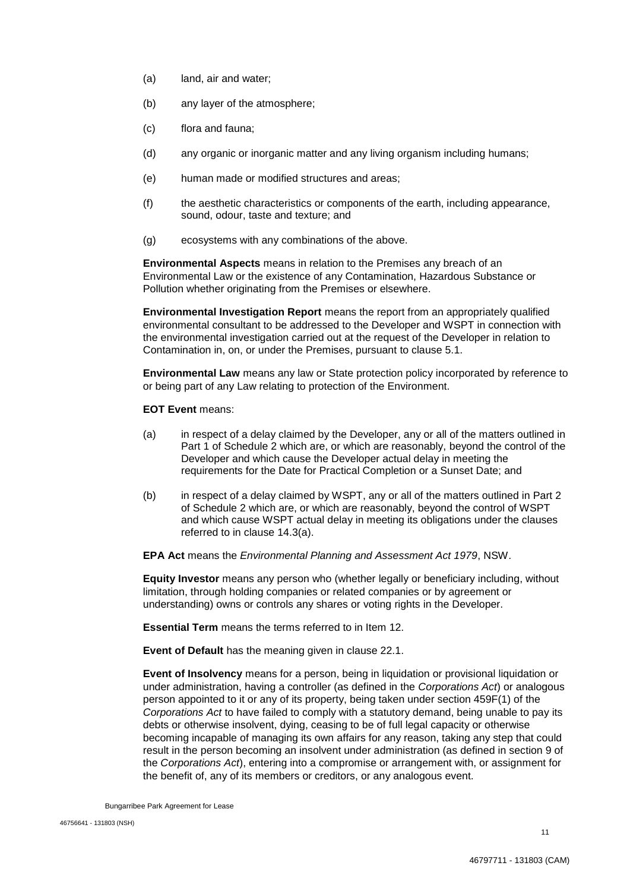- (a) land, air and water;
- (b) any layer of the atmosphere;
- (c) flora and fauna;
- (d) any organic or inorganic matter and any living organism including humans;
- (e) human made or modified structures and areas;
- (f) the aesthetic characteristics or components of the earth, including appearance, sound, odour, taste and texture; and
- (g) ecosystems with any combinations of the above.

**Environmental Aspects** means in relation to the Premises any breach of an Environmental Law or the existence of any Contamination, Hazardous Substance or Pollution whether originating from the Premises or elsewhere.

**Environmental Investigation Report** means the report from an appropriately qualified environmental consultant to be addressed to the Developer and WSPT in connection with the environmental investigation carried out at the request of the Developer in relation to Contamination in, on, or under the Premises, pursuant to clause 5.1.

**Environmental Law** means any law or State protection policy incorporated by reference to or being part of any Law relating to protection of the Environment.

**EOT Event** means:

- (a) in respect of a delay claimed by the Developer, any or all of the matters outlined in Part 1 of Schedule 2 which are, or which are reasonably, beyond the control of the Developer and which cause the Developer actual delay in meeting the requirements for the Date for Practical Completion or a Sunset Date; and
- (b) in respect of a delay claimed by WSPT, any or all of the matters outlined in Part 2 of Schedule 2 which are, or which are reasonably, beyond the control of WSPT and which cause WSPT actual delay in meeting its obligations under the clauses referred to in clause 14.3(a).

**EPA Act** means the *Environmental Planning and Assessment Act 1979*, NSW.

**Equity Investor** means any person who (whether legally or beneficiary including, without limitation, through holding companies or related companies or by agreement or understanding) owns or controls any shares or voting rights in the Developer.

**Essential Term** means the terms referred to in Item 12.

**Event of Default** has the meaning given in clause 22.1.

**Event of Insolvency** means for a person, being in liquidation or provisional liquidation or under administration, having a controller (as defined in the *Corporations Act*) or analogous person appointed to it or any of its property, being taken under section 459F(1) of the *Corporations Act* to have failed to comply with a statutory demand, being unable to pay its debts or otherwise insolvent, dying, ceasing to be of full legal capacity or otherwise becoming incapable of managing its own affairs for any reason, taking any step that could result in the person becoming an insolvent under administration (as defined in section 9 of the *Corporations Act*), entering into a compromise or arrangement with, or assignment for the benefit of, any of its members or creditors, or any analogous event.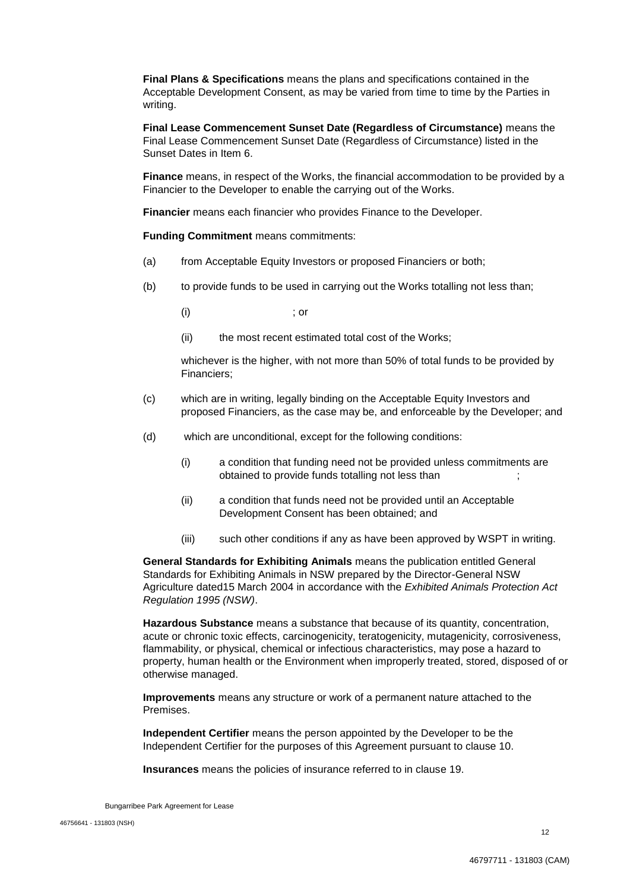**Final Plans & Specifications** means the plans and specifications contained in the Acceptable Development Consent, as may be varied from time to time by the Parties in writing.

**Final Lease Commencement Sunset Date (Regardless of Circumstance)** means the Final Lease Commencement Sunset Date (Regardless of Circumstance) listed in the Sunset Dates in Item 6.

**Finance** means, in respect of the Works, the financial accommodation to be provided by a Financier to the Developer to enable the carrying out of the Works.

**Financier** means each financier who provides Finance to the Developer.

**Funding Commitment** means commitments:

- (a) from Acceptable Equity Investors or proposed Financiers or both;
- (b) to provide funds to be used in carrying out the Works totalling not less than;

 $(i)$  ; or

(ii) the most recent estimated total cost of the Works;

whichever is the higher, with not more than 50% of total funds to be provided by Financiers;

- (c) which are in writing, legally binding on the Acceptable Equity Investors and proposed Financiers, as the case may be, and enforceable by the Developer; and
- (d) which are unconditional, except for the following conditions:
	- (i) a condition that funding need not be provided unless commitments are obtained to provide funds totalling not less than  $\hspace{1.5cm}$ ;
	- (ii) a condition that funds need not be provided until an Acceptable Development Consent has been obtained; and
	- (iii) such other conditions if any as have been approved by WSPT in writing.

**General Standards for Exhibiting Animals** means the publication entitled General Standards for Exhibiting Animals in NSW prepared by the Director-General NSW Agriculture dated15 March 2004 in accordance with the *Exhibited Animals Protection Act Regulation 1995 (NSW)*.

**Hazardous Substance** means a substance that because of its quantity, concentration, acute or chronic toxic effects, carcinogenicity, teratogenicity, mutagenicity, corrosiveness, flammability, or physical, chemical or infectious characteristics, may pose a hazard to property, human health or the Environment when improperly treated, stored, disposed of or otherwise managed.

**Improvements** means any structure or work of a permanent nature attached to the Premises.

**Independent Certifier** means the person appointed by the Developer to be the Independent Certifier for the purposes of this Agreement pursuant to clause 10.

**Insurances** means the policies of insurance referred to in clause 19.

Bungarribee Park Agreement for Lease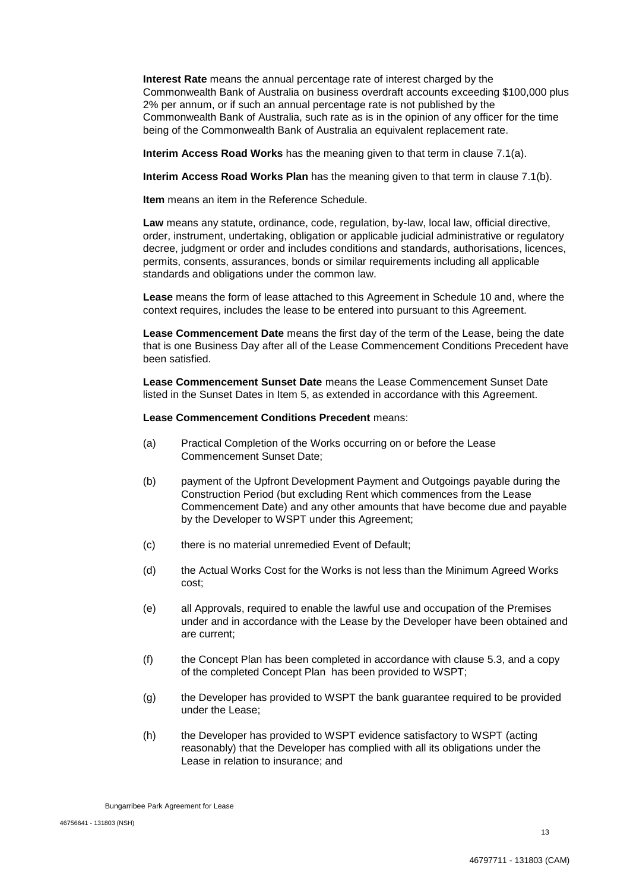**Interest Rate** means the annual percentage rate of interest charged by the Commonwealth Bank of Australia on business overdraft accounts exceeding \$100,000 plus 2% per annum, or if such an annual percentage rate is not published by the Commonwealth Bank of Australia, such rate as is in the opinion of any officer for the time being of the Commonwealth Bank of Australia an equivalent replacement rate.

**Interim Access Road Works** has the meaning given to that term in clause 7.1(a).

**Interim Access Road Works Plan** has the meaning given to that term in clause 7.1(b).

**Item** means an item in the Reference Schedule.

**Law** means any statute, ordinance, code, regulation, by-law, local law, official directive, order, instrument, undertaking, obligation or applicable judicial administrative or regulatory decree, judgment or order and includes conditions and standards, authorisations, licences, permits, consents, assurances, bonds or similar requirements including all applicable standards and obligations under the common law.

**Lease** means the form of lease attached to this Agreement in Schedule 10 and, where the context requires, includes the lease to be entered into pursuant to this Agreement.

**Lease Commencement Date** means the first day of the term of the Lease, being the date that is one Business Day after all of the Lease Commencement Conditions Precedent have been satisfied.

**Lease Commencement Sunset Date** means the Lease Commencement Sunset Date listed in the Sunset Dates in Item 5, as extended in accordance with this Agreement.

#### **Lease Commencement Conditions Precedent** means:

- (a) Practical Completion of the Works occurring on or before the Lease Commencement Sunset Date;
- (b) payment of the Upfront Development Payment and Outgoings payable during the Construction Period (but excluding Rent which commences from the Lease Commencement Date) and any other amounts that have become due and payable by the Developer to WSPT under this Agreement;
- (c) there is no material unremedied Event of Default;
- (d) the Actual Works Cost for the Works is not less than the Minimum Agreed Works cost;
- (e) all Approvals, required to enable the lawful use and occupation of the Premises under and in accordance with the Lease by the Developer have been obtained and are current;
- (f) the Concept Plan has been completed in accordance with clause 5.3, and a copy of the completed Concept Plan has been provided to WSPT;
- (g) the Developer has provided to WSPT the bank guarantee required to be provided under the Lease;
- (h) the Developer has provided to WSPT evidence satisfactory to WSPT (acting reasonably) that the Developer has complied with all its obligations under the Lease in relation to insurance; and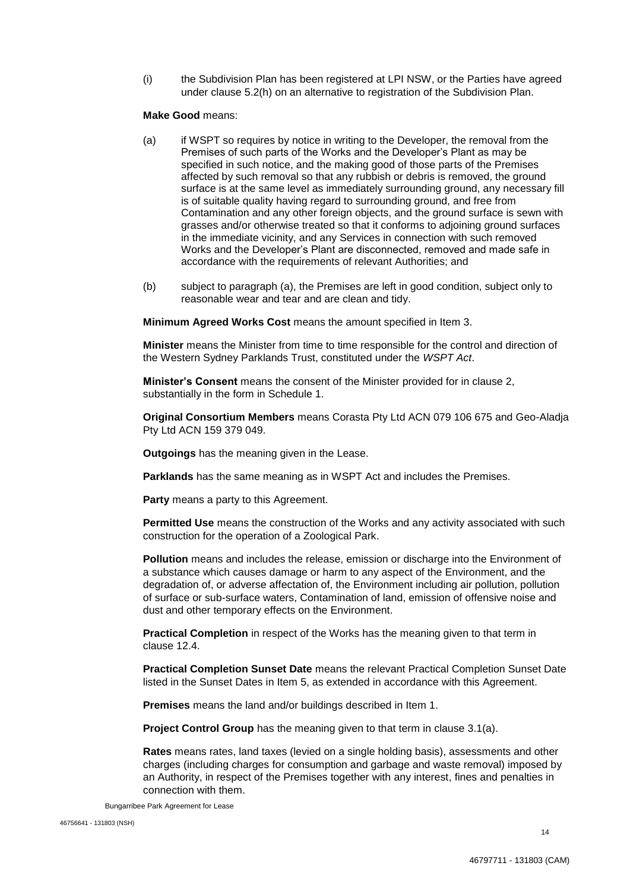(i) the Subdivision Plan has been registered at LPI NSW, or the Parties have agreed under clause 5.2(h) on an alternative to registration of the Subdivision Plan.

#### **Make Good** means:

- (a) if WSPT so requires by notice in writing to the Developer, the removal from the Premises of such parts of the Works and the Developer's Plant as may be specified in such notice, and the making good of those parts of the Premises affected by such removal so that any rubbish or debris is removed, the ground surface is at the same level as immediately surrounding ground, any necessary fill is of suitable quality having regard to surrounding ground, and free from Contamination and any other foreign objects, and the ground surface is sewn with grasses and/or otherwise treated so that it conforms to adjoining ground surfaces in the immediate vicinity, and any Services in connection with such removed Works and the Developer's Plant are disconnected, removed and made safe in accordance with the requirements of relevant Authorities; and
- (b) subject to paragraph (a), the Premises are left in good condition, subject only to reasonable wear and tear and are clean and tidy.

**Minimum Agreed Works Cost** means the amount specified in Item 3.

**Minister** means the Minister from time to time responsible for the control and direction of the Western Sydney Parklands Trust, constituted under the *WSPT Act*.

**Minister's Consent** means the consent of the Minister provided for in clause 2, substantially in the form in Schedule 1.

**Original Consortium Members** means Corasta Pty Ltd ACN 079 106 675 and Geo-Aladja Pty Ltd ACN 159 379 049.

**Outgoings** has the meaning given in the Lease.

**Parklands** has the same meaning as in WSPT Act and includes the Premises.

**Party** means a party to this Agreement.

**Permitted Use** means the construction of the Works and any activity associated with such construction for the operation of a Zoological Park.

**Pollution** means and includes the release, emission or discharge into the Environment of a substance which causes damage or harm to any aspect of the Environment, and the degradation of, or adverse affectation of, the Environment including air pollution, pollution of surface or sub-surface waters, Contamination of land, emission of offensive noise and dust and other temporary effects on the Environment.

**Practical Completion** in respect of the Works has the meaning given to that term in clause 12.4.

**Practical Completion Sunset Date** means the relevant Practical Completion Sunset Date listed in the Sunset Dates in Item 5, as extended in accordance with this Agreement.

**Premises** means the land and/or buildings described in Item 1.

**Project Control Group** has the meaning given to that term in clause 3.1(a).

**Rates** means rates, land taxes (levied on a single holding basis), assessments and other charges (including charges for consumption and garbage and waste removal) imposed by an Authority, in respect of the Premises together with any interest, fines and penalties in connection with them.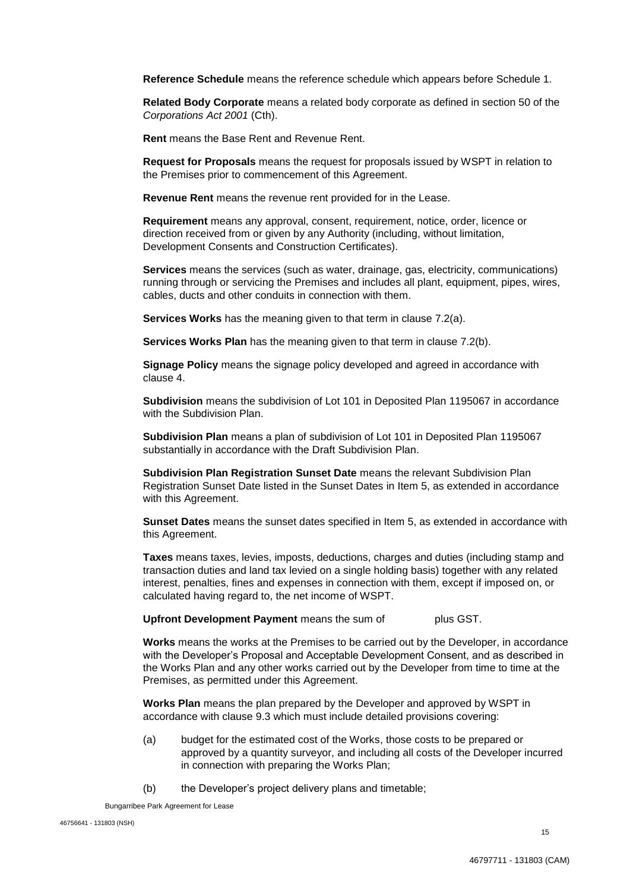**Reference Schedule** means the reference schedule which appears before Schedule 1.

**Related Body Corporate** means a related body corporate as defined in section 50 of the *Corporations Act 2001* (Cth).

**Rent** means the Base Rent and Revenue Rent.

**Request for Proposals** means the request for proposals issued by WSPT in relation to the Premises prior to commencement of this Agreement.

**Revenue Rent** means the revenue rent provided for in the Lease.

**Requirement** means any approval, consent, requirement, notice, order, licence or direction received from or given by any Authority (including, without limitation, Development Consents and Construction Certificates).

**Services** means the services (such as water, drainage, gas, electricity, communications) running through or servicing the Premises and includes all plant, equipment, pipes, wires, cables, ducts and other conduits in connection with them.

**Services Works** has the meaning given to that term in clause 7.2(a).

**Services Works Plan** has the meaning given to that term in clause 7.2(b).

**Signage Policy** means the signage policy developed and agreed in accordance with clause 4.

**Subdivision** means the subdivision of Lot 101 in Deposited Plan 1195067 in accordance with the Subdivision Plan.

**Subdivision Plan** means a plan of subdivision of Lot 101 in Deposited Plan 1195067 substantially in accordance with the Draft Subdivision Plan.

**Subdivision Plan Registration Sunset Date** means the relevant Subdivision Plan Registration Sunset Date listed in the Sunset Dates in Item 5, as extended in accordance with this Agreement.

**Sunset Dates** means the sunset dates specified in Item 5, as extended in accordance with this Agreement.

**Taxes** means taxes, levies, imposts, deductions, charges and duties (including stamp and transaction duties and land tax levied on a single holding basis) together with any related interest, penalties, fines and expenses in connection with them, except if imposed on, or calculated having regard to, the net income of WSPT.

**Upfront Development Payment** means the sum of  $\qquad$  plus GST.

**Works** means the works at the Premises to be carried out by the Developer, in accordance with the Developer's Proposal and Acceptable Development Consent, and as described in the Works Plan and any other works carried out by the Developer from time to time at the Premises, as permitted under this Agreement.

**Works Plan** means the plan prepared by the Developer and approved by WSPT in accordance with clause 9.3 which must include detailed provisions covering:

- (a) budget for the estimated cost of the Works, those costs to be prepared or approved by a quantity surveyor, and including all costs of the Developer incurred in connection with preparing the Works Plan;
- (b) the Developer's project delivery plans and timetable;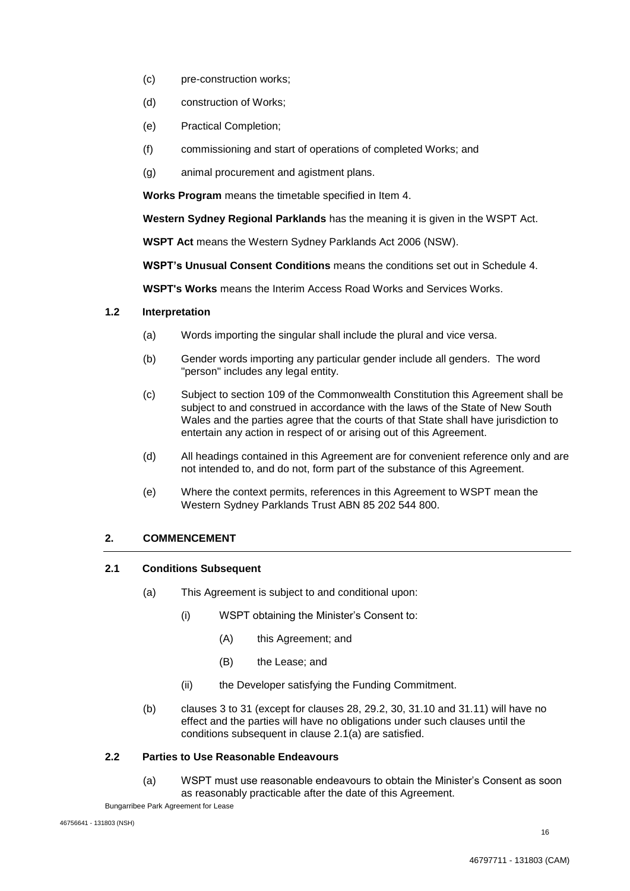- (c) pre-construction works;
- (d) construction of Works;
- (e) Practical Completion;
- (f) commissioning and start of operations of completed Works; and
- (g) animal procurement and agistment plans.

**Works Program** means the timetable specified in Item 4.

**Western Sydney Regional Parklands** has the meaning it is given in the WSPT Act.

**WSPT Act** means the Western Sydney Parklands Act 2006 (NSW).

**WSPT's Unusual Consent Conditions** means the conditions set out in Schedule 4.

**WSPT's Works** means the Interim Access Road Works and Services Works.

## **1.2 Interpretation**

- (a) Words importing the singular shall include the plural and vice versa.
- (b) Gender words importing any particular gender include all genders. The word "person" includes any legal entity.
- (c) Subject to section 109 of the Commonwealth Constitution this Agreement shall be subject to and construed in accordance with the laws of the State of New South Wales and the parties agree that the courts of that State shall have jurisdiction to entertain any action in respect of or arising out of this Agreement.
- (d) All headings contained in this Agreement are for convenient reference only and are not intended to, and do not, form part of the substance of this Agreement.
- (e) Where the context permits, references in this Agreement to WSPT mean the Western Sydney Parklands Trust ABN 85 202 544 800.

## **2. COMMENCEMENT**

#### **2.1 Conditions Subsequent**

- (a) This Agreement is subject to and conditional upon:
	- (i) WSPT obtaining the Minister's Consent to:
		- (A) this Agreement; and
		- (B) the Lease; and
	- (ii) the Developer satisfying the Funding Commitment.
- (b) clauses 3 to 31 (except for clauses 28, 29.2, 30, 31.10 and 31.11) will have no effect and the parties will have no obligations under such clauses until the conditions subsequent in clause 2.1(a) are satisfied.

## **2.2 Parties to Use Reasonable Endeavours**

(a) WSPT must use reasonable endeavours to obtain the Minister's Consent as soon as reasonably practicable after the date of this Agreement.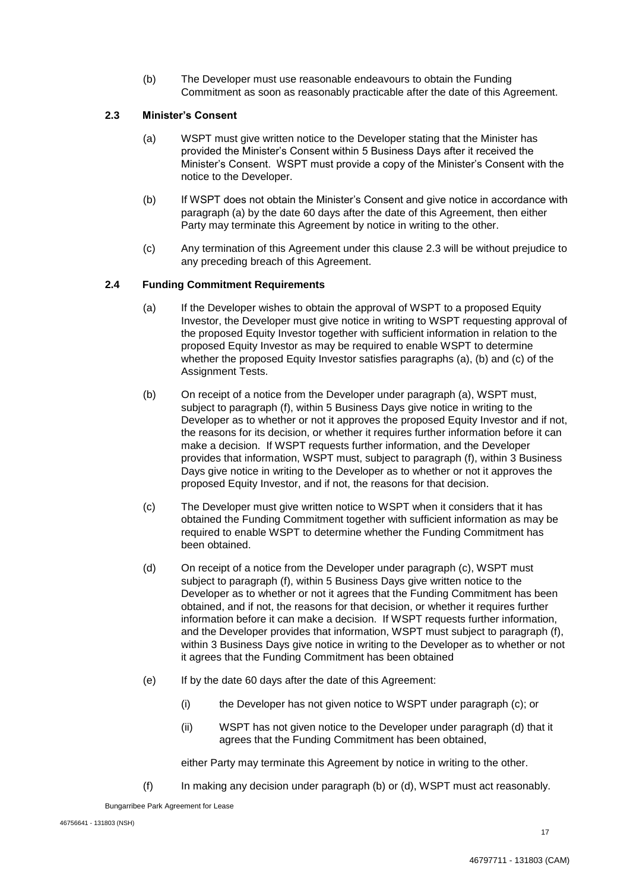(b) The Developer must use reasonable endeavours to obtain the Funding Commitment as soon as reasonably practicable after the date of this Agreement.

## **2.3 Minister's Consent**

- (a) WSPT must give written notice to the Developer stating that the Minister has provided the Minister's Consent within 5 Business Days after it received the Minister's Consent. WSPT must provide a copy of the Minister's Consent with the notice to the Developer.
- (b) If WSPT does not obtain the Minister's Consent and give notice in accordance with paragraph (a) by the date 60 days after the date of this Agreement, then either Party may terminate this Agreement by notice in writing to the other.
- (c) Any termination of this Agreement under this clause 2.3 will be without prejudice to any preceding breach of this Agreement.

## **2.4 Funding Commitment Requirements**

- (a) If the Developer wishes to obtain the approval of WSPT to a proposed Equity Investor, the Developer must give notice in writing to WSPT requesting approval of the proposed Equity Investor together with sufficient information in relation to the proposed Equity Investor as may be required to enable WSPT to determine whether the proposed Equity Investor satisfies paragraphs (a), (b) and (c) of the Assignment Tests.
- (b) On receipt of a notice from the Developer under paragraph (a), WSPT must, subject to paragraph (f), within 5 Business Days give notice in writing to the Developer as to whether or not it approves the proposed Equity Investor and if not, the reasons for its decision, or whether it requires further information before it can make a decision. If WSPT requests further information, and the Developer provides that information, WSPT must, subject to paragraph (f), within 3 Business Days give notice in writing to the Developer as to whether or not it approves the proposed Equity Investor, and if not, the reasons for that decision.
- (c) The Developer must give written notice to WSPT when it considers that it has obtained the Funding Commitment together with sufficient information as may be required to enable WSPT to determine whether the Funding Commitment has been obtained.
- (d) On receipt of a notice from the Developer under paragraph (c), WSPT must subject to paragraph (f), within 5 Business Days give written notice to the Developer as to whether or not it agrees that the Funding Commitment has been obtained, and if not, the reasons for that decision, or whether it requires further information before it can make a decision. If WSPT requests further information, and the Developer provides that information, WSPT must subject to paragraph (f), within 3 Business Days give notice in writing to the Developer as to whether or not it agrees that the Funding Commitment has been obtained
- (e) If by the date 60 days after the date of this Agreement:
	- (i) the Developer has not given notice to WSPT under paragraph (c); or
	- (ii) WSPT has not given notice to the Developer under paragraph (d) that it agrees that the Funding Commitment has been obtained,

either Party may terminate this Agreement by notice in writing to the other.

(f) In making any decision under paragraph (b) or (d), WSPT must act reasonably.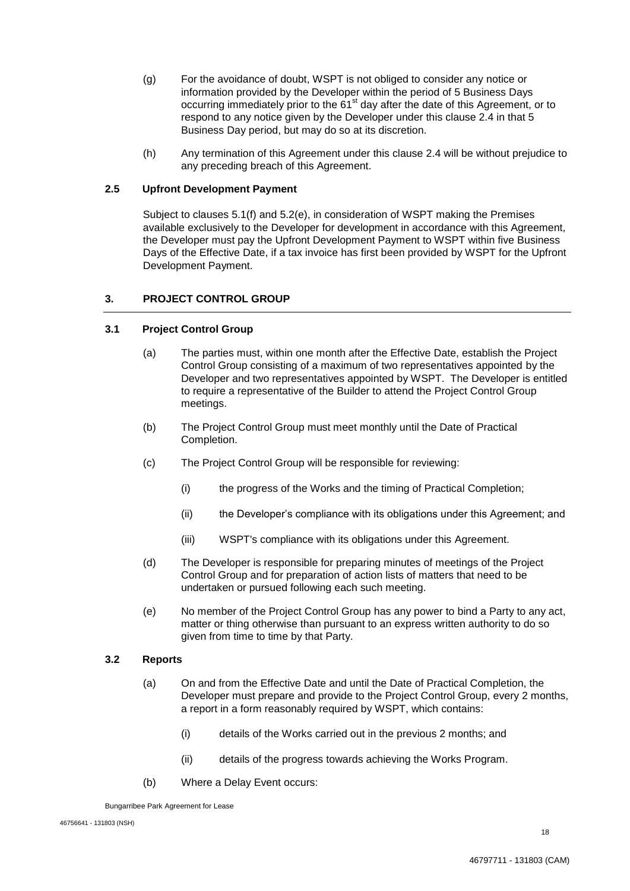- (g) For the avoidance of doubt, WSPT is not obliged to consider any notice or information provided by the Developer within the period of 5 Business Days occurring immediately prior to the  $61<sup>st</sup>$  day after the date of this Agreement, or to respond to any notice given by the Developer under this clause 2.4 in that 5 Business Day period, but may do so at its discretion.
- (h) Any termination of this Agreement under this clause 2.4 will be without prejudice to any preceding breach of this Agreement.

## **2.5 Upfront Development Payment**

Subject to clauses 5.1(f) and 5.2(e), in consideration of WSPT making the Premises available exclusively to the Developer for development in accordance with this Agreement, the Developer must pay the Upfront Development Payment to WSPT within five Business Days of the Effective Date, if a tax invoice has first been provided by WSPT for the Upfront Development Payment.

## **3. PROJECT CONTROL GROUP**

#### **3.1 Project Control Group**

- (a) The parties must, within one month after the Effective Date, establish the Project Control Group consisting of a maximum of two representatives appointed by the Developer and two representatives appointed by WSPT. The Developer is entitled to require a representative of the Builder to attend the Project Control Group meetings.
- (b) The Project Control Group must meet monthly until the Date of Practical Completion.
- (c) The Project Control Group will be responsible for reviewing:
	- (i) the progress of the Works and the timing of Practical Completion;
	- (ii) the Developer's compliance with its obligations under this Agreement; and
	- (iii) WSPT's compliance with its obligations under this Agreement.
- (d) The Developer is responsible for preparing minutes of meetings of the Project Control Group and for preparation of action lists of matters that need to be undertaken or pursued following each such meeting.
- (e) No member of the Project Control Group has any power to bind a Party to any act, matter or thing otherwise than pursuant to an express written authority to do so given from time to time by that Party.

#### **3.2 Reports**

- (a) On and from the Effective Date and until the Date of Practical Completion, the Developer must prepare and provide to the Project Control Group, every 2 months, a report in a form reasonably required by WSPT, which contains:
	- (i) details of the Works carried out in the previous 2 months; and
	- (ii) details of the progress towards achieving the Works Program.
- (b) Where a Delay Event occurs:

Bungarribee Park Agreement for Lease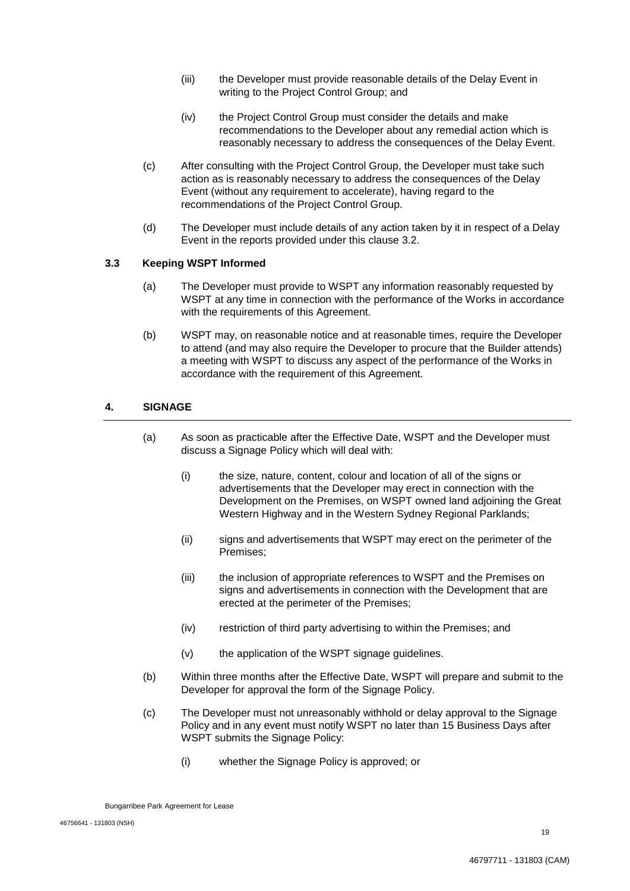- (iii) the Developer must provide reasonable details of the Delay Event in writing to the Project Control Group; and
- (iv) the Project Control Group must consider the details and make recommendations to the Developer about any remedial action which is reasonably necessary to address the consequences of the Delay Event.
- (c) After consulting with the Project Control Group, the Developer must take such action as is reasonably necessary to address the consequences of the Delay Event (without any requirement to accelerate), having regard to the recommendations of the Project Control Group.
- (d) The Developer must include details of any action taken by it in respect of a Delay Event in the reports provided under this clause 3.2.

## **3.3 Keeping WSPT Informed**

- (a) The Developer must provide to WSPT any information reasonably requested by WSPT at any time in connection with the performance of the Works in accordance with the requirements of this Agreement.
- (b) WSPT may, on reasonable notice and at reasonable times, require the Developer to attend (and may also require the Developer to procure that the Builder attends) a meeting with WSPT to discuss any aspect of the performance of the Works in accordance with the requirement of this Agreement.

## **4. SIGNAGE**

- (a) As soon as practicable after the Effective Date, WSPT and the Developer must discuss a Signage Policy which will deal with:
	- (i) the size, nature, content, colour and location of all of the signs or advertisements that the Developer may erect in connection with the Development on the Premises, on WSPT owned land adjoining the Great Western Highway and in the Western Sydney Regional Parklands;
	- (ii) signs and advertisements that WSPT may erect on the perimeter of the Premises;
	- (iii) the inclusion of appropriate references to WSPT and the Premises on signs and advertisements in connection with the Development that are erected at the perimeter of the Premises;
	- (iv) restriction of third party advertising to within the Premises; and
	- (v) the application of the WSPT signage guidelines.
- (b) Within three months after the Effective Date, WSPT will prepare and submit to the Developer for approval the form of the Signage Policy.
- (c) The Developer must not unreasonably withhold or delay approval to the Signage Policy and in any event must notify WSPT no later than 15 Business Days after WSPT submits the Signage Policy:
	- (i) whether the Signage Policy is approved; or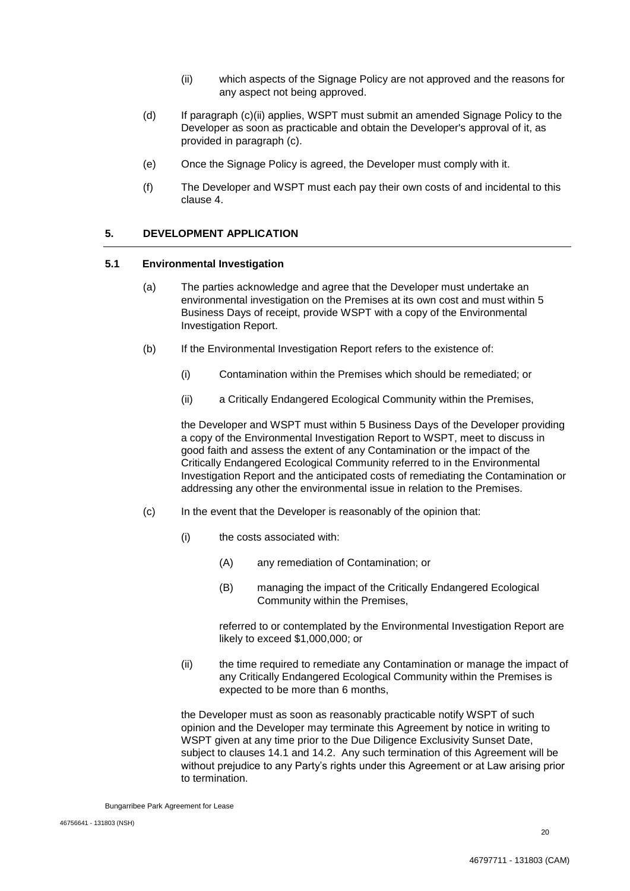- (ii) which aspects of the Signage Policy are not approved and the reasons for any aspect not being approved.
- (d) If paragraph (c)(ii) applies, WSPT must submit an amended Signage Policy to the Developer as soon as practicable and obtain the Developer's approval of it, as provided in paragraph (c).
- (e) Once the Signage Policy is agreed, the Developer must comply with it.
- (f) The Developer and WSPT must each pay their own costs of and incidental to this clause 4.

## **5. DEVELOPMENT APPLICATION**

#### **5.1 Environmental Investigation**

- (a) The parties acknowledge and agree that the Developer must undertake an environmental investigation on the Premises at its own cost and must within 5 Business Days of receipt, provide WSPT with a copy of the Environmental Investigation Report.
- (b) If the Environmental Investigation Report refers to the existence of:
	- (i) Contamination within the Premises which should be remediated; or
	- (ii) a Critically Endangered Ecological Community within the Premises,

the Developer and WSPT must within 5 Business Days of the Developer providing a copy of the Environmental Investigation Report to WSPT, meet to discuss in good faith and assess the extent of any Contamination or the impact of the Critically Endangered Ecological Community referred to in the Environmental Investigation Report and the anticipated costs of remediating the Contamination or addressing any other the environmental issue in relation to the Premises.

- (c) In the event that the Developer is reasonably of the opinion that:
	- (i) the costs associated with:
		- (A) any remediation of Contamination; or
		- (B) managing the impact of the Critically Endangered Ecological Community within the Premises,

referred to or contemplated by the Environmental Investigation Report are likely to exceed \$1,000,000; or

(ii) the time required to remediate any Contamination or manage the impact of any Critically Endangered Ecological Community within the Premises is expected to be more than 6 months,

the Developer must as soon as reasonably practicable notify WSPT of such opinion and the Developer may terminate this Agreement by notice in writing to WSPT given at any time prior to the Due Diligence Exclusivity Sunset Date, subject to clauses 14.1 and 14.2. Any such termination of this Agreement will be without prejudice to any Party's rights under this Agreement or at Law arising prior to termination.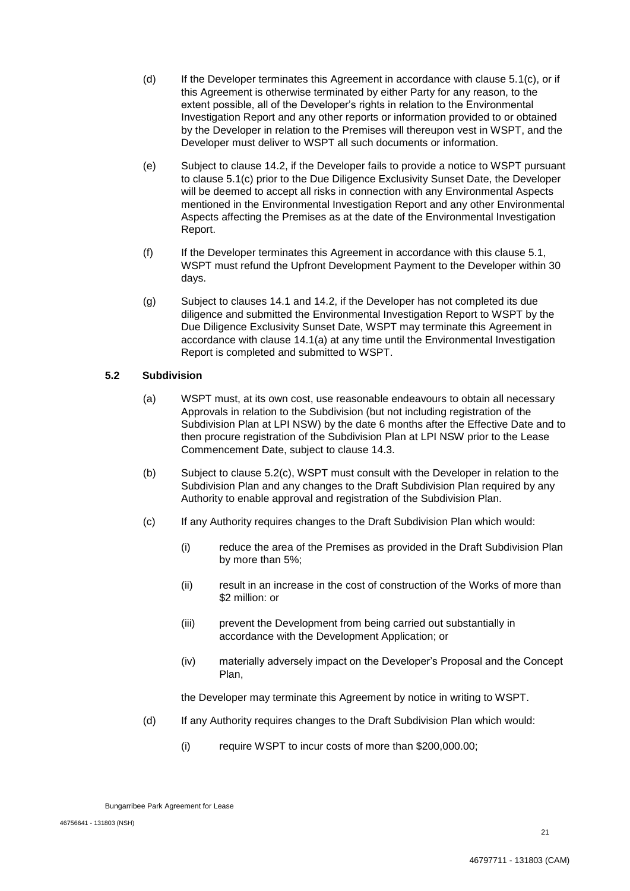- (d) If the Developer terminates this Agreement in accordance with clause 5.1(c), or if this Agreement is otherwise terminated by either Party for any reason, to the extent possible, all of the Developer's rights in relation to the Environmental Investigation Report and any other reports or information provided to or obtained by the Developer in relation to the Premises will thereupon vest in WSPT, and the Developer must deliver to WSPT all such documents or information.
- (e) Subject to clause 14.2, if the Developer fails to provide a notice to WSPT pursuant to clause 5.1(c) prior to the Due Diligence Exclusivity Sunset Date, the Developer will be deemed to accept all risks in connection with any Environmental Aspects mentioned in the Environmental Investigation Report and any other Environmental Aspects affecting the Premises as at the date of the Environmental Investigation Report.
- (f) If the Developer terminates this Agreement in accordance with this clause 5.1, WSPT must refund the Upfront Development Payment to the Developer within 30 days.
- (g) Subject to clauses 14.1 and 14.2, if the Developer has not completed its due diligence and submitted the Environmental Investigation Report to WSPT by the Due Diligence Exclusivity Sunset Date, WSPT may terminate this Agreement in accordance with clause 14.1(a) at any time until the Environmental Investigation Report is completed and submitted to WSPT.

## **5.2 Subdivision**

- (a) WSPT must, at its own cost, use reasonable endeavours to obtain all necessary Approvals in relation to the Subdivision (but not including registration of the Subdivision Plan at LPI NSW) by the date 6 months after the Effective Date and to then procure registration of the Subdivision Plan at LPI NSW prior to the Lease Commencement Date, subject to clause 14.3.
- (b) Subject to clause 5.2(c), WSPT must consult with the Developer in relation to the Subdivision Plan and any changes to the Draft Subdivision Plan required by any Authority to enable approval and registration of the Subdivision Plan.
- (c) If any Authority requires changes to the Draft Subdivision Plan which would:
	- (i) reduce the area of the Premises as provided in the Draft Subdivision Plan by more than 5%;
	- (ii) result in an increase in the cost of construction of the Works of more than \$2 million: or
	- (iii) prevent the Development from being carried out substantially in accordance with the Development Application; or
	- (iv) materially adversely impact on the Developer's Proposal and the Concept Plan,

the Developer may terminate this Agreement by notice in writing to WSPT.

- (d) If any Authority requires changes to the Draft Subdivision Plan which would:
	- (i) require WSPT to incur costs of more than \$200,000.00;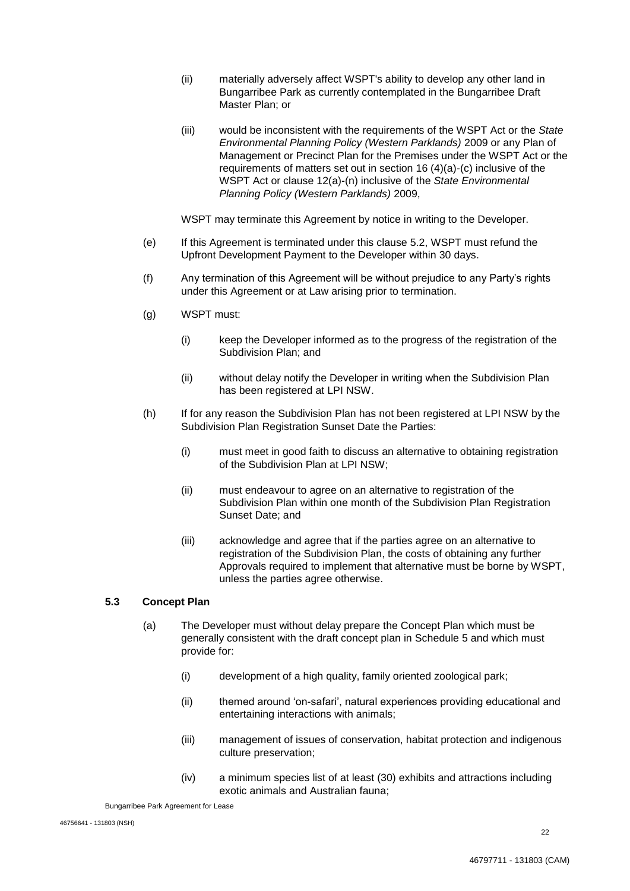- (ii) materially adversely affect WSPT's ability to develop any other land in Bungarribee Park as currently contemplated in the Bungarribee Draft Master Plan; or
- (iii) would be inconsistent with the requirements of the WSPT Act or the *State Environmental Planning Policy (Western Parklands)* 2009 or any Plan of Management or Precinct Plan for the Premises under the WSPT Act or the requirements of matters set out in section 16 (4)(a)-(c) inclusive of the WSPT Act or clause 12(a)-(n) inclusive of the *State Environmental Planning Policy (Western Parklands)* 2009,

WSPT may terminate this Agreement by notice in writing to the Developer.

- (e) If this Agreement is terminated under this clause 5.2, WSPT must refund the Upfront Development Payment to the Developer within 30 days.
- (f) Any termination of this Agreement will be without prejudice to any Party's rights under this Agreement or at Law arising prior to termination.
- (g) WSPT must:
	- (i) keep the Developer informed as to the progress of the registration of the Subdivision Plan; and
	- (ii) without delay notify the Developer in writing when the Subdivision Plan has been registered at LPI NSW.
- (h) If for any reason the Subdivision Plan has not been registered at LPI NSW by the Subdivision Plan Registration Sunset Date the Parties:
	- (i) must meet in good faith to discuss an alternative to obtaining registration of the Subdivision Plan at LPI NSW;
	- (ii) must endeavour to agree on an alternative to registration of the Subdivision Plan within one month of the Subdivision Plan Registration Sunset Date; and
	- (iii) acknowledge and agree that if the parties agree on an alternative to registration of the Subdivision Plan, the costs of obtaining any further Approvals required to implement that alternative must be borne by WSPT, unless the parties agree otherwise.

## **5.3 Concept Plan**

- (a) The Developer must without delay prepare the Concept Plan which must be generally consistent with the draft concept plan in Schedule 5 and which must provide for:
	- (i) development of a high quality, family oriented zoological park;
	- (ii) themed around 'on-safari', natural experiences providing educational and entertaining interactions with animals;
	- (iii) management of issues of conservation, habitat protection and indigenous culture preservation;
	- (iv) a minimum species list of at least (30) exhibits and attractions including exotic animals and Australian fauna;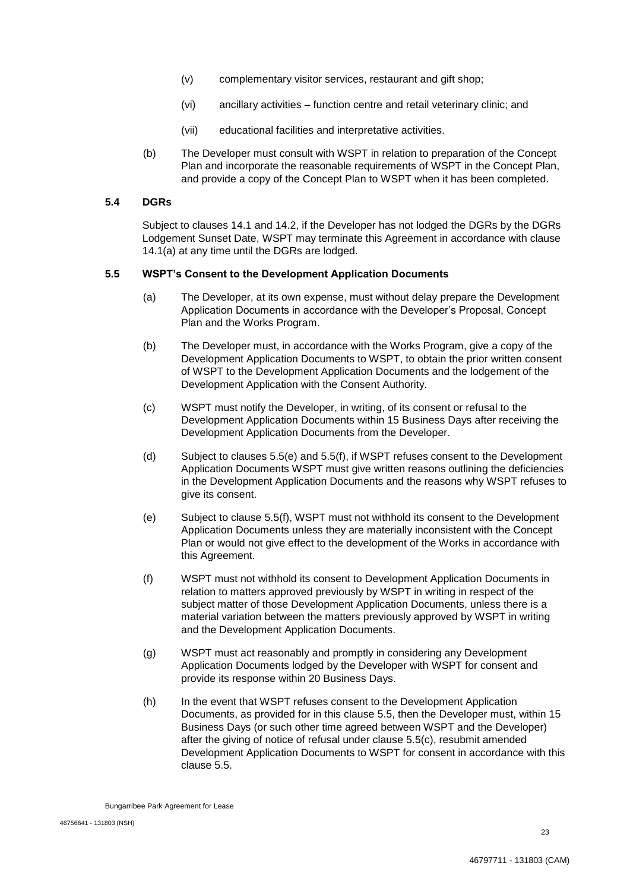- (v) complementary visitor services, restaurant and gift shop;
- (vi) ancillary activities function centre and retail veterinary clinic; and
- (vii) educational facilities and interpretative activities.
- (b) The Developer must consult with WSPT in relation to preparation of the Concept Plan and incorporate the reasonable requirements of WSPT in the Concept Plan, and provide a copy of the Concept Plan to WSPT when it has been completed.

## **5.4 DGRs**

Subject to clauses 14.1 and 14.2, if the Developer has not lodged the DGRs by the DGRs Lodgement Sunset Date, WSPT may terminate this Agreement in accordance with clause 14.1(a) at any time until the DGRs are lodged.

## **5.5 WSPT's Consent to the Development Application Documents**

- (a) The Developer, at its own expense, must without delay prepare the Development Application Documents in accordance with the Developer's Proposal, Concept Plan and the Works Program.
- (b) The Developer must, in accordance with the Works Program, give a copy of the Development Application Documents to WSPT, to obtain the prior written consent of WSPT to the Development Application Documents and the lodgement of the Development Application with the Consent Authority.
- (c) WSPT must notify the Developer, in writing, of its consent or refusal to the Development Application Documents within 15 Business Days after receiving the Development Application Documents from the Developer.
- (d) Subject to clauses 5.5(e) and 5.5(f), if WSPT refuses consent to the Development Application Documents WSPT must give written reasons outlining the deficiencies in the Development Application Documents and the reasons why WSPT refuses to give its consent.
- (e) Subject to clause 5.5(f), WSPT must not withhold its consent to the Development Application Documents unless they are materially inconsistent with the Concept Plan or would not give effect to the development of the Works in accordance with this Agreement.
- (f) WSPT must not withhold its consent to Development Application Documents in relation to matters approved previously by WSPT in writing in respect of the subject matter of those Development Application Documents, unless there is a material variation between the matters previously approved by WSPT in writing and the Development Application Documents.
- (g) WSPT must act reasonably and promptly in considering any Development Application Documents lodged by the Developer with WSPT for consent and provide its response within 20 Business Days.
- (h) In the event that WSPT refuses consent to the Development Application Documents, as provided for in this clause 5.5, then the Developer must, within 15 Business Days (or such other time agreed between WSPT and the Developer) after the giving of notice of refusal under clause 5.5(c), resubmit amended Development Application Documents to WSPT for consent in accordance with this clause 5.5.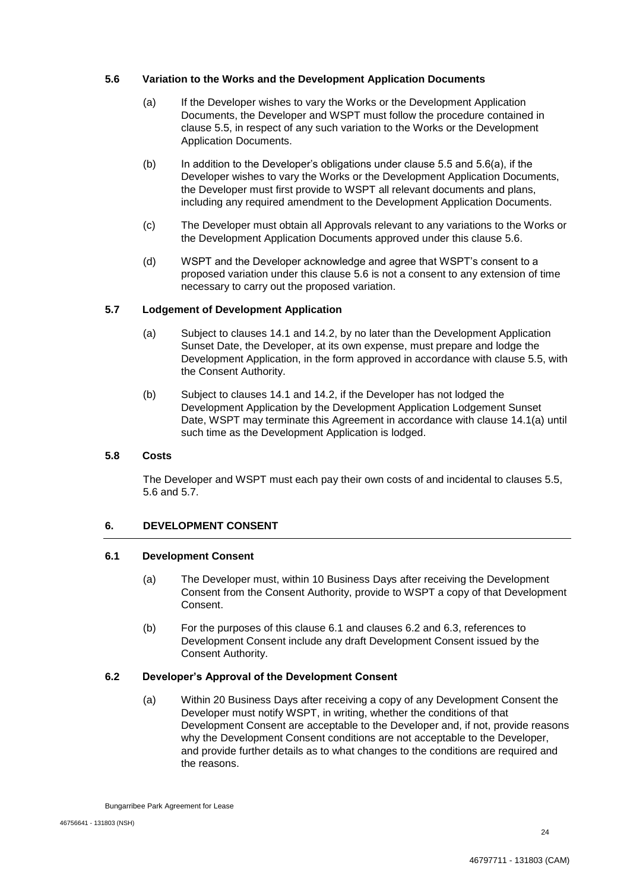## **5.6 Variation to the Works and the Development Application Documents**

- (a) If the Developer wishes to vary the Works or the Development Application Documents, the Developer and WSPT must follow the procedure contained in clause 5.5, in respect of any such variation to the Works or the Development Application Documents.
- (b) In addition to the Developer's obligations under clause 5.5 and 5.6(a), if the Developer wishes to vary the Works or the Development Application Documents, the Developer must first provide to WSPT all relevant documents and plans, including any required amendment to the Development Application Documents.
- (c) The Developer must obtain all Approvals relevant to any variations to the Works or the Development Application Documents approved under this clause 5.6.
- (d) WSPT and the Developer acknowledge and agree that WSPT's consent to a proposed variation under this clause 5.6 is not a consent to any extension of time necessary to carry out the proposed variation.

## **5.7 Lodgement of Development Application**

- (a) Subject to clauses 14.1 and 14.2, by no later than the Development Application Sunset Date, the Developer, at its own expense, must prepare and lodge the Development Application, in the form approved in accordance with clause 5.5, with the Consent Authority.
- (b) Subject to clauses 14.1 and 14.2, if the Developer has not lodged the Development Application by the Development Application Lodgement Sunset Date, WSPT may terminate this Agreement in accordance with clause 14.1(a) until such time as the Development Application is lodged.

#### **5.8 Costs**

The Developer and WSPT must each pay their own costs of and incidental to clauses 5.5, 5.6 and 5.7.

## **6. DEVELOPMENT CONSENT**

#### **6.1 Development Consent**

- (a) The Developer must, within 10 Business Days after receiving the Development Consent from the Consent Authority, provide to WSPT a copy of that Development Consent.
- (b) For the purposes of this clause 6.1 and clauses 6.2 and 6.3, references to Development Consent include any draft Development Consent issued by the Consent Authority.

#### **6.2 Developer's Approval of the Development Consent**

(a) Within 20 Business Days after receiving a copy of any Development Consent the Developer must notify WSPT, in writing, whether the conditions of that Development Consent are acceptable to the Developer and, if not, provide reasons why the Development Consent conditions are not acceptable to the Developer, and provide further details as to what changes to the conditions are required and the reasons.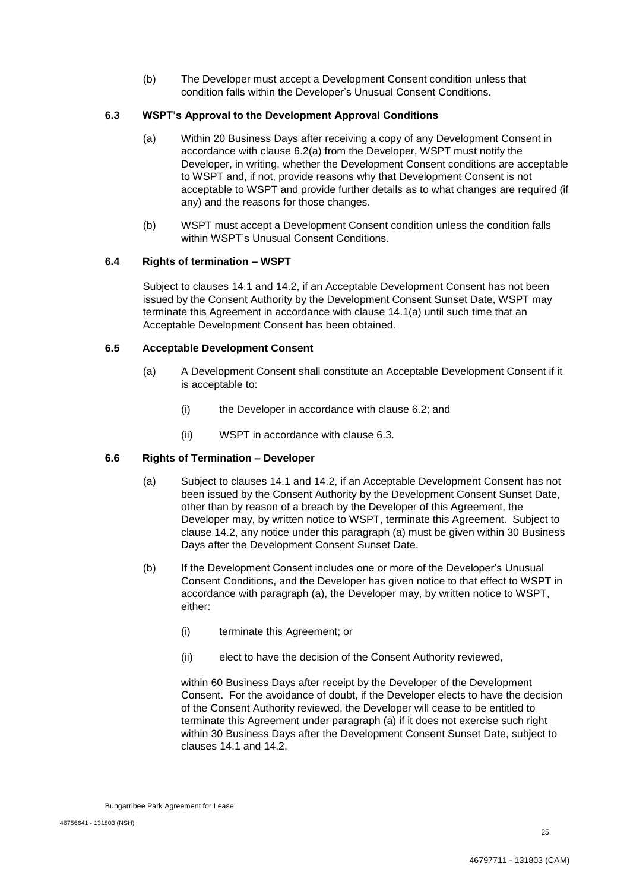(b) The Developer must accept a Development Consent condition unless that condition falls within the Developer's Unusual Consent Conditions.

## **6.3 WSPT's Approval to the Development Approval Conditions**

- (a) Within 20 Business Days after receiving a copy of any Development Consent in accordance with clause 6.2(a) from the Developer, WSPT must notify the Developer, in writing, whether the Development Consent conditions are acceptable to WSPT and, if not, provide reasons why that Development Consent is not acceptable to WSPT and provide further details as to what changes are required (if any) and the reasons for those changes.
- (b) WSPT must accept a Development Consent condition unless the condition falls within WSPT's Unusual Consent Conditions.

## **6.4 Rights of termination – WSPT**

Subject to clauses 14.1 and 14.2, if an Acceptable Development Consent has not been issued by the Consent Authority by the Development Consent Sunset Date, WSPT may terminate this Agreement in accordance with clause 14.1(a) until such time that an Acceptable Development Consent has been obtained.

## **6.5 Acceptable Development Consent**

- (a) A Development Consent shall constitute an Acceptable Development Consent if it is acceptable to:
	- (i) the Developer in accordance with clause 6.2; and
	- (ii) WSPT in accordance with clause 6.3.

## **6.6 Rights of Termination – Developer**

- (a) Subject to clauses 14.1 and 14.2, if an Acceptable Development Consent has not been issued by the Consent Authority by the Development Consent Sunset Date, other than by reason of a breach by the Developer of this Agreement, the Developer may, by written notice to WSPT, terminate this Agreement. Subject to clause 14.2, any notice under this paragraph (a) must be given within 30 Business Days after the Development Consent Sunset Date.
- (b) If the Development Consent includes one or more of the Developer's Unusual Consent Conditions, and the Developer has given notice to that effect to WSPT in accordance with paragraph (a), the Developer may, by written notice to WSPT, either:
	- (i) terminate this Agreement; or
	- (ii) elect to have the decision of the Consent Authority reviewed,

within 60 Business Days after receipt by the Developer of the Development Consent. For the avoidance of doubt, if the Developer elects to have the decision of the Consent Authority reviewed, the Developer will cease to be entitled to terminate this Agreement under paragraph (a) if it does not exercise such right within 30 Business Days after the Development Consent Sunset Date, subject to clauses 14.1 and 14.2.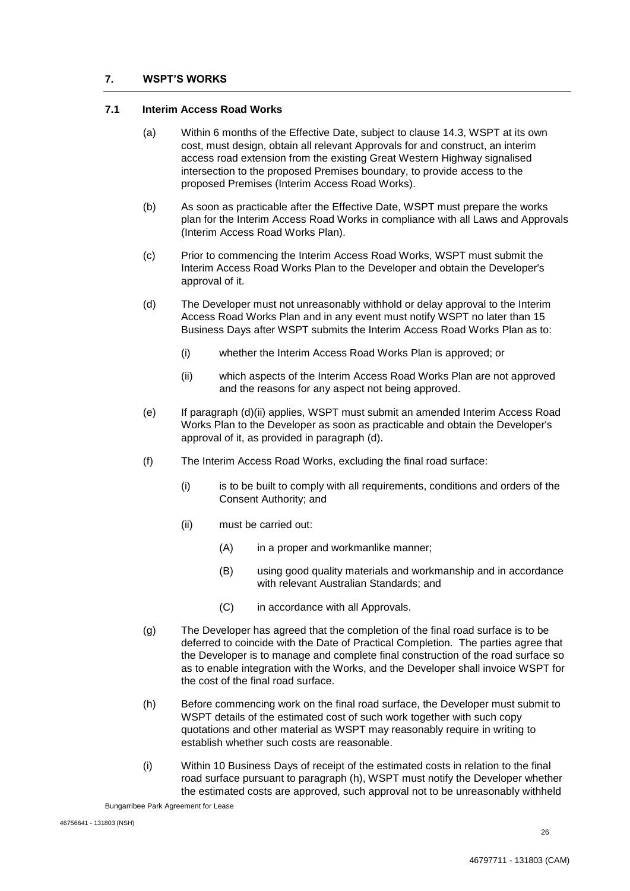## **7. WSPT'S WORKS**

#### **7.1 Interim Access Road Works**

- (a) Within 6 months of the Effective Date, subject to clause 14.3, WSPT at its own cost, must design, obtain all relevant Approvals for and construct, an interim access road extension from the existing Great Western Highway signalised intersection to the proposed Premises boundary, to provide access to the proposed Premises (Interim Access Road Works).
- (b) As soon as practicable after the Effective Date, WSPT must prepare the works plan for the Interim Access Road Works in compliance with all Laws and Approvals (Interim Access Road Works Plan).
- (c) Prior to commencing the Interim Access Road Works, WSPT must submit the Interim Access Road Works Plan to the Developer and obtain the Developer's approval of it.
- (d) The Developer must not unreasonably withhold or delay approval to the Interim Access Road Works Plan and in any event must notify WSPT no later than 15 Business Days after WSPT submits the Interim Access Road Works Plan as to:
	- (i) whether the Interim Access Road Works Plan is approved; or
	- (ii) which aspects of the Interim Access Road Works Plan are not approved and the reasons for any aspect not being approved.
- (e) If paragraph (d)(ii) applies, WSPT must submit an amended Interim Access Road Works Plan to the Developer as soon as practicable and obtain the Developer's approval of it, as provided in paragraph (d).
- (f) The Interim Access Road Works, excluding the final road surface:
	- (i) is to be built to comply with all requirements, conditions and orders of the Consent Authority; and
	- (ii) must be carried out:
		- (A) in a proper and workmanlike manner;
		- (B) using good quality materials and workmanship and in accordance with relevant Australian Standards; and
		- (C) in accordance with all Approvals.
- (g) The Developer has agreed that the completion of the final road surface is to be deferred to coincide with the Date of Practical Completion. The parties agree that the Developer is to manage and complete final construction of the road surface so as to enable integration with the Works, and the Developer shall invoice WSPT for the cost of the final road surface.
- (h) Before commencing work on the final road surface, the Developer must submit to WSPT details of the estimated cost of such work together with such copy quotations and other material as WSPT may reasonably require in writing to establish whether such costs are reasonable.
- (i) Within 10 Business Days of receipt of the estimated costs in relation to the final road surface pursuant to paragraph (h), WSPT must notify the Developer whether the estimated costs are approved, such approval not to be unreasonably withheld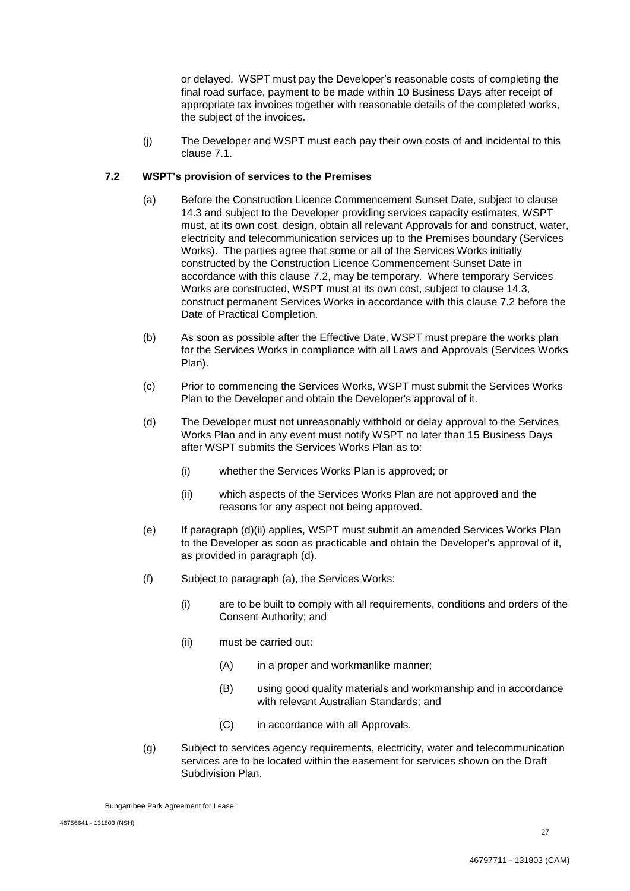or delayed. WSPT must pay the Developer's reasonable costs of completing the final road surface, payment to be made within 10 Business Days after receipt of appropriate tax invoices together with reasonable details of the completed works, the subject of the invoices.

(j) The Developer and WSPT must each pay their own costs of and incidental to this clause 7.1.

## **7.2 WSPT's provision of services to the Premises**

- (a) Before the Construction Licence Commencement Sunset Date, subject to clause 14.3 and subject to the Developer providing services capacity estimates, WSPT must, at its own cost, design, obtain all relevant Approvals for and construct, water, electricity and telecommunication services up to the Premises boundary (Services Works). The parties agree that some or all of the Services Works initially constructed by the Construction Licence Commencement Sunset Date in accordance with this clause 7.2, may be temporary. Where temporary Services Works are constructed, WSPT must at its own cost, subject to clause 14.3, construct permanent Services Works in accordance with this clause 7.2 before the Date of Practical Completion.
- (b) As soon as possible after the Effective Date, WSPT must prepare the works plan for the Services Works in compliance with all Laws and Approvals (Services Works Plan).
- (c) Prior to commencing the Services Works, WSPT must submit the Services Works Plan to the Developer and obtain the Developer's approval of it.
- (d) The Developer must not unreasonably withhold or delay approval to the Services Works Plan and in any event must notify WSPT no later than 15 Business Days after WSPT submits the Services Works Plan as to:
	- (i) whether the Services Works Plan is approved; or
	- (ii) which aspects of the Services Works Plan are not approved and the reasons for any aspect not being approved.
- (e) If paragraph (d)(ii) applies, WSPT must submit an amended Services Works Plan to the Developer as soon as practicable and obtain the Developer's approval of it, as provided in paragraph (d).
- (f) Subject to paragraph (a), the Services Works:
	- (i) are to be built to comply with all requirements, conditions and orders of the Consent Authority; and
	- (ii) must be carried out:
		- (A) in a proper and workmanlike manner;
		- (B) using good quality materials and workmanship and in accordance with relevant Australian Standards; and
		- (C) in accordance with all Approvals.
- (g) Subject to services agency requirements, electricity, water and telecommunication services are to be located within the easement for services shown on the Draft Subdivision Plan.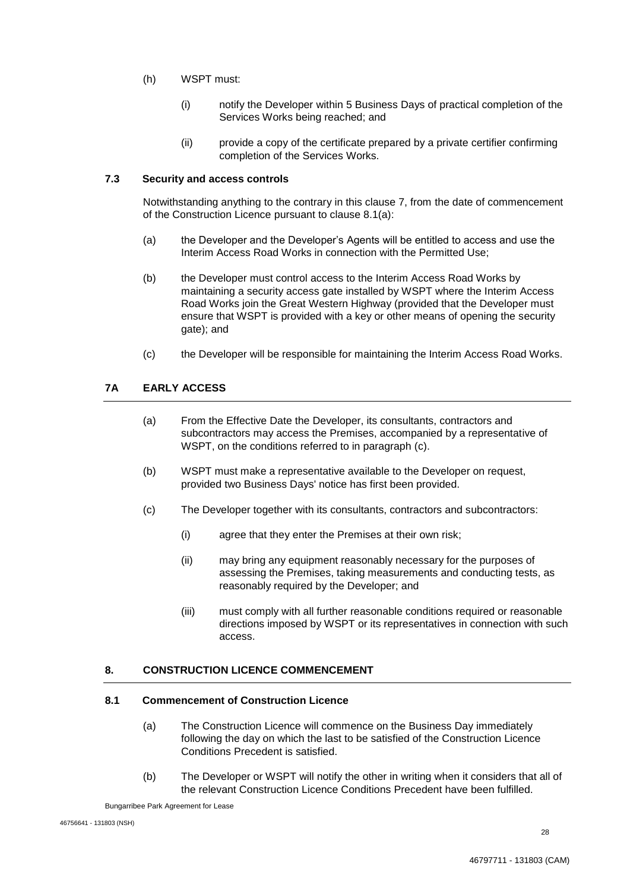- (h) WSPT must:
	- (i) notify the Developer within 5 Business Days of practical completion of the Services Works being reached; and
	- (ii) provide a copy of the certificate prepared by a private certifier confirming completion of the Services Works.

## **7.3 Security and access controls**

Notwithstanding anything to the contrary in this clause 7, from the date of commencement of the Construction Licence pursuant to clause 8.1(a):

- (a) the Developer and the Developer's Agents will be entitled to access and use the Interim Access Road Works in connection with the Permitted Use;
- (b) the Developer must control access to the Interim Access Road Works by maintaining a security access gate installed by WSPT where the Interim Access Road Works join the Great Western Highway (provided that the Developer must ensure that WSPT is provided with a key or other means of opening the security gate); and
- (c) the Developer will be responsible for maintaining the Interim Access Road Works.

## **7A EARLY ACCESS**

- (a) From the Effective Date the Developer, its consultants, contractors and subcontractors may access the Premises, accompanied by a representative of WSPT, on the conditions referred to in paragraph (c).
- (b) WSPT must make a representative available to the Developer on request, provided two Business Days' notice has first been provided.
- (c) The Developer together with its consultants, contractors and subcontractors:
	- (i) agree that they enter the Premises at their own risk;
	- (ii) may bring any equipment reasonably necessary for the purposes of assessing the Premises, taking measurements and conducting tests, as reasonably required by the Developer; and
	- (iii) must comply with all further reasonable conditions required or reasonable directions imposed by WSPT or its representatives in connection with such access.

## **8. CONSTRUCTION LICENCE COMMENCEMENT**

#### **8.1 Commencement of Construction Licence**

- (a) The Construction Licence will commence on the Business Day immediately following the day on which the last to be satisfied of the Construction Licence Conditions Precedent is satisfied.
- (b) The Developer or WSPT will notify the other in writing when it considers that all of the relevant Construction Licence Conditions Precedent have been fulfilled.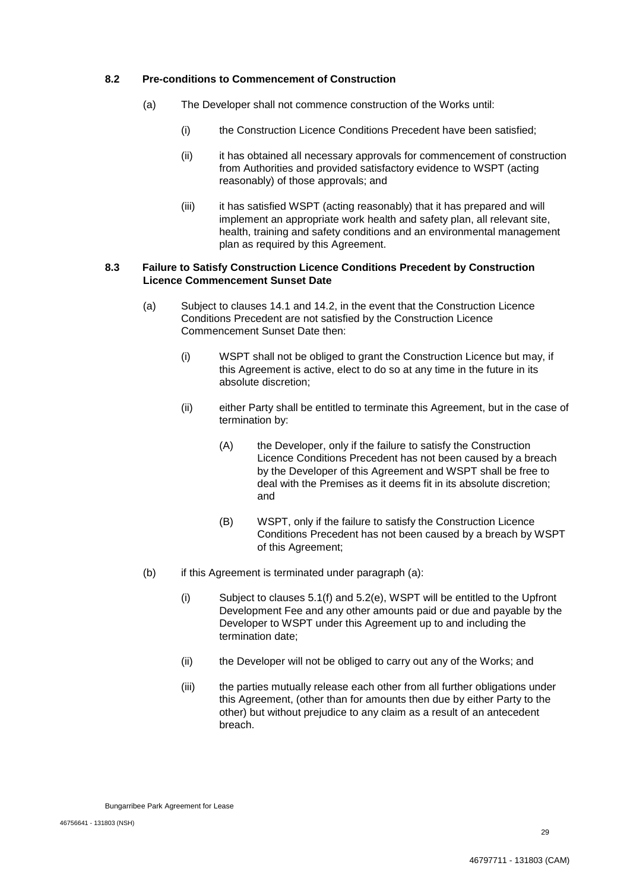## **8.2 Pre-conditions to Commencement of Construction**

- (a) The Developer shall not commence construction of the Works until:
	- (i) the Construction Licence Conditions Precedent have been satisfied;
	- (ii) it has obtained all necessary approvals for commencement of construction from Authorities and provided satisfactory evidence to WSPT (acting reasonably) of those approvals; and
	- (iii) it has satisfied WSPT (acting reasonably) that it has prepared and will implement an appropriate work health and safety plan, all relevant site, health, training and safety conditions and an environmental management plan as required by this Agreement.

## **8.3 Failure to Satisfy Construction Licence Conditions Precedent by Construction Licence Commencement Sunset Date**

- (a) Subject to clauses 14.1 and 14.2, in the event that the Construction Licence Conditions Precedent are not satisfied by the Construction Licence Commencement Sunset Date then:
	- (i) WSPT shall not be obliged to grant the Construction Licence but may, if this Agreement is active, elect to do so at any time in the future in its absolute discretion;
	- (ii) either Party shall be entitled to terminate this Agreement, but in the case of termination by:
		- (A) the Developer, only if the failure to satisfy the Construction Licence Conditions Precedent has not been caused by a breach by the Developer of this Agreement and WSPT shall be free to deal with the Premises as it deems fit in its absolute discretion; and
		- (B) WSPT, only if the failure to satisfy the Construction Licence Conditions Precedent has not been caused by a breach by WSPT of this Agreement;
- (b) if this Agreement is terminated under paragraph (a):
	- (i) Subject to clauses 5.1(f) and 5.2(e), WSPT will be entitled to the Upfront Development Fee and any other amounts paid or due and payable by the Developer to WSPT under this Agreement up to and including the termination date;
	- (ii) the Developer will not be obliged to carry out any of the Works; and
	- (iii) the parties mutually release each other from all further obligations under this Agreement, (other than for amounts then due by either Party to the other) but without prejudice to any claim as a result of an antecedent breach.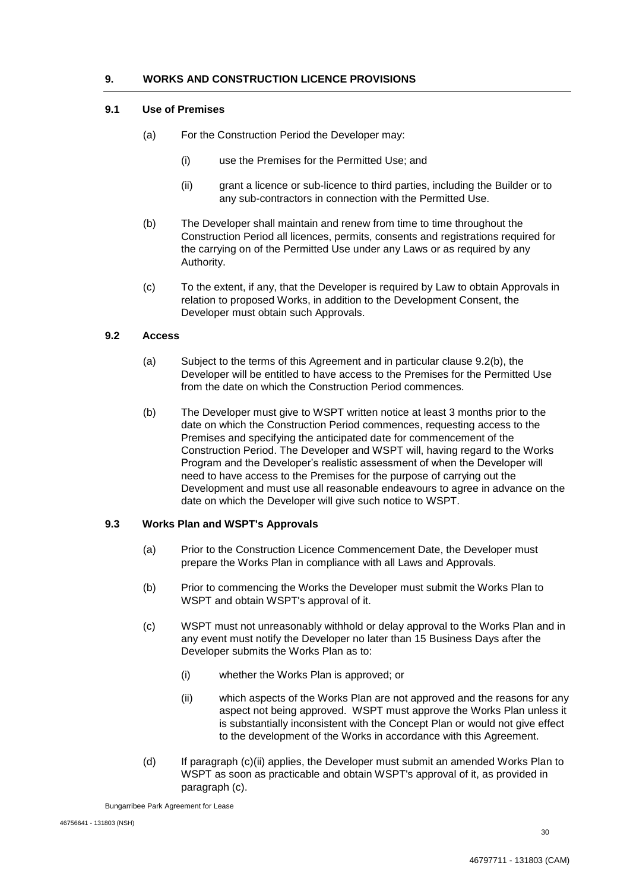## **9. WORKS AND CONSTRUCTION LICENCE PROVISIONS**

#### **9.1 Use of Premises**

- (a) For the Construction Period the Developer may:
	- (i) use the Premises for the Permitted Use; and
	- (ii) grant a licence or sub-licence to third parties, including the Builder or to any sub-contractors in connection with the Permitted Use.
- (b) The Developer shall maintain and renew from time to time throughout the Construction Period all licences, permits, consents and registrations required for the carrying on of the Permitted Use under any Laws or as required by any Authority.
- (c) To the extent, if any, that the Developer is required by Law to obtain Approvals in relation to proposed Works, in addition to the Development Consent, the Developer must obtain such Approvals.

## **9.2 Access**

- (a) Subject to the terms of this Agreement and in particular clause 9.2(b), the Developer will be entitled to have access to the Premises for the Permitted Use from the date on which the Construction Period commences.
- (b) The Developer must give to WSPT written notice at least 3 months prior to the date on which the Construction Period commences, requesting access to the Premises and specifying the anticipated date for commencement of the Construction Period. The Developer and WSPT will, having regard to the Works Program and the Developer's realistic assessment of when the Developer will need to have access to the Premises for the purpose of carrying out the Development and must use all reasonable endeavours to agree in advance on the date on which the Developer will give such notice to WSPT.

## **9.3 Works Plan and WSPT's Approvals**

- (a) Prior to the Construction Licence Commencement Date, the Developer must prepare the Works Plan in compliance with all Laws and Approvals.
- (b) Prior to commencing the Works the Developer must submit the Works Plan to WSPT and obtain WSPT's approval of it.
- (c) WSPT must not unreasonably withhold or delay approval to the Works Plan and in any event must notify the Developer no later than 15 Business Days after the Developer submits the Works Plan as to:
	- (i) whether the Works Plan is approved; or
	- (ii) which aspects of the Works Plan are not approved and the reasons for any aspect not being approved. WSPT must approve the Works Plan unless it is substantially inconsistent with the Concept Plan or would not give effect to the development of the Works in accordance with this Agreement.
- (d) If paragraph (c)(ii) applies, the Developer must submit an amended Works Plan to WSPT as soon as practicable and obtain WSPT's approval of it, as provided in paragraph (c).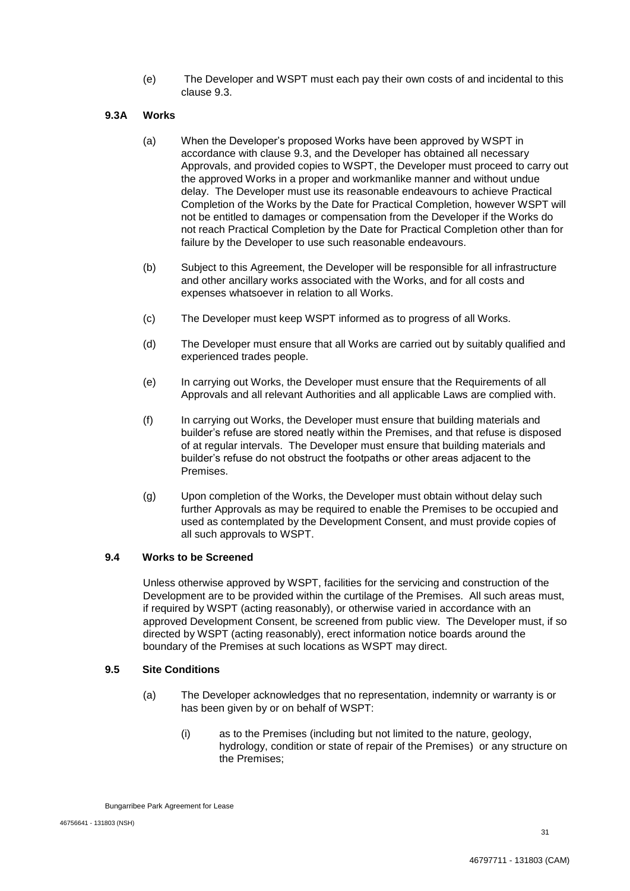(e) The Developer and WSPT must each pay their own costs of and incidental to this clause 9.3.

## **9.3A Works**

- (a) When the Developer's proposed Works have been approved by WSPT in accordance with clause 9.3, and the Developer has obtained all necessary Approvals, and provided copies to WSPT, the Developer must proceed to carry out the approved Works in a proper and workmanlike manner and without undue delay. The Developer must use its reasonable endeavours to achieve Practical Completion of the Works by the Date for Practical Completion, however WSPT will not be entitled to damages or compensation from the Developer if the Works do not reach Practical Completion by the Date for Practical Completion other than for failure by the Developer to use such reasonable endeavours.
- (b) Subject to this Agreement, the Developer will be responsible for all infrastructure and other ancillary works associated with the Works, and for all costs and expenses whatsoever in relation to all Works.
- (c) The Developer must keep WSPT informed as to progress of all Works.
- (d) The Developer must ensure that all Works are carried out by suitably qualified and experienced trades people.
- (e) In carrying out Works, the Developer must ensure that the Requirements of all Approvals and all relevant Authorities and all applicable Laws are complied with.
- (f) In carrying out Works, the Developer must ensure that building materials and builder's refuse are stored neatly within the Premises, and that refuse is disposed of at regular intervals. The Developer must ensure that building materials and builder's refuse do not obstruct the footpaths or other areas adjacent to the Premises.
- (g) Upon completion of the Works, the Developer must obtain without delay such further Approvals as may be required to enable the Premises to be occupied and used as contemplated by the Development Consent, and must provide copies of all such approvals to WSPT.

## **9.4 Works to be Screened**

Unless otherwise approved by WSPT, facilities for the servicing and construction of the Development are to be provided within the curtilage of the Premises. All such areas must, if required by WSPT (acting reasonably), or otherwise varied in accordance with an approved Development Consent, be screened from public view. The Developer must, if so directed by WSPT (acting reasonably), erect information notice boards around the boundary of the Premises at such locations as WSPT may direct.

## **9.5 Site Conditions**

- (a) The Developer acknowledges that no representation, indemnity or warranty is or has been given by or on behalf of WSPT:
	- (i) as to the Premises (including but not limited to the nature, geology, hydrology, condition or state of repair of the Premises) or any structure on the Premises;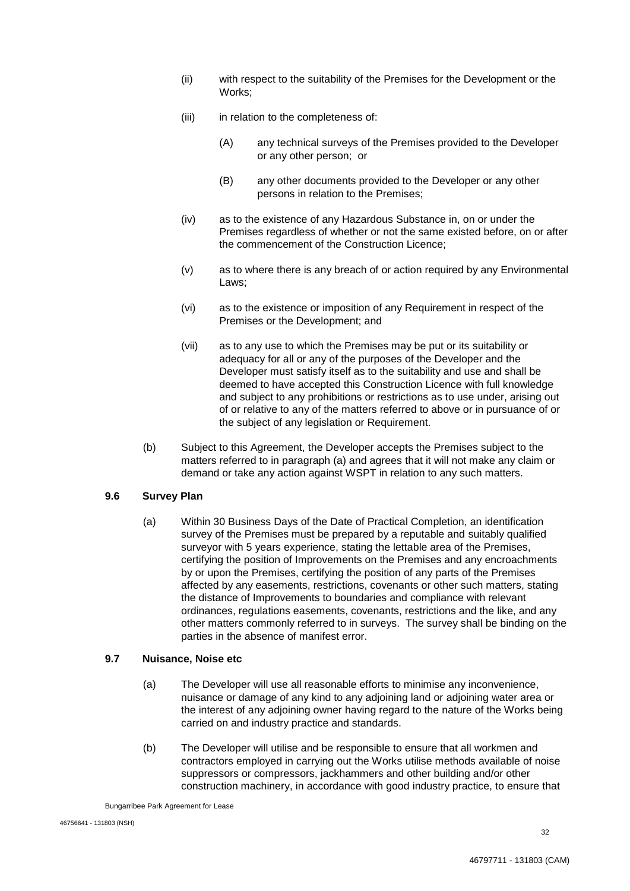- (ii) with respect to the suitability of the Premises for the Development or the Works;
- (iii) in relation to the completeness of:
	- (A) any technical surveys of the Premises provided to the Developer or any other person; or
	- (B) any other documents provided to the Developer or any other persons in relation to the Premises;
- (iv) as to the existence of any Hazardous Substance in, on or under the Premises regardless of whether or not the same existed before, on or after the commencement of the Construction Licence;
- (v) as to where there is any breach of or action required by any Environmental Laws;
- (vi) as to the existence or imposition of any Requirement in respect of the Premises or the Development; and
- (vii) as to any use to which the Premises may be put or its suitability or adequacy for all or any of the purposes of the Developer and the Developer must satisfy itself as to the suitability and use and shall be deemed to have accepted this Construction Licence with full knowledge and subject to any prohibitions or restrictions as to use under, arising out of or relative to any of the matters referred to above or in pursuance of or the subject of any legislation or Requirement.
- (b) Subject to this Agreement, the Developer accepts the Premises subject to the matters referred to in paragraph (a) and agrees that it will not make any claim or demand or take any action against WSPT in relation to any such matters.

## **9.6 Survey Plan**

(a) Within 30 Business Days of the Date of Practical Completion, an identification survey of the Premises must be prepared by a reputable and suitably qualified surveyor with 5 years experience, stating the lettable area of the Premises, certifying the position of Improvements on the Premises and any encroachments by or upon the Premises, certifying the position of any parts of the Premises affected by any easements, restrictions, covenants or other such matters, stating the distance of Improvements to boundaries and compliance with relevant ordinances, regulations easements, covenants, restrictions and the like, and any other matters commonly referred to in surveys. The survey shall be binding on the parties in the absence of manifest error.

## **9.7 Nuisance, Noise etc**

- (a) The Developer will use all reasonable efforts to minimise any inconvenience, nuisance or damage of any kind to any adjoining land or adjoining water area or the interest of any adjoining owner having regard to the nature of the Works being carried on and industry practice and standards.
- (b) The Developer will utilise and be responsible to ensure that all workmen and contractors employed in carrying out the Works utilise methods available of noise suppressors or compressors, jackhammers and other building and/or other construction machinery, in accordance with good industry practice, to ensure that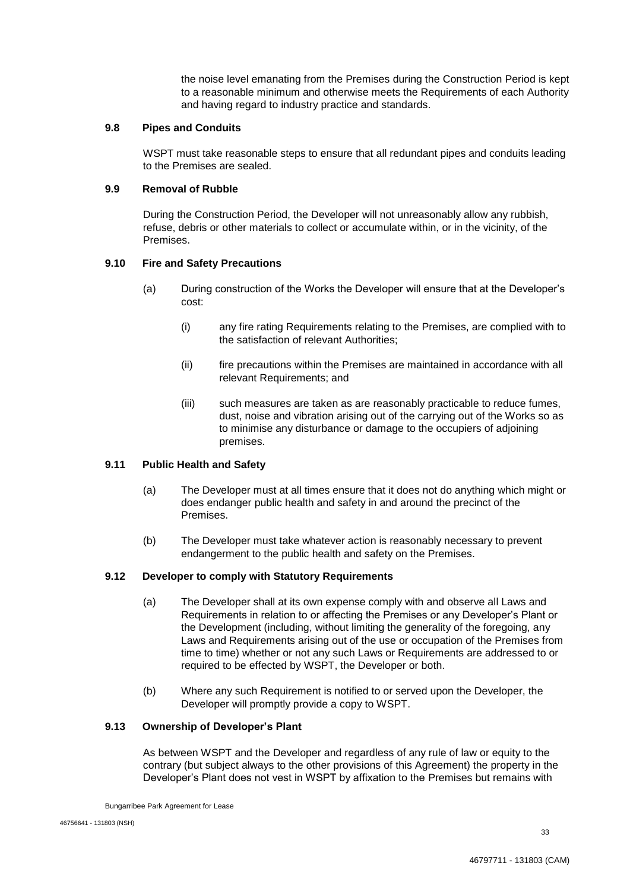the noise level emanating from the Premises during the Construction Period is kept to a reasonable minimum and otherwise meets the Requirements of each Authority and having regard to industry practice and standards.

#### **9.8 Pipes and Conduits**

WSPT must take reasonable steps to ensure that all redundant pipes and conduits leading to the Premises are sealed.

#### **9.9 Removal of Rubble**

During the Construction Period, the Developer will not unreasonably allow any rubbish, refuse, debris or other materials to collect or accumulate within, or in the vicinity, of the Premises.

## **9.10 Fire and Safety Precautions**

- (a) During construction of the Works the Developer will ensure that at the Developer's cost:
	- (i) any fire rating Requirements relating to the Premises, are complied with to the satisfaction of relevant Authorities;
	- (ii) fire precautions within the Premises are maintained in accordance with all relevant Requirements; and
	- (iii) such measures are taken as are reasonably practicable to reduce fumes, dust, noise and vibration arising out of the carrying out of the Works so as to minimise any disturbance or damage to the occupiers of adjoining premises.

#### **9.11 Public Health and Safety**

- (a) The Developer must at all times ensure that it does not do anything which might or does endanger public health and safety in and around the precinct of the Premises.
- (b) The Developer must take whatever action is reasonably necessary to prevent endangerment to the public health and safety on the Premises.

#### **9.12 Developer to comply with Statutory Requirements**

- (a) The Developer shall at its own expense comply with and observe all Laws and Requirements in relation to or affecting the Premises or any Developer's Plant or the Development (including, without limiting the generality of the foregoing, any Laws and Requirements arising out of the use or occupation of the Premises from time to time) whether or not any such Laws or Requirements are addressed to or required to be effected by WSPT, the Developer or both.
- (b) Where any such Requirement is notified to or served upon the Developer, the Developer will promptly provide a copy to WSPT.

#### **9.13 Ownership of Developer's Plant**

As between WSPT and the Developer and regardless of any rule of law or equity to the contrary (but subject always to the other provisions of this Agreement) the property in the Developer's Plant does not vest in WSPT by affixation to the Premises but remains with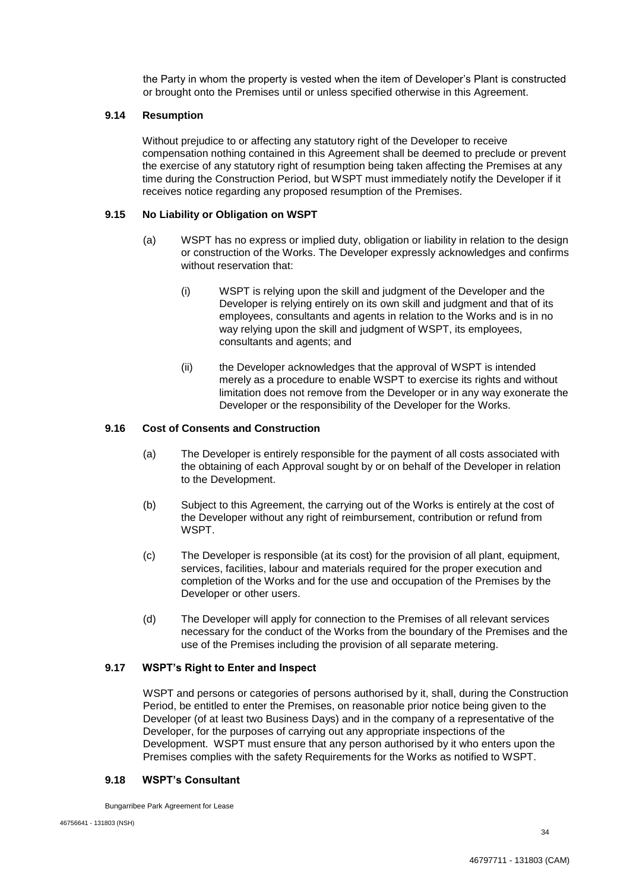the Party in whom the property is vested when the item of Developer's Plant is constructed or brought onto the Premises until or unless specified otherwise in this Agreement.

## **9.14 Resumption**

Without prejudice to or affecting any statutory right of the Developer to receive compensation nothing contained in this Agreement shall be deemed to preclude or prevent the exercise of any statutory right of resumption being taken affecting the Premises at any time during the Construction Period, but WSPT must immediately notify the Developer if it receives notice regarding any proposed resumption of the Premises.

#### **9.15 No Liability or Obligation on WSPT**

- (a) WSPT has no express or implied duty, obligation or liability in relation to the design or construction of the Works. The Developer expressly acknowledges and confirms without reservation that:
	- (i) WSPT is relying upon the skill and judgment of the Developer and the Developer is relying entirely on its own skill and judgment and that of its employees, consultants and agents in relation to the Works and is in no way relying upon the skill and judgment of WSPT, its employees, consultants and agents; and
	- (ii) the Developer acknowledges that the approval of WSPT is intended merely as a procedure to enable WSPT to exercise its rights and without limitation does not remove from the Developer or in any way exonerate the Developer or the responsibility of the Developer for the Works.

## **9.16 Cost of Consents and Construction**

- (a) The Developer is entirely responsible for the payment of all costs associated with the obtaining of each Approval sought by or on behalf of the Developer in relation to the Development.
- (b) Subject to this Agreement, the carrying out of the Works is entirely at the cost of the Developer without any right of reimbursement, contribution or refund from WSPT.
- (c) The Developer is responsible (at its cost) for the provision of all plant, equipment, services, facilities, labour and materials required for the proper execution and completion of the Works and for the use and occupation of the Premises by the Developer or other users.
- (d) The Developer will apply for connection to the Premises of all relevant services necessary for the conduct of the Works from the boundary of the Premises and the use of the Premises including the provision of all separate metering.

#### **9.17 WSPT's Right to Enter and Inspect**

WSPT and persons or categories of persons authorised by it, shall, during the Construction Period, be entitled to enter the Premises, on reasonable prior notice being given to the Developer (of at least two Business Days) and in the company of a representative of the Developer, for the purposes of carrying out any appropriate inspections of the Development. WSPT must ensure that any person authorised by it who enters upon the Premises complies with the safety Requirements for the Works as notified to WSPT.

#### **9.18 WSPT's Consultant**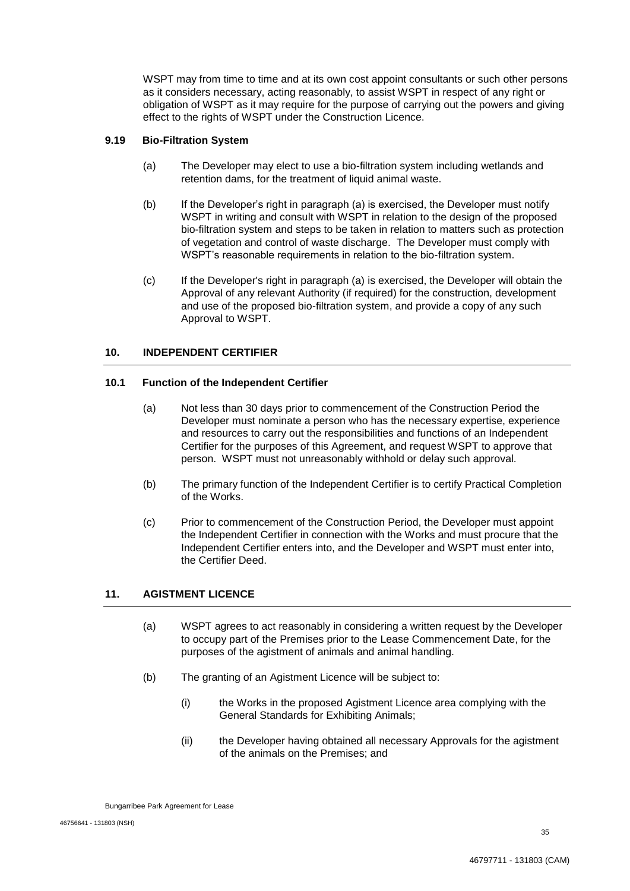WSPT may from time to time and at its own cost appoint consultants or such other persons as it considers necessary, acting reasonably, to assist WSPT in respect of any right or obligation of WSPT as it may require for the purpose of carrying out the powers and giving effect to the rights of WSPT under the Construction Licence.

## **9.19 Bio-Filtration System**

- (a) The Developer may elect to use a bio-filtration system including wetlands and retention dams, for the treatment of liquid animal waste.
- (b) If the Developer's right in paragraph (a) is exercised, the Developer must notify WSPT in writing and consult with WSPT in relation to the design of the proposed bio-filtration system and steps to be taken in relation to matters such as protection of vegetation and control of waste discharge. The Developer must comply with WSPT's reasonable requirements in relation to the bio-filtration system.
- (c) If the Developer's right in paragraph (a) is exercised, the Developer will obtain the Approval of any relevant Authority (if required) for the construction, development and use of the proposed bio-filtration system, and provide a copy of any such Approval to WSPT.

## **10. INDEPENDENT CERTIFIER**

#### **10.1 Function of the Independent Certifier**

- (a) Not less than 30 days prior to commencement of the Construction Period the Developer must nominate a person who has the necessary expertise, experience and resources to carry out the responsibilities and functions of an Independent Certifier for the purposes of this Agreement, and request WSPT to approve that person. WSPT must not unreasonably withhold or delay such approval.
- (b) The primary function of the Independent Certifier is to certify Practical Completion of the Works.
- (c) Prior to commencement of the Construction Period, the Developer must appoint the Independent Certifier in connection with the Works and must procure that the Independent Certifier enters into, and the Developer and WSPT must enter into, the Certifier Deed.

## **11. AGISTMENT LICENCE**

- (a) WSPT agrees to act reasonably in considering a written request by the Developer to occupy part of the Premises prior to the Lease Commencement Date, for the purposes of the agistment of animals and animal handling.
- (b) The granting of an Agistment Licence will be subject to:
	- (i) the Works in the proposed Agistment Licence area complying with the General Standards for Exhibiting Animals;
	- (ii) the Developer having obtained all necessary Approvals for the agistment of the animals on the Premises; and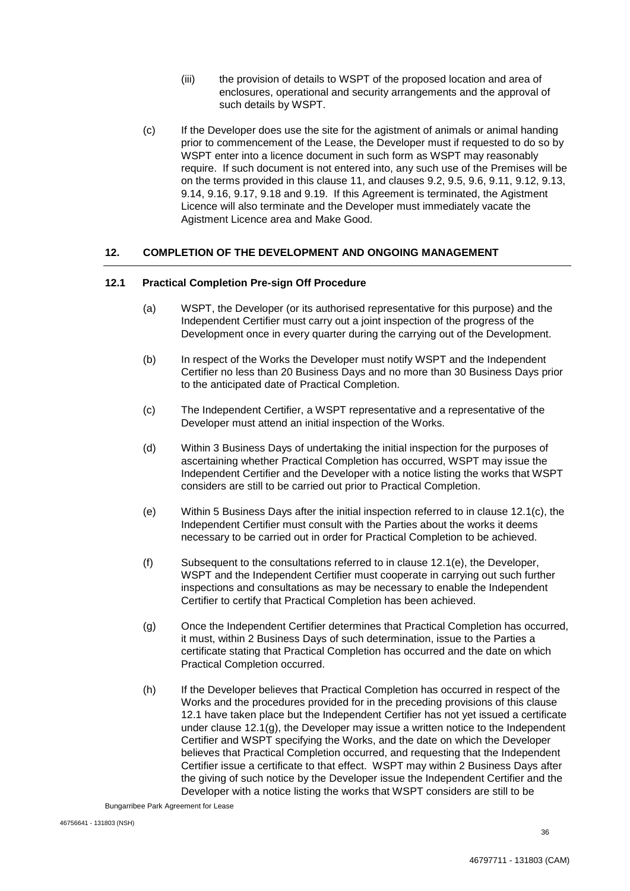- (iii) the provision of details to WSPT of the proposed location and area of enclosures, operational and security arrangements and the approval of such details by WSPT.
- (c) If the Developer does use the site for the agistment of animals or animal handing prior to commencement of the Lease, the Developer must if requested to do so by WSPT enter into a licence document in such form as WSPT may reasonably require. If such document is not entered into, any such use of the Premises will be on the terms provided in this clause 11, and clauses 9.2, 9.5, 9.6, 9.11, 9.12, 9.13, 9.14, 9.16, 9.17, 9.18 and 9.19. If this Agreement is terminated, the Agistment Licence will also terminate and the Developer must immediately vacate the Agistment Licence area and Make Good.

## **12. COMPLETION OF THE DEVELOPMENT AND ONGOING MANAGEMENT**

#### **12.1 Practical Completion Pre-sign Off Procedure**

- (a) WSPT, the Developer (or its authorised representative for this purpose) and the Independent Certifier must carry out a joint inspection of the progress of the Development once in every quarter during the carrying out of the Development.
- (b) In respect of the Works the Developer must notify WSPT and the Independent Certifier no less than 20 Business Days and no more than 30 Business Days prior to the anticipated date of Practical Completion.
- (c) The Independent Certifier, a WSPT representative and a representative of the Developer must attend an initial inspection of the Works.
- (d) Within 3 Business Days of undertaking the initial inspection for the purposes of ascertaining whether Practical Completion has occurred, WSPT may issue the Independent Certifier and the Developer with a notice listing the works that WSPT considers are still to be carried out prior to Practical Completion.
- (e) Within 5 Business Days after the initial inspection referred to in clause 12.1(c), the Independent Certifier must consult with the Parties about the works it deems necessary to be carried out in order for Practical Completion to be achieved.
- (f) Subsequent to the consultations referred to in clause 12.1(e), the Developer, WSPT and the Independent Certifier must cooperate in carrying out such further inspections and consultations as may be necessary to enable the Independent Certifier to certify that Practical Completion has been achieved.
- (g) Once the Independent Certifier determines that Practical Completion has occurred, it must, within 2 Business Days of such determination, issue to the Parties a certificate stating that Practical Completion has occurred and the date on which Practical Completion occurred.
- (h) If the Developer believes that Practical Completion has occurred in respect of the Works and the procedures provided for in the preceding provisions of this clause 12.1 have taken place but the Independent Certifier has not yet issued a certificate under clause  $12.1(q)$ , the Developer may issue a written notice to the Independent Certifier and WSPT specifying the Works, and the date on which the Developer believes that Practical Completion occurred, and requesting that the Independent Certifier issue a certificate to that effect. WSPT may within 2 Business Days after the giving of such notice by the Developer issue the Independent Certifier and the Developer with a notice listing the works that WSPT considers are still to be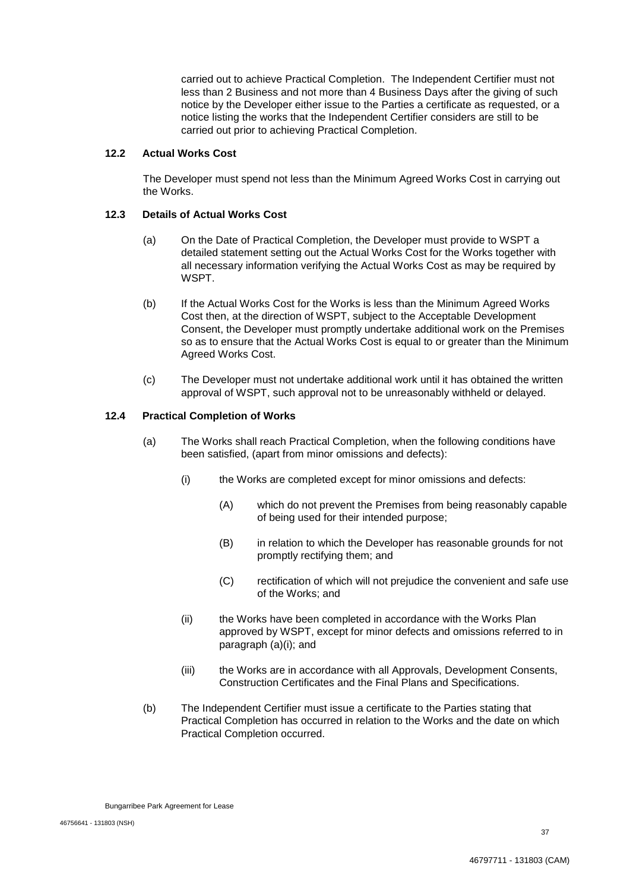carried out to achieve Practical Completion. The Independent Certifier must not less than 2 Business and not more than 4 Business Days after the giving of such notice by the Developer either issue to the Parties a certificate as requested, or a notice listing the works that the Independent Certifier considers are still to be carried out prior to achieving Practical Completion.

#### **12.2 Actual Works Cost**

The Developer must spend not less than the Minimum Agreed Works Cost in carrying out the Works.

## **12.3 Details of Actual Works Cost**

- (a) On the Date of Practical Completion, the Developer must provide to WSPT a detailed statement setting out the Actual Works Cost for the Works together with all necessary information verifying the Actual Works Cost as may be required by WSPT.
- (b) If the Actual Works Cost for the Works is less than the Minimum Agreed Works Cost then, at the direction of WSPT, subject to the Acceptable Development Consent, the Developer must promptly undertake additional work on the Premises so as to ensure that the Actual Works Cost is equal to or greater than the Minimum Agreed Works Cost.
- (c) The Developer must not undertake additional work until it has obtained the written approval of WSPT, such approval not to be unreasonably withheld or delayed.

#### **12.4 Practical Completion of Works**

- (a) The Works shall reach Practical Completion, when the following conditions have been satisfied, (apart from minor omissions and defects):
	- (i) the Works are completed except for minor omissions and defects:
		- (A) which do not prevent the Premises from being reasonably capable of being used for their intended purpose;
		- (B) in relation to which the Developer has reasonable grounds for not promptly rectifying them; and
		- (C) rectification of which will not prejudice the convenient and safe use of the Works; and
	- (ii) the Works have been completed in accordance with the Works Plan approved by WSPT, except for minor defects and omissions referred to in paragraph (a)(i); and
	- (iii) the Works are in accordance with all Approvals, Development Consents, Construction Certificates and the Final Plans and Specifications.
- (b) The Independent Certifier must issue a certificate to the Parties stating that Practical Completion has occurred in relation to the Works and the date on which Practical Completion occurred.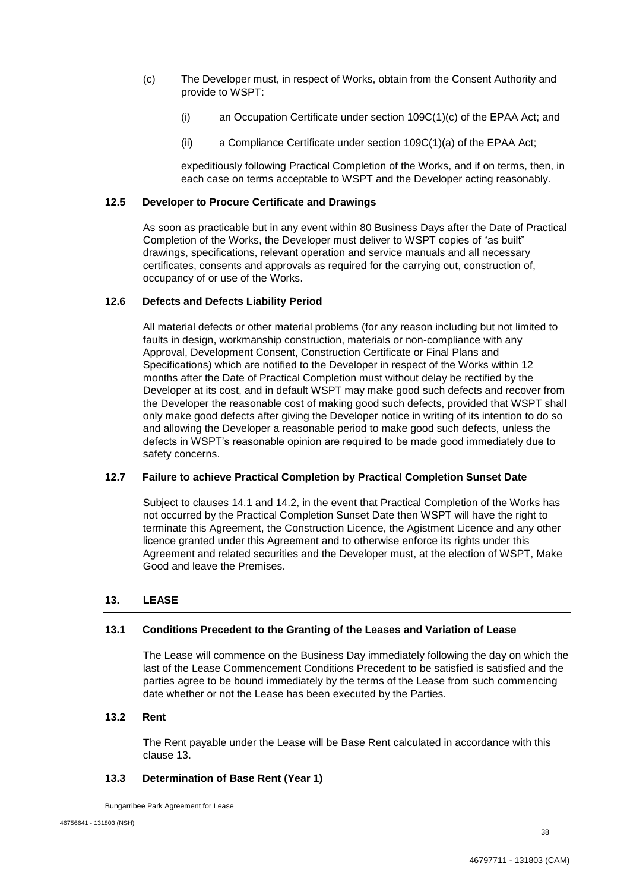- (c) The Developer must, in respect of Works, obtain from the Consent Authority and provide to WSPT:
	- (i) an Occupation Certificate under section 109C(1)(c) of the EPAA Act; and
	- (ii) a Compliance Certificate under section 109C(1)(a) of the EPAA Act;

expeditiously following Practical Completion of the Works, and if on terms, then, in each case on terms acceptable to WSPT and the Developer acting reasonably.

## **12.5 Developer to Procure Certificate and Drawings**

As soon as practicable but in any event within 80 Business Days after the Date of Practical Completion of the Works, the Developer must deliver to WSPT copies of "as built" drawings, specifications, relevant operation and service manuals and all necessary certificates, consents and approvals as required for the carrying out, construction of, occupancy of or use of the Works.

## **12.6 Defects and Defects Liability Period**

All material defects or other material problems (for any reason including but not limited to faults in design, workmanship construction, materials or non-compliance with any Approval, Development Consent, Construction Certificate or Final Plans and Specifications) which are notified to the Developer in respect of the Works within 12 months after the Date of Practical Completion must without delay be rectified by the Developer at its cost, and in default WSPT may make good such defects and recover from the Developer the reasonable cost of making good such defects, provided that WSPT shall only make good defects after giving the Developer notice in writing of its intention to do so and allowing the Developer a reasonable period to make good such defects, unless the defects in WSPT's reasonable opinion are required to be made good immediately due to safety concerns.

#### **12.7 Failure to achieve Practical Completion by Practical Completion Sunset Date**

Subject to clauses 14.1 and 14.2, in the event that Practical Completion of the Works has not occurred by the Practical Completion Sunset Date then WSPT will have the right to terminate this Agreement, the Construction Licence, the Agistment Licence and any other licence granted under this Agreement and to otherwise enforce its rights under this Agreement and related securities and the Developer must, at the election of WSPT, Make Good and leave the Premises.

## **13. LEASE**

## **13.1 Conditions Precedent to the Granting of the Leases and Variation of Lease**

The Lease will commence on the Business Day immediately following the day on which the last of the Lease Commencement Conditions Precedent to be satisfied is satisfied and the parties agree to be bound immediately by the terms of the Lease from such commencing date whether or not the Lease has been executed by the Parties.

#### **13.2 Rent**

The Rent payable under the Lease will be Base Rent calculated in accordance with this clause 13.

#### **13.3 Determination of Base Rent (Year 1)**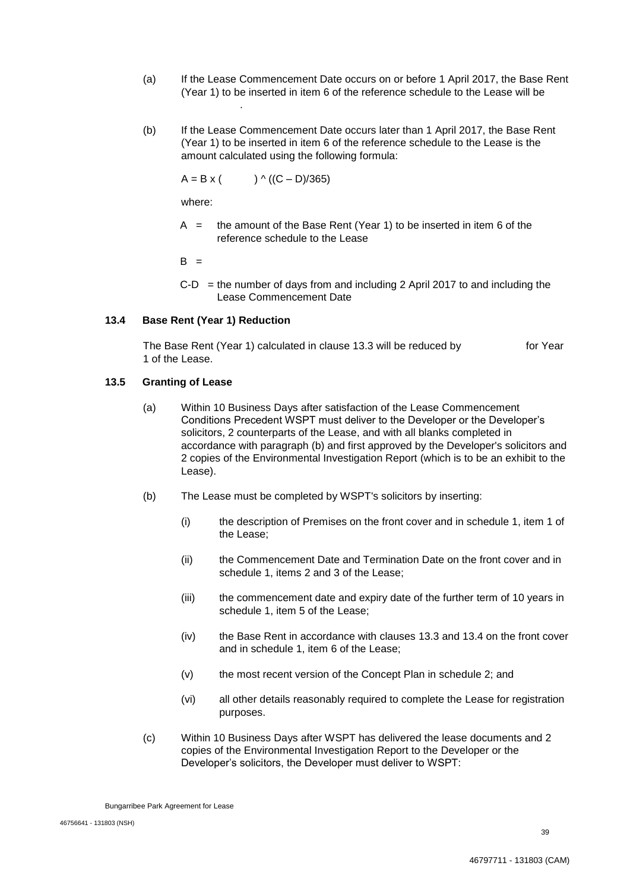- (a) If the Lease Commencement Date occurs on or before 1 April 2017, the Base Rent (Year 1) to be inserted in item 6 of the reference schedule to the Lease will be \$900,000.00.
- (b) If the Lease Commencement Date occurs later than 1 April 2017, the Base Rent (Year 1) to be inserted in item 6 of the reference schedule to the Lease is the amount calculated using the following formula:

 $A = B \times (1.07)(C - D)/365$ 

where:

 $A =$  the amount of the Base Rent (Year 1) to be inserted in item 6 of the reference schedule to the Lease

 $B =$ 

 $C-D =$  the number of days from and including 2 April 2017 to and including the Lease Commencement Date

## **13.4 Base Rent (Year 1) Reduction**

The Base Rent (Year 1) calculated in clause 13.3 will be reduced by for Year 1 of the Lease.

#### **13.5 Granting of Lease**

- (a) Within 10 Business Days after satisfaction of the Lease Commencement Conditions Precedent WSPT must deliver to the Developer or the Developer's solicitors, 2 counterparts of the Lease, and with all blanks completed in accordance with paragraph (b) and first approved by the Developer's solicitors and 2 copies of the Environmental Investigation Report (which is to be an exhibit to the Lease).
- (b) The Lease must be completed by WSPT's solicitors by inserting:
	- (i) the description of Premises on the front cover and in schedule 1, item 1 of the Lease;
	- (ii) the Commencement Date and Termination Date on the front cover and in schedule 1, items 2 and 3 of the Lease;
	- (iii) the commencement date and expiry date of the further term of 10 years in schedule 1, item 5 of the Lease;
	- (iv) the Base Rent in accordance with clauses 13.3 and 13.4 on the front cover and in schedule 1, item 6 of the Lease;
	- (v) the most recent version of the Concept Plan in schedule 2; and
	- (vi) all other details reasonably required to complete the Lease for registration purposes.
- (c) Within 10 Business Days after WSPT has delivered the lease documents and 2 copies of the Environmental Investigation Report to the Developer or the Developer's solicitors, the Developer must deliver to WSPT: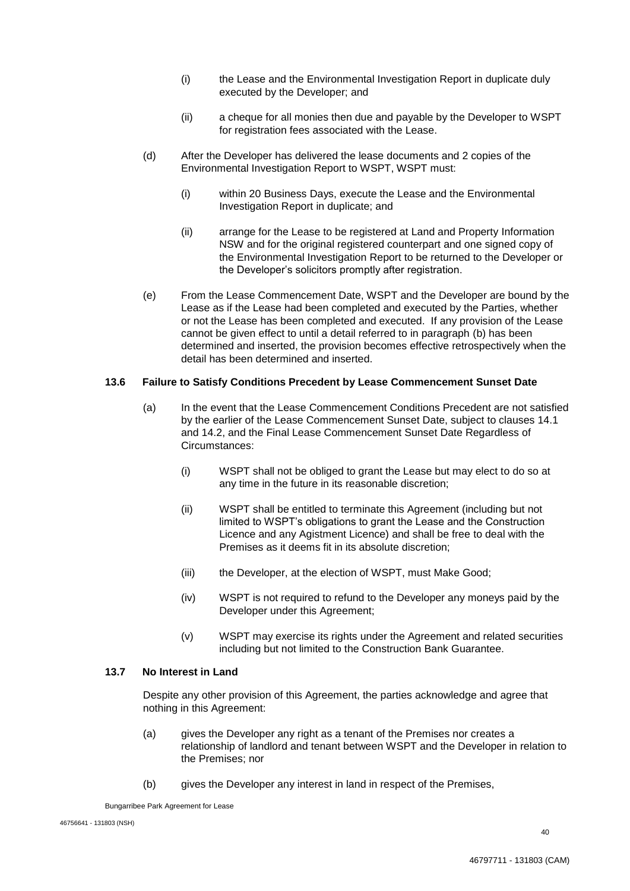- (i) the Lease and the Environmental Investigation Report in duplicate duly executed by the Developer; and
- (ii) a cheque for all monies then due and payable by the Developer to WSPT for registration fees associated with the Lease.
- (d) After the Developer has delivered the lease documents and 2 copies of the Environmental Investigation Report to WSPT, WSPT must:
	- (i) within 20 Business Days, execute the Lease and the Environmental Investigation Report in duplicate; and
	- (ii) arrange for the Lease to be registered at Land and Property Information NSW and for the original registered counterpart and one signed copy of the Environmental Investigation Report to be returned to the Developer or the Developer's solicitors promptly after registration.
- (e) From the Lease Commencement Date, WSPT and the Developer are bound by the Lease as if the Lease had been completed and executed by the Parties, whether or not the Lease has been completed and executed. If any provision of the Lease cannot be given effect to until a detail referred to in paragraph (b) has been determined and inserted, the provision becomes effective retrospectively when the detail has been determined and inserted.

#### **13.6 Failure to Satisfy Conditions Precedent by Lease Commencement Sunset Date**

- (a) In the event that the Lease Commencement Conditions Precedent are not satisfied by the earlier of the Lease Commencement Sunset Date, subject to clauses 14.1 and 14.2, and the Final Lease Commencement Sunset Date Regardless of Circumstances:
	- (i) WSPT shall not be obliged to grant the Lease but may elect to do so at any time in the future in its reasonable discretion;
	- (ii) WSPT shall be entitled to terminate this Agreement (including but not limited to WSPT's obligations to grant the Lease and the Construction Licence and any Agistment Licence) and shall be free to deal with the Premises as it deems fit in its absolute discretion;
	- (iii) the Developer, at the election of WSPT, must Make Good;
	- (iv) WSPT is not required to refund to the Developer any moneys paid by the Developer under this Agreement:
	- (v) WSPT may exercise its rights under the Agreement and related securities including but not limited to the Construction Bank Guarantee.

#### **13.7 No Interest in Land**

Despite any other provision of this Agreement, the parties acknowledge and agree that nothing in this Agreement:

- (a) gives the Developer any right as a tenant of the Premises nor creates a relationship of landlord and tenant between WSPT and the Developer in relation to the Premises; nor
- (b) gives the Developer any interest in land in respect of the Premises,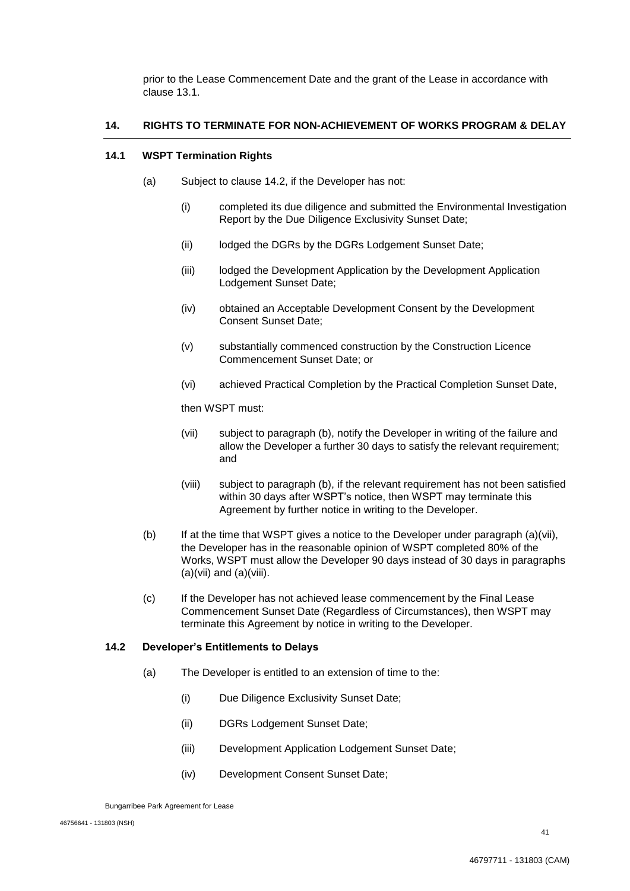prior to the Lease Commencement Date and the grant of the Lease in accordance with clause 13.1.

# **14. RIGHTS TO TERMINATE FOR NON-ACHIEVEMENT OF WORKS PROGRAM & DELAY**

### **14.1 WSPT Termination Rights**

- (a) Subject to clause 14.2, if the Developer has not:
	- (i) completed its due diligence and submitted the Environmental Investigation Report by the Due Diligence Exclusivity Sunset Date;
	- (ii) lodged the DGRs by the DGRs Lodgement Sunset Date;
	- (iii) lodged the Development Application by the Development Application Lodgement Sunset Date;
	- (iv) obtained an Acceptable Development Consent by the Development Consent Sunset Date;
	- (v) substantially commenced construction by the Construction Licence Commencement Sunset Date; or
	- (vi) achieved Practical Completion by the Practical Completion Sunset Date,

then WSPT must:

- (vii) subject to paragraph (b), notify the Developer in writing of the failure and allow the Developer a further 30 days to satisfy the relevant requirement; and
- (viii) subject to paragraph (b), if the relevant requirement has not been satisfied within 30 days after WSPT's notice, then WSPT may terminate this Agreement by further notice in writing to the Developer.
- (b) If at the time that WSPT gives a notice to the Developer under paragraph (a)(vii), the Developer has in the reasonable opinion of WSPT completed 80% of the Works, WSPT must allow the Developer 90 days instead of 30 days in paragraphs  $(a)(vii)$  and  $(a)(viii)$ .
- (c) If the Developer has not achieved lease commencement by the Final Lease Commencement Sunset Date (Regardless of Circumstances), then WSPT may terminate this Agreement by notice in writing to the Developer.

## **14.2 Developer's Entitlements to Delays**

- (a) The Developer is entitled to an extension of time to the:
	- (i) Due Diligence Exclusivity Sunset Date;
	- (ii) DGRs Lodgement Sunset Date;
	- (iii) Development Application Lodgement Sunset Date;
	- (iv) Development Consent Sunset Date;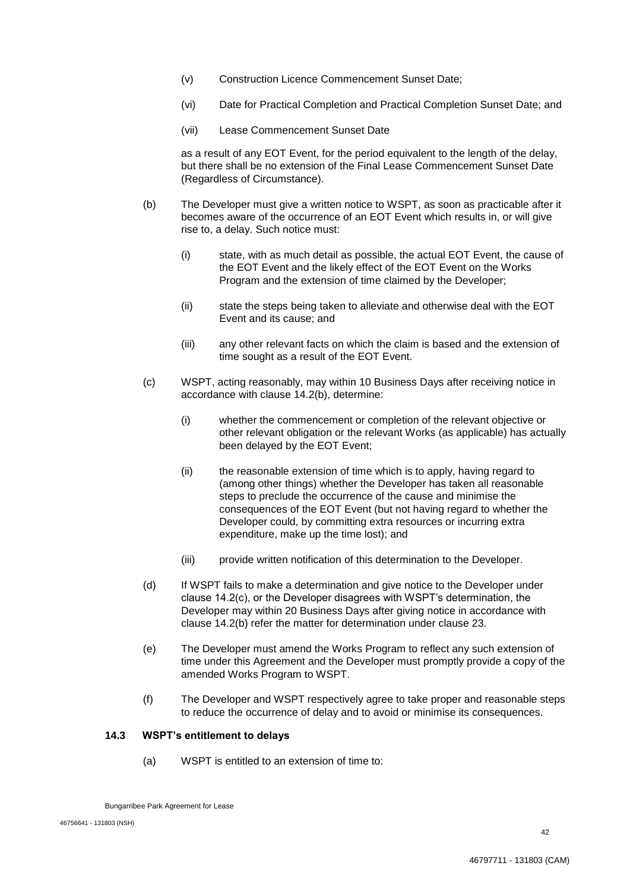- (v) Construction Licence Commencement Sunset Date;
- (vi) Date for Practical Completion and Practical Completion Sunset Date; and
- (vii) Lease Commencement Sunset Date

as a result of any EOT Event, for the period equivalent to the length of the delay, but there shall be no extension of the Final Lease Commencement Sunset Date (Regardless of Circumstance).

- (b) The Developer must give a written notice to WSPT, as soon as practicable after it becomes aware of the occurrence of an EOT Event which results in, or will give rise to, a delay. Such notice must:
	- (i) state, with as much detail as possible, the actual EOT Event, the cause of the EOT Event and the likely effect of the EOT Event on the Works Program and the extension of time claimed by the Developer;
	- (ii) state the steps being taken to alleviate and otherwise deal with the EOT Event and its cause; and
	- (iii) any other relevant facts on which the claim is based and the extension of time sought as a result of the EOT Event.
- (c) WSPT, acting reasonably, may within 10 Business Days after receiving notice in accordance with clause 14.2(b), determine:
	- (i) whether the commencement or completion of the relevant objective or other relevant obligation or the relevant Works (as applicable) has actually been delayed by the EOT Event;
	- (ii) the reasonable extension of time which is to apply, having regard to (among other things) whether the Developer has taken all reasonable steps to preclude the occurrence of the cause and minimise the consequences of the EOT Event (but not having regard to whether the Developer could, by committing extra resources or incurring extra expenditure, make up the time lost); and
	- (iii) provide written notification of this determination to the Developer.
- (d) If WSPT fails to make a determination and give notice to the Developer under clause 14.2(c), or the Developer disagrees with WSPT's determination, the Developer may within 20 Business Days after giving notice in accordance with clause 14.2(b) refer the matter for determination under clause 23.
- (e) The Developer must amend the Works Program to reflect any such extension of time under this Agreement and the Developer must promptly provide a copy of the amended Works Program to WSPT.
- (f) The Developer and WSPT respectively agree to take proper and reasonable steps to reduce the occurrence of delay and to avoid or minimise its consequences.

## **14.3 WSPT's entitlement to delays**

(a) WSPT is entitled to an extension of time to: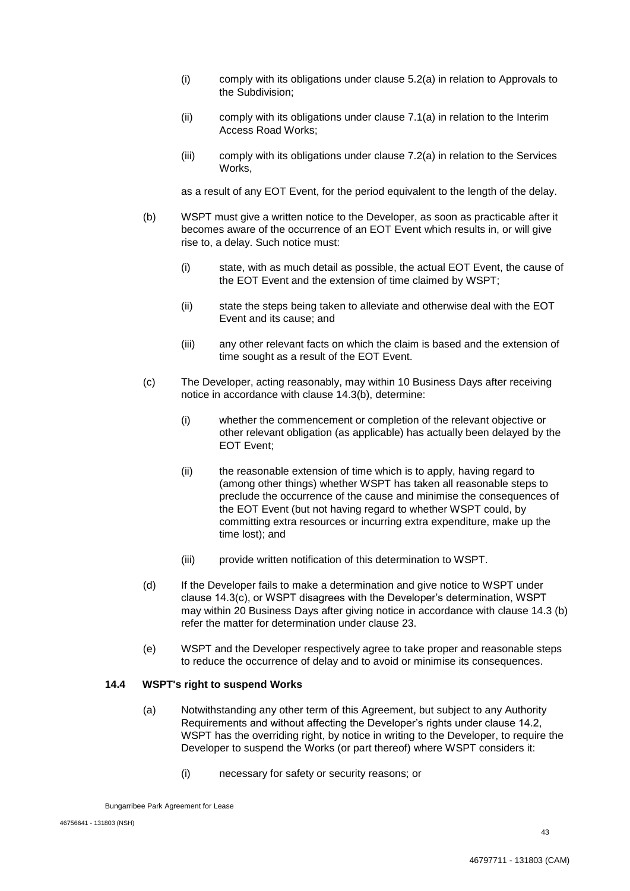- (i) comply with its obligations under clause 5.2(a) in relation to Approvals to the Subdivision;
- (ii) comply with its obligations under clause 7.1(a) in relation to the Interim Access Road Works;
- (iii) comply with its obligations under clause 7.2(a) in relation to the Services Works,

as a result of any EOT Event, for the period equivalent to the length of the delay.

- (b) WSPT must give a written notice to the Developer, as soon as practicable after it becomes aware of the occurrence of an EOT Event which results in, or will give rise to, a delay. Such notice must:
	- (i) state, with as much detail as possible, the actual EOT Event, the cause of the EOT Event and the extension of time claimed by WSPT;
	- (ii) state the steps being taken to alleviate and otherwise deal with the EOT Event and its cause; and
	- (iii) any other relevant facts on which the claim is based and the extension of time sought as a result of the EOT Event.
- (c) The Developer, acting reasonably, may within 10 Business Days after receiving notice in accordance with clause 14.3(b), determine:
	- (i) whether the commencement or completion of the relevant objective or other relevant obligation (as applicable) has actually been delayed by the EOT Event;
	- (ii) the reasonable extension of time which is to apply, having regard to (among other things) whether WSPT has taken all reasonable steps to preclude the occurrence of the cause and minimise the consequences of the EOT Event (but not having regard to whether WSPT could, by committing extra resources or incurring extra expenditure, make up the time lost); and
	- (iii) provide written notification of this determination to WSPT.
- (d) If the Developer fails to make a determination and give notice to WSPT under clause 14.3(c), or WSPT disagrees with the Developer's determination, WSPT may within 20 Business Days after giving notice in accordance with clause 14.3 (b) refer the matter for determination under clause 23.
- (e) WSPT and the Developer respectively agree to take proper and reasonable steps to reduce the occurrence of delay and to avoid or minimise its consequences.

#### **14.4 WSPT's right to suspend Works**

- (a) Notwithstanding any other term of this Agreement, but subject to any Authority Requirements and without affecting the Developer's rights under clause 14.2, WSPT has the overriding right, by notice in writing to the Developer, to require the Developer to suspend the Works (or part thereof) where WSPT considers it:
	- (i) necessary for safety or security reasons; or

Bungarribee Park Agreement for Lease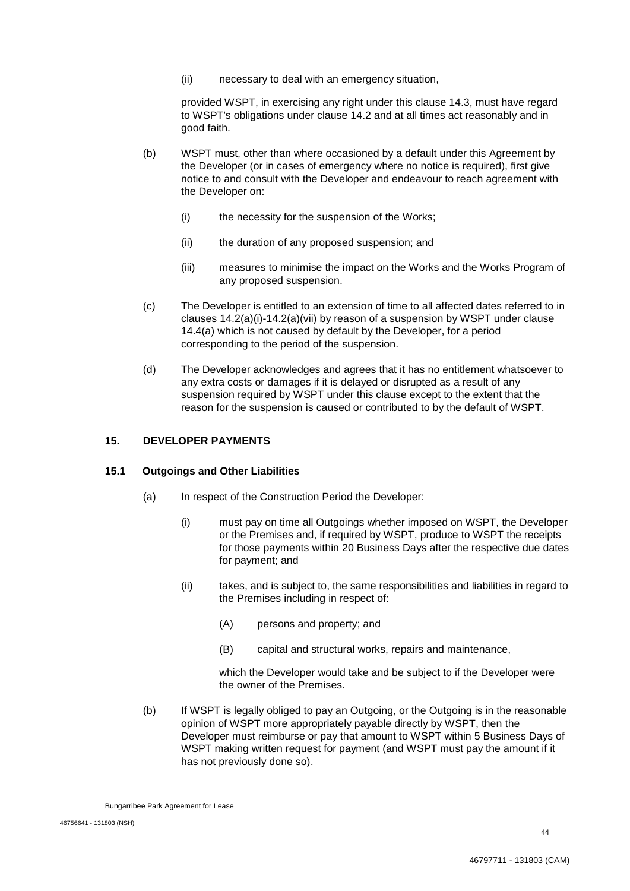(ii) necessary to deal with an emergency situation,

provided WSPT, in exercising any right under this clause 14.3, must have regard to WSPT's obligations under clause 14.2 and at all times act reasonably and in good faith.

- (b) WSPT must, other than where occasioned by a default under this Agreement by the Developer (or in cases of emergency where no notice is required), first give notice to and consult with the Developer and endeavour to reach agreement with the Developer on:
	- (i) the necessity for the suspension of the Works;
	- (ii) the duration of any proposed suspension; and
	- (iii) measures to minimise the impact on the Works and the Works Program of any proposed suspension.
- (c) The Developer is entitled to an extension of time to all affected dates referred to in clauses 14.2(a)(i)-14.2(a)(vii) by reason of a suspension by WSPT under clause 14.4(a) which is not caused by default by the Developer, for a period corresponding to the period of the suspension.
- (d) The Developer acknowledges and agrees that it has no entitlement whatsoever to any extra costs or damages if it is delayed or disrupted as a result of any suspension required by WSPT under this clause except to the extent that the reason for the suspension is caused or contributed to by the default of WSPT.

# **15. DEVELOPER PAYMENTS**

## **15.1 Outgoings and Other Liabilities**

- (a) In respect of the Construction Period the Developer:
	- (i) must pay on time all Outgoings whether imposed on WSPT, the Developer or the Premises and, if required by WSPT, produce to WSPT the receipts for those payments within 20 Business Days after the respective due dates for payment; and
	- (ii) takes, and is subject to, the same responsibilities and liabilities in regard to the Premises including in respect of:
		- (A) persons and property; and
		- (B) capital and structural works, repairs and maintenance,

which the Developer would take and be subject to if the Developer were the owner of the Premises.

(b) If WSPT is legally obliged to pay an Outgoing, or the Outgoing is in the reasonable opinion of WSPT more appropriately payable directly by WSPT, then the Developer must reimburse or pay that amount to WSPT within 5 Business Days of WSPT making written request for payment (and WSPT must pay the amount if it has not previously done so).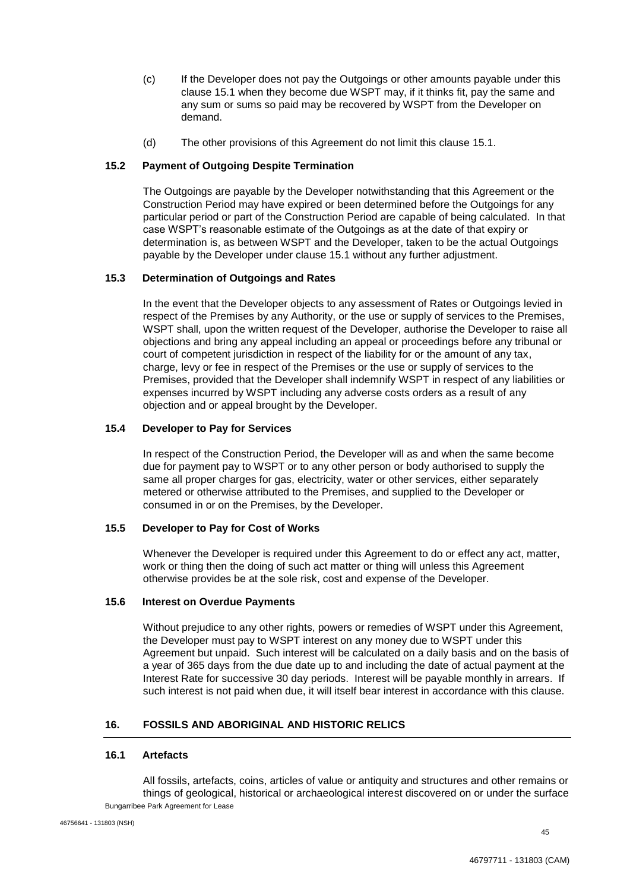- (c) If the Developer does not pay the Outgoings or other amounts payable under this clause 15.1 when they become due WSPT may, if it thinks fit, pay the same and any sum or sums so paid may be recovered by WSPT from the Developer on demand.
- (d) The other provisions of this Agreement do not limit this clause 15.1.

## **15.2 Payment of Outgoing Despite Termination**

The Outgoings are payable by the Developer notwithstanding that this Agreement or the Construction Period may have expired or been determined before the Outgoings for any particular period or part of the Construction Period are capable of being calculated. In that case WSPT's reasonable estimate of the Outgoings as at the date of that expiry or determination is, as between WSPT and the Developer, taken to be the actual Outgoings payable by the Developer under clause 15.1 without any further adjustment.

## **15.3 Determination of Outgoings and Rates**

In the event that the Developer objects to any assessment of Rates or Outgoings levied in respect of the Premises by any Authority, or the use or supply of services to the Premises, WSPT shall, upon the written request of the Developer, authorise the Developer to raise all objections and bring any appeal including an appeal or proceedings before any tribunal or court of competent jurisdiction in respect of the liability for or the amount of any tax, charge, levy or fee in respect of the Premises or the use or supply of services to the Premises, provided that the Developer shall indemnify WSPT in respect of any liabilities or expenses incurred by WSPT including any adverse costs orders as a result of any objection and or appeal brought by the Developer.

#### **15.4 Developer to Pay for Services**

In respect of the Construction Period, the Developer will as and when the same become due for payment pay to WSPT or to any other person or body authorised to supply the same all proper charges for gas, electricity, water or other services, either separately metered or otherwise attributed to the Premises, and supplied to the Developer or consumed in or on the Premises, by the Developer.

## **15.5 Developer to Pay for Cost of Works**

Whenever the Developer is required under this Agreement to do or effect any act, matter, work or thing then the doing of such act matter or thing will unless this Agreement otherwise provides be at the sole risk, cost and expense of the Developer.

## **15.6 Interest on Overdue Payments**

Without prejudice to any other rights, powers or remedies of WSPT under this Agreement, the Developer must pay to WSPT interest on any money due to WSPT under this Agreement but unpaid. Such interest will be calculated on a daily basis and on the basis of a year of 365 days from the due date up to and including the date of actual payment at the Interest Rate for successive 30 day periods. Interest will be payable monthly in arrears. If such interest is not paid when due, it will itself bear interest in accordance with this clause.

# **16. FOSSILS AND ABORIGINAL AND HISTORIC RELICS**

#### **16.1 Artefacts**

Bungarribee Park Agreement for Lease All fossils, artefacts, coins, articles of value or antiquity and structures and other remains or things of geological, historical or archaeological interest discovered on or under the surface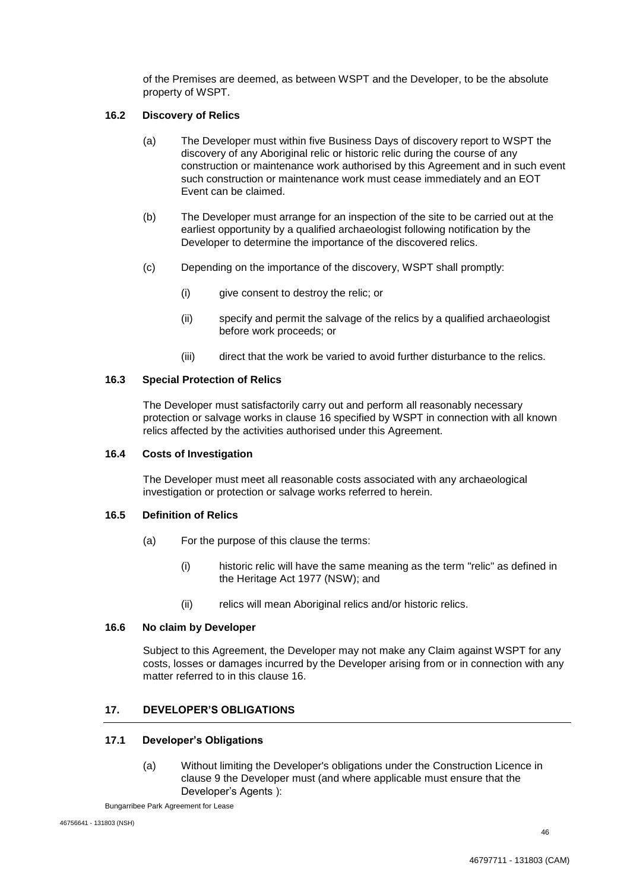of the Premises are deemed, as between WSPT and the Developer, to be the absolute property of WSPT.

## **16.2 Discovery of Relics**

- (a) The Developer must within five Business Days of discovery report to WSPT the discovery of any Aboriginal relic or historic relic during the course of any construction or maintenance work authorised by this Agreement and in such event such construction or maintenance work must cease immediately and an EOT Event can be claimed.
- (b) The Developer must arrange for an inspection of the site to be carried out at the earliest opportunity by a qualified archaeologist following notification by the Developer to determine the importance of the discovered relics.
- (c) Depending on the importance of the discovery, WSPT shall promptly:
	- (i) give consent to destroy the relic; or
	- (ii) specify and permit the salvage of the relics by a qualified archaeologist before work proceeds; or
	- (iii) direct that the work be varied to avoid further disturbance to the relics.

## **16.3 Special Protection of Relics**

The Developer must satisfactorily carry out and perform all reasonably necessary protection or salvage works in clause 16 specified by WSPT in connection with all known relics affected by the activities authorised under this Agreement.

#### **16.4 Costs of Investigation**

The Developer must meet all reasonable costs associated with any archaeological investigation or protection or salvage works referred to herein.

#### **16.5 Definition of Relics**

- (a) For the purpose of this clause the terms:
	- (i) historic relic will have the same meaning as the term "relic" as defined in the Heritage Act 1977 (NSW); and
	- (ii) relics will mean Aboriginal relics and/or historic relics.

#### **16.6 No claim by Developer**

Subject to this Agreement, the Developer may not make any Claim against WSPT for any costs, losses or damages incurred by the Developer arising from or in connection with any matter referred to in this clause 16.

## **17. DEVELOPER'S OBLIGATIONS**

## **17.1 Developer's Obligations**

(a) Without limiting the Developer's obligations under the Construction Licence in clause 9 the Developer must (and where applicable must ensure that the Developer's Agents ):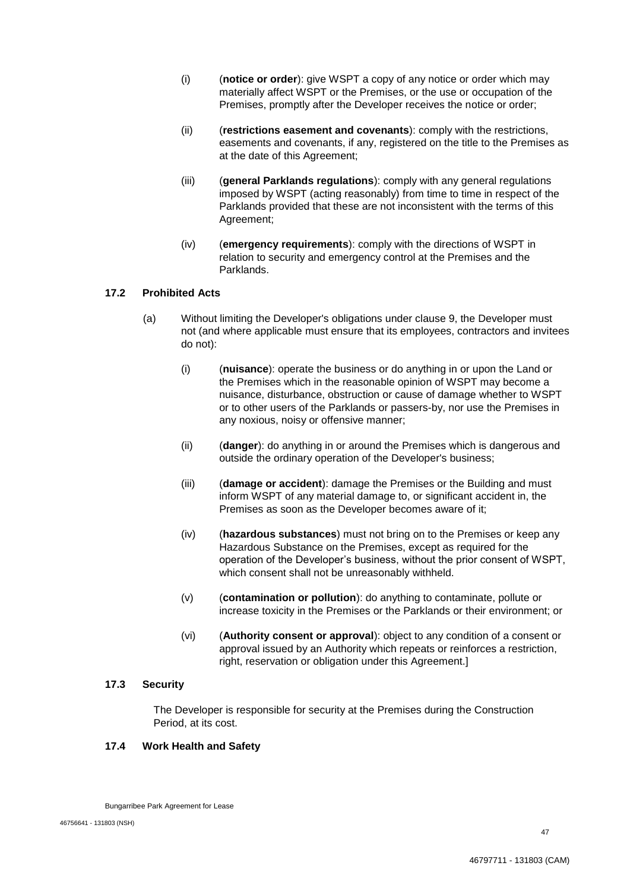- (i) (**notice or order**): give WSPT a copy of any notice or order which may materially affect WSPT or the Premises, or the use or occupation of the Premises, promptly after the Developer receives the notice or order;
- (ii) (**restrictions easement and covenants**): comply with the restrictions, easements and covenants, if any, registered on the title to the Premises as at the date of this Agreement;
- (iii) (**general Parklands regulations**): comply with any general regulations imposed by WSPT (acting reasonably) from time to time in respect of the Parklands provided that these are not inconsistent with the terms of this Agreement;
- (iv) (**emergency requirements**): comply with the directions of WSPT in relation to security and emergency control at the Premises and the Parklands.

## **17.2 Prohibited Acts**

- (a) Without limiting the Developer's obligations under clause 9, the Developer must not (and where applicable must ensure that its employees, contractors and invitees do not):
	- (i) (**nuisance**): operate the business or do anything in or upon the Land or the Premises which in the reasonable opinion of WSPT may become a nuisance, disturbance, obstruction or cause of damage whether to WSPT or to other users of the Parklands or passers-by, nor use the Premises in any noxious, noisy or offensive manner;
	- (ii) (**danger**): do anything in or around the Premises which is dangerous and outside the ordinary operation of the Developer's business;
	- (iii) (**damage or accident**): damage the Premises or the Building and must inform WSPT of any material damage to, or significant accident in, the Premises as soon as the Developer becomes aware of it;
	- (iv) (**hazardous substances**) must not bring on to the Premises or keep any Hazardous Substance on the Premises, except as required for the operation of the Developer's business, without the prior consent of WSPT, which consent shall not be unreasonably withheld.
	- (v) (**contamination or pollution**): do anything to contaminate, pollute or increase toxicity in the Premises or the Parklands or their environment; or
	- (vi) (**Authority consent or approval**): object to any condition of a consent or approval issued by an Authority which repeats or reinforces a restriction, right, reservation or obligation under this Agreement.]

## **17.3 Security**

The Developer is responsible for security at the Premises during the Construction Period, at its cost.

## **17.4 Work Health and Safety**

Bungarribee Park Agreement for Lease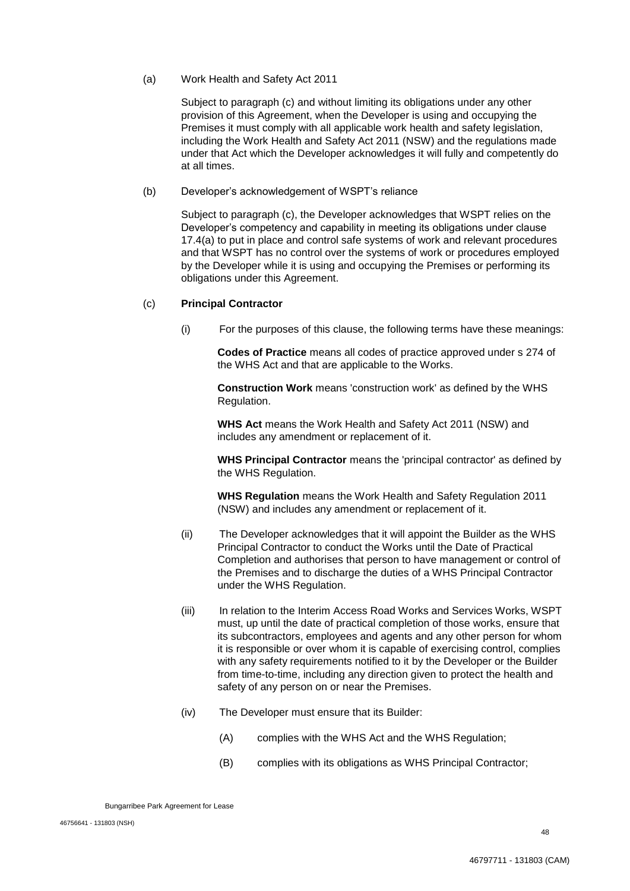(a) Work Health and Safety Act 2011

Subject to paragraph (c) and without limiting its obligations under any other provision of this Agreement, when the Developer is using and occupying the Premises it must comply with all applicable work health and safety legislation, including the Work Health and Safety Act 2011 (NSW) and the regulations made under that Act which the Developer acknowledges it will fully and competently do at all times.

(b) Developer's acknowledgement of WSPT's reliance

Subject to paragraph (c), the Developer acknowledges that WSPT relies on the Developer's competency and capability in meeting its obligations under clause 17.4(a) to put in place and control safe systems of work and relevant procedures and that WSPT has no control over the systems of work or procedures employed by the Developer while it is using and occupying the Premises or performing its obligations under this Agreement.

#### (c) **Principal Contractor**

(i) For the purposes of this clause, the following terms have these meanings:

**Codes of Practice** means all codes of practice approved under s 274 of the WHS Act and that are applicable to the Works.

**Construction Work** means 'construction work' as defined by the WHS Regulation.

**WHS Act** means the Work Health and Safety Act 2011 (NSW) and includes any amendment or replacement of it.

**WHS Principal Contractor** means the 'principal contractor' as defined by the WHS Regulation.

**WHS Regulation** means the Work Health and Safety Regulation 2011 (NSW) and includes any amendment or replacement of it.

- (ii) The Developer acknowledges that it will appoint the Builder as the WHS Principal Contractor to conduct the Works until the Date of Practical Completion and authorises that person to have management or control of the Premises and to discharge the duties of a WHS Principal Contractor under the WHS Regulation.
- (iii) In relation to the Interim Access Road Works and Services Works, WSPT must, up until the date of practical completion of those works, ensure that its subcontractors, employees and agents and any other person for whom it is responsible or over whom it is capable of exercising control, complies with any safety requirements notified to it by the Developer or the Builder from time-to-time, including any direction given to protect the health and safety of any person on or near the Premises.
- (iv) The Developer must ensure that its Builder:
	- (A) complies with the WHS Act and the WHS Regulation;
	- (B) complies with its obligations as WHS Principal Contractor;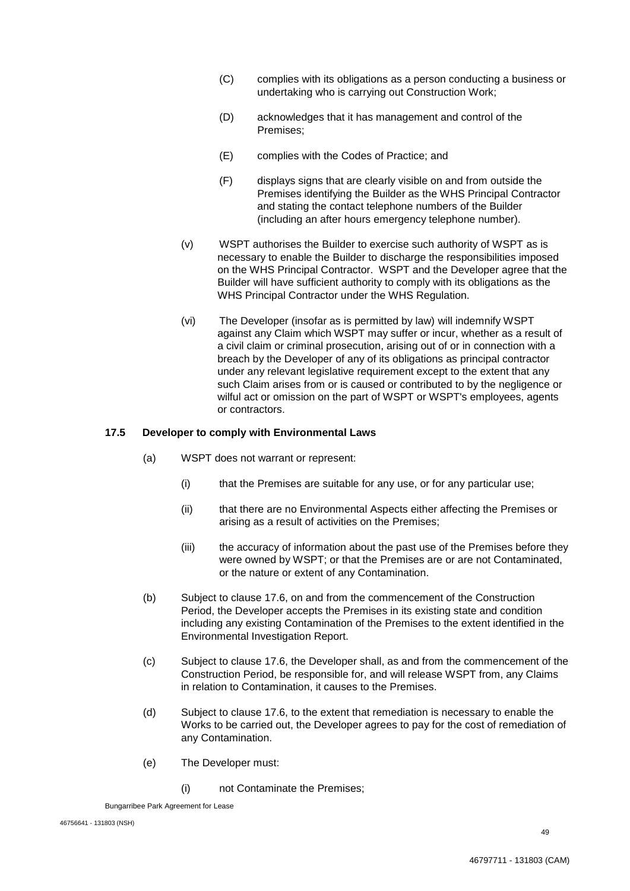- (C) complies with its obligations as a person conducting a business or undertaking who is carrying out Construction Work;
- (D) acknowledges that it has management and control of the Premises;
- (E) complies with the Codes of Practice; and
- (F) displays signs that are clearly visible on and from outside the Premises identifying the Builder as the WHS Principal Contractor and stating the contact telephone numbers of the Builder (including an after hours emergency telephone number).
- (v) WSPT authorises the Builder to exercise such authority of WSPT as is necessary to enable the Builder to discharge the responsibilities imposed on the WHS Principal Contractor. WSPT and the Developer agree that the Builder will have sufficient authority to comply with its obligations as the WHS Principal Contractor under the WHS Regulation.
- (vi) The Developer (insofar as is permitted by law) will indemnify WSPT against any Claim which WSPT may suffer or incur, whether as a result of a civil claim or criminal prosecution, arising out of or in connection with a breach by the Developer of any of its obligations as principal contractor under any relevant legislative requirement except to the extent that any such Claim arises from or is caused or contributed to by the negligence or wilful act or omission on the part of WSPT or WSPT's employees, agents or contractors.

## **17.5 Developer to comply with Environmental Laws**

- (a) WSPT does not warrant or represent:
	- (i) that the Premises are suitable for any use, or for any particular use;
	- (ii) that there are no Environmental Aspects either affecting the Premises or arising as a result of activities on the Premises;
	- (iii) the accuracy of information about the past use of the Premises before they were owned by WSPT; or that the Premises are or are not Contaminated, or the nature or extent of any Contamination.
- (b) Subject to clause 17.6, on and from the commencement of the Construction Period, the Developer accepts the Premises in its existing state and condition including any existing Contamination of the Premises to the extent identified in the Environmental Investigation Report.
- (c) Subject to clause 17.6, the Developer shall, as and from the commencement of the Construction Period, be responsible for, and will release WSPT from, any Claims in relation to Contamination, it causes to the Premises.
- (d) Subject to clause 17.6, to the extent that remediation is necessary to enable the Works to be carried out, the Developer agrees to pay for the cost of remediation of any Contamination.
- (e) The Developer must:
	- (i) not Contaminate the Premises;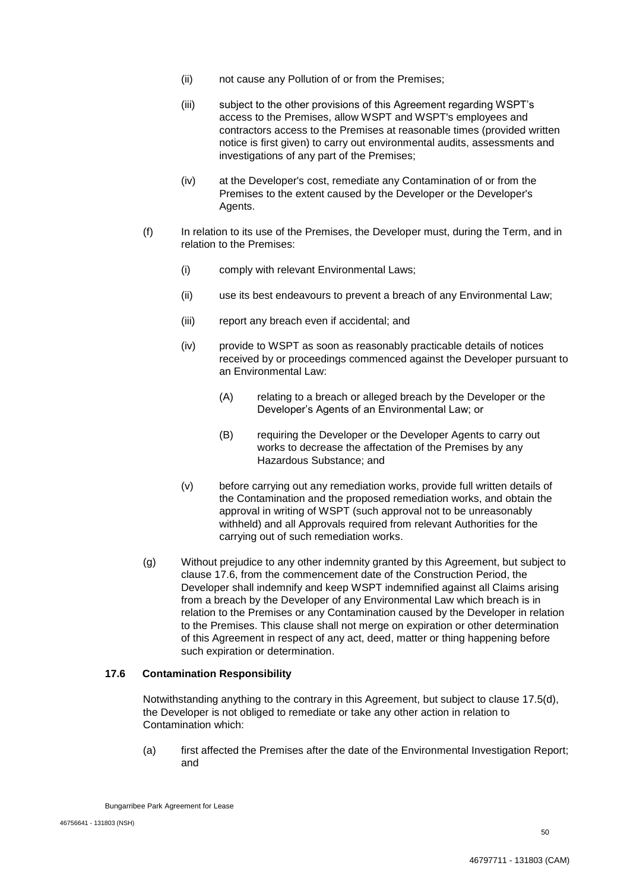- (ii) not cause any Pollution of or from the Premises;
- (iii) subject to the other provisions of this Agreement regarding WSPT's access to the Premises, allow WSPT and WSPT's employees and contractors access to the Premises at reasonable times (provided written notice is first given) to carry out environmental audits, assessments and investigations of any part of the Premises;
- (iv) at the Developer's cost, remediate any Contamination of or from the Premises to the extent caused by the Developer or the Developer's Agents.
- (f) In relation to its use of the Premises, the Developer must, during the Term, and in relation to the Premises:
	- (i) comply with relevant Environmental Laws;
	- (ii) use its best endeavours to prevent a breach of any Environmental Law;
	- (iii) report any breach even if accidental; and
	- (iv) provide to WSPT as soon as reasonably practicable details of notices received by or proceedings commenced against the Developer pursuant to an Environmental Law:
		- (A) relating to a breach or alleged breach by the Developer or the Developer's Agents of an Environmental Law; or
		- (B) requiring the Developer or the Developer Agents to carry out works to decrease the affectation of the Premises by any Hazardous Substance; and
	- (v) before carrying out any remediation works, provide full written details of the Contamination and the proposed remediation works, and obtain the approval in writing of WSPT (such approval not to be unreasonably withheld) and all Approvals required from relevant Authorities for the carrying out of such remediation works.
- (g) Without prejudice to any other indemnity granted by this Agreement, but subject to clause 17.6, from the commencement date of the Construction Period, the Developer shall indemnify and keep WSPT indemnified against all Claims arising from a breach by the Developer of any Environmental Law which breach is in relation to the Premises or any Contamination caused by the Developer in relation to the Premises. This clause shall not merge on expiration or other determination of this Agreement in respect of any act, deed, matter or thing happening before such expiration or determination.

#### **17.6 Contamination Responsibility**

Notwithstanding anything to the contrary in this Agreement, but subject to clause 17.5(d), the Developer is not obliged to remediate or take any other action in relation to Contamination which:

(a) first affected the Premises after the date of the Environmental Investigation Report; and

Bungarribee Park Agreement for Lease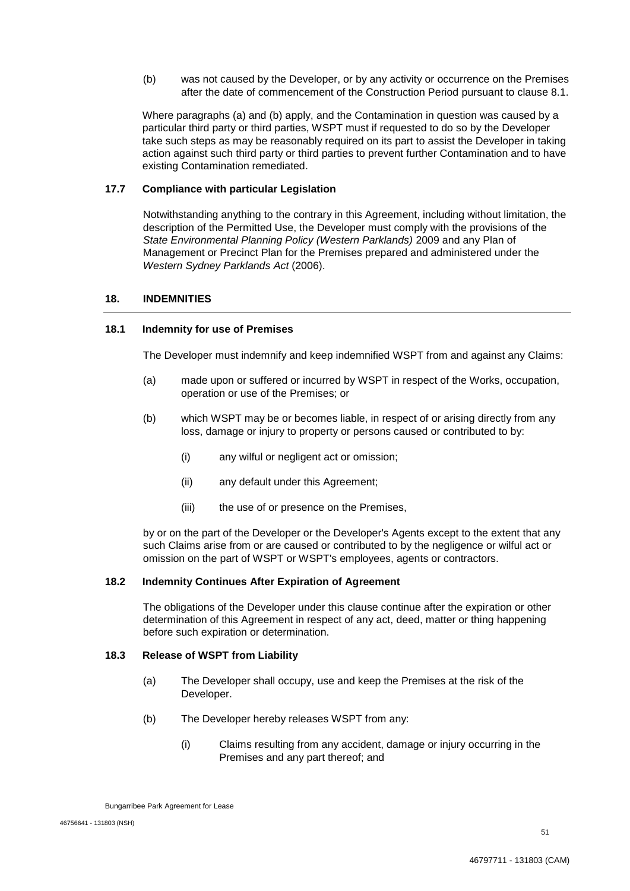(b) was not caused by the Developer, or by any activity or occurrence on the Premises after the date of commencement of the Construction Period pursuant to clause 8.1.

Where paragraphs (a) and (b) apply, and the Contamination in question was caused by a particular third party or third parties, WSPT must if requested to do so by the Developer take such steps as may be reasonably required on its part to assist the Developer in taking action against such third party or third parties to prevent further Contamination and to have existing Contamination remediated.

## **17.7 Compliance with particular Legislation**

Notwithstanding anything to the contrary in this Agreement, including without limitation, the description of the Permitted Use, the Developer must comply with the provisions of the *State Environmental Planning Policy (Western Parklands)* 2009 and any Plan of Management or Precinct Plan for the Premises prepared and administered under the *Western Sydney Parklands Act* (2006).

#### **18. INDEMNITIES**

#### **18.1 Indemnity for use of Premises**

The Developer must indemnify and keep indemnified WSPT from and against any Claims:

- (a) made upon or suffered or incurred by WSPT in respect of the Works, occupation, operation or use of the Premises; or
- (b) which WSPT may be or becomes liable, in respect of or arising directly from any loss, damage or injury to property or persons caused or contributed to by:
	- (i) any wilful or negligent act or omission;
	- (ii) any default under this Agreement;
	- (iii) the use of or presence on the Premises,

by or on the part of the Developer or the Developer's Agents except to the extent that any such Claims arise from or are caused or contributed to by the negligence or wilful act or omission on the part of WSPT or WSPT's employees, agents or contractors.

#### **18.2 Indemnity Continues After Expiration of Agreement**

The obligations of the Developer under this clause continue after the expiration or other determination of this Agreement in respect of any act, deed, matter or thing happening before such expiration or determination.

## **18.3 Release of WSPT from Liability**

- (a) The Developer shall occupy, use and keep the Premises at the risk of the Developer.
- (b) The Developer hereby releases WSPT from any:
	- (i) Claims resulting from any accident, damage or injury occurring in the Premises and any part thereof; and

Bungarribee Park Agreement for Lease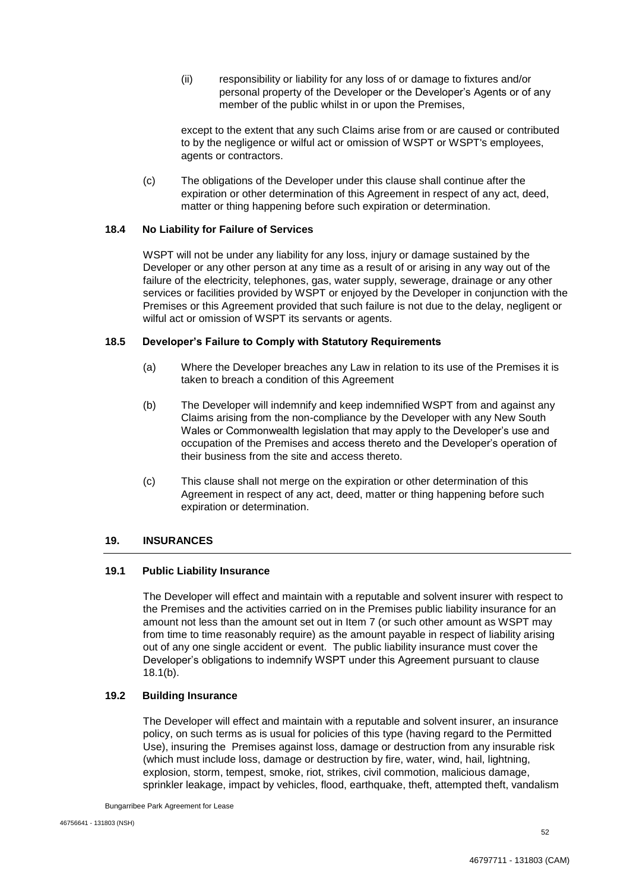(ii) responsibility or liability for any loss of or damage to fixtures and/or personal property of the Developer or the Developer's Agents or of any member of the public whilst in or upon the Premises,

except to the extent that any such Claims arise from or are caused or contributed to by the negligence or wilful act or omission of WSPT or WSPT's employees, agents or contractors.

(c) The obligations of the Developer under this clause shall continue after the expiration or other determination of this Agreement in respect of any act, deed, matter or thing happening before such expiration or determination.

## **18.4 No Liability for Failure of Services**

WSPT will not be under any liability for any loss, injury or damage sustained by the Developer or any other person at any time as a result of or arising in any way out of the failure of the electricity, telephones, gas, water supply, sewerage, drainage or any other services or facilities provided by WSPT or enjoyed by the Developer in conjunction with the Premises or this Agreement provided that such failure is not due to the delay, negligent or wilful act or omission of WSPT its servants or agents.

## **18.5 Developer's Failure to Comply with Statutory Requirements**

- (a) Where the Developer breaches any Law in relation to its use of the Premises it is taken to breach a condition of this Agreement
- (b) The Developer will indemnify and keep indemnified WSPT from and against any Claims arising from the non-compliance by the Developer with any New South Wales or Commonwealth legislation that may apply to the Developer's use and occupation of the Premises and access thereto and the Developer's operation of their business from the site and access thereto.
- (c) This clause shall not merge on the expiration or other determination of this Agreement in respect of any act, deed, matter or thing happening before such expiration or determination.

## **19. INSURANCES**

#### **19.1 Public Liability Insurance**

The Developer will effect and maintain with a reputable and solvent insurer with respect to the Premises and the activities carried on in the Premises public liability insurance for an amount not less than the amount set out in Item 7 (or such other amount as WSPT may from time to time reasonably require) as the amount payable in respect of liability arising out of any one single accident or event. The public liability insurance must cover the Developer's obligations to indemnify WSPT under this Agreement pursuant to clause 18.1(b).

#### **19.2 Building Insurance**

The Developer will effect and maintain with a reputable and solvent insurer, an insurance policy, on such terms as is usual for policies of this type (having regard to the Permitted Use), insuring the Premises against loss, damage or destruction from any insurable risk (which must include loss, damage or destruction by fire, water, wind, hail, lightning, explosion, storm, tempest, smoke, riot, strikes, civil commotion, malicious damage, sprinkler leakage, impact by vehicles, flood, earthquake, theft, attempted theft, vandalism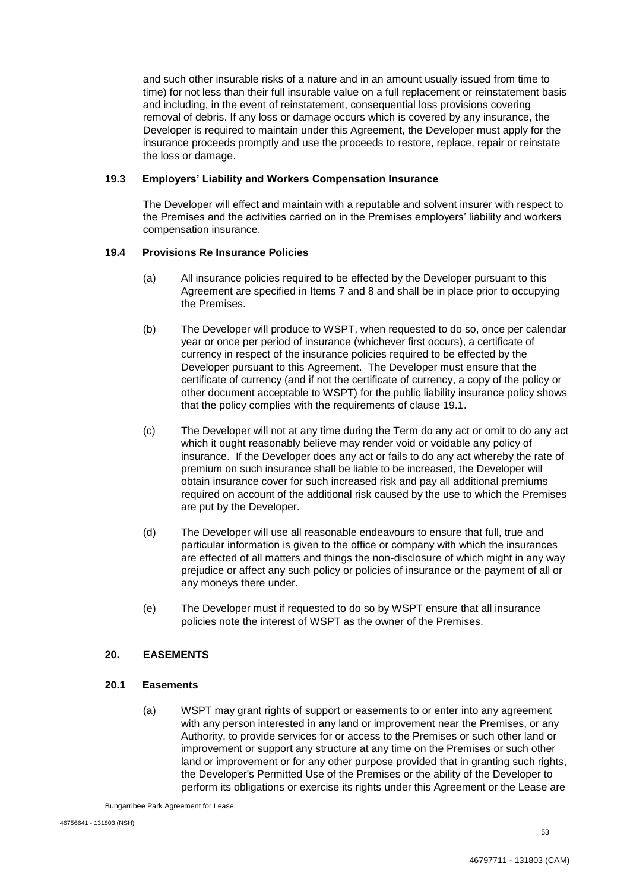and such other insurable risks of a nature and in an amount usually issued from time to time) for not less than their full insurable value on a full replacement or reinstatement basis and including, in the event of reinstatement, consequential loss provisions covering removal of debris. If any loss or damage occurs which is covered by any insurance, the Developer is required to maintain under this Agreement, the Developer must apply for the insurance proceeds promptly and use the proceeds to restore, replace, repair or reinstate the loss or damage.

## **19.3 Employers' Liability and Workers Compensation Insurance**

The Developer will effect and maintain with a reputable and solvent insurer with respect to the Premises and the activities carried on in the Premises employers' liability and workers compensation insurance.

## **19.4 Provisions Re Insurance Policies**

- (a) All insurance policies required to be effected by the Developer pursuant to this Agreement are specified in Items 7 and 8 and shall be in place prior to occupying the Premises.
- (b) The Developer will produce to WSPT, when requested to do so, once per calendar year or once per period of insurance (whichever first occurs), a certificate of currency in respect of the insurance policies required to be effected by the Developer pursuant to this Agreement. The Developer must ensure that the certificate of currency (and if not the certificate of currency, a copy of the policy or other document acceptable to WSPT) for the public liability insurance policy shows that the policy complies with the requirements of clause 19.1.
- (c) The Developer will not at any time during the Term do any act or omit to do any act which it ought reasonably believe may render void or voidable any policy of insurance. If the Developer does any act or fails to do any act whereby the rate of premium on such insurance shall be liable to be increased, the Developer will obtain insurance cover for such increased risk and pay all additional premiums required on account of the additional risk caused by the use to which the Premises are put by the Developer.
- (d) The Developer will use all reasonable endeavours to ensure that full, true and particular information is given to the office or company with which the insurances are effected of all matters and things the non-disclosure of which might in any way prejudice or affect any such policy or policies of insurance or the payment of all or any moneys there under.
- (e) The Developer must if requested to do so by WSPT ensure that all insurance policies note the interest of WSPT as the owner of the Premises.

## **20. EASEMENTS**

## **20.1 Easements**

(a) WSPT may grant rights of support or easements to or enter into any agreement with any person interested in any land or improvement near the Premises, or any Authority, to provide services for or access to the Premises or such other land or improvement or support any structure at any time on the Premises or such other land or improvement or for any other purpose provided that in granting such rights, the Developer's Permitted Use of the Premises or the ability of the Developer to perform its obligations or exercise its rights under this Agreement or the Lease are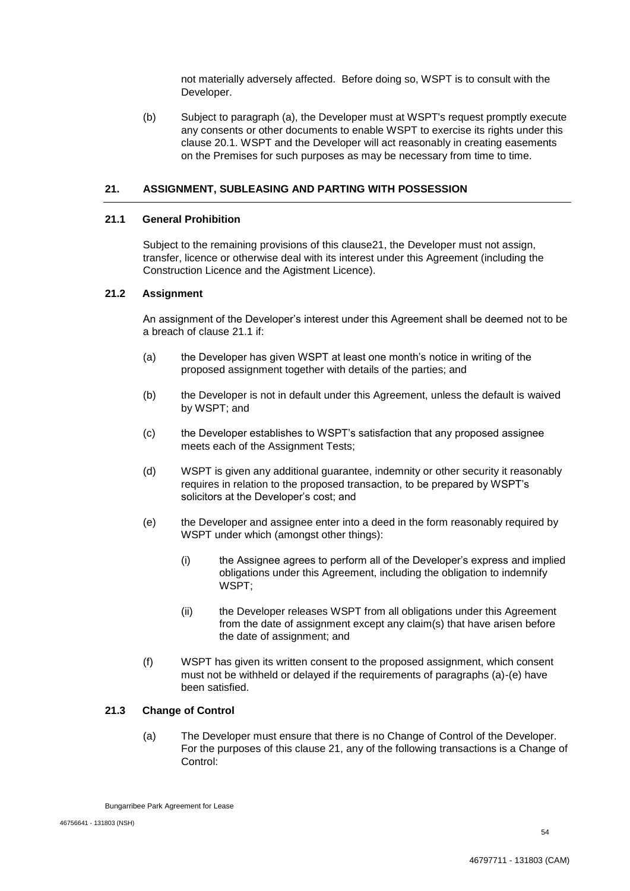not materially adversely affected. Before doing so, WSPT is to consult with the Developer.

(b) Subject to paragraph (a), the Developer must at WSPT's request promptly execute any consents or other documents to enable WSPT to exercise its rights under this clause 20.1. WSPT and the Developer will act reasonably in creating easements on the Premises for such purposes as may be necessary from time to time.

## **21. ASSIGNMENT, SUBLEASING AND PARTING WITH POSSESSION**

## **21.1 General Prohibition**

Subject to the remaining provisions of this clause21, the Developer must not assign, transfer, licence or otherwise deal with its interest under this Agreement (including the Construction Licence and the Agistment Licence).

#### **21.2 Assignment**

An assignment of the Developer's interest under this Agreement shall be deemed not to be a breach of clause 21.1 if:

- (a) the Developer has given WSPT at least one month's notice in writing of the proposed assignment together with details of the parties; and
- (b) the Developer is not in default under this Agreement, unless the default is waived by WSPT; and
- (c) the Developer establishes to WSPT's satisfaction that any proposed assignee meets each of the Assignment Tests;
- (d) WSPT is given any additional guarantee, indemnity or other security it reasonably requires in relation to the proposed transaction, to be prepared by WSPT's solicitors at the Developer's cost; and
- (e) the Developer and assignee enter into a deed in the form reasonably required by WSPT under which (amongst other things):
	- (i) the Assignee agrees to perform all of the Developer's express and implied obligations under this Agreement, including the obligation to indemnify WSPT;
	- (ii) the Developer releases WSPT from all obligations under this Agreement from the date of assignment except any claim(s) that have arisen before the date of assignment; and
- (f) WSPT has given its written consent to the proposed assignment, which consent must not be withheld or delayed if the requirements of paragraphs (a)-(e) have been satisfied.

#### **21.3 Change of Control**

(a) The Developer must ensure that there is no Change of Control of the Developer. For the purposes of this clause 21, any of the following transactions is a Change of Control:

Bungarribee Park Agreement for Lease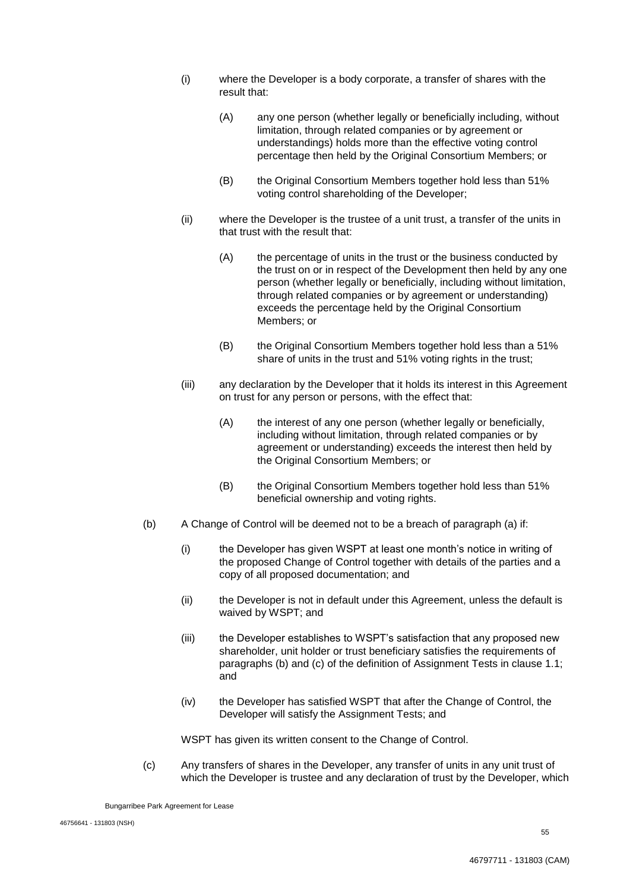- (i) where the Developer is a body corporate, a transfer of shares with the result that:
	- (A) any one person (whether legally or beneficially including, without limitation, through related companies or by agreement or understandings) holds more than the effective voting control percentage then held by the Original Consortium Members; or
	- (B) the Original Consortium Members together hold less than 51% voting control shareholding of the Developer;
- (ii) where the Developer is the trustee of a unit trust, a transfer of the units in that trust with the result that:
	- (A) the percentage of units in the trust or the business conducted by the trust on or in respect of the Development then held by any one person (whether legally or beneficially, including without limitation, through related companies or by agreement or understanding) exceeds the percentage held by the Original Consortium Members; or
	- (B) the Original Consortium Members together hold less than a 51% share of units in the trust and 51% voting rights in the trust;
- (iii) any declaration by the Developer that it holds its interest in this Agreement on trust for any person or persons, with the effect that:
	- (A) the interest of any one person (whether legally or beneficially, including without limitation, through related companies or by agreement or understanding) exceeds the interest then held by the Original Consortium Members; or
	- (B) the Original Consortium Members together hold less than 51% beneficial ownership and voting rights.
- (b) A Change of Control will be deemed not to be a breach of paragraph (a) if:
	- (i) the Developer has given WSPT at least one month's notice in writing of the proposed Change of Control together with details of the parties and a copy of all proposed documentation; and
	- (ii) the Developer is not in default under this Agreement, unless the default is waived by WSPT; and
	- (iii) the Developer establishes to WSPT's satisfaction that any proposed new shareholder, unit holder or trust beneficiary satisfies the requirements of paragraphs (b) and (c) of the definition of Assignment Tests in clause 1.1; and
	- (iv) the Developer has satisfied WSPT that after the Change of Control, the Developer will satisfy the Assignment Tests; and

WSPT has given its written consent to the Change of Control.

(c) Any transfers of shares in the Developer, any transfer of units in any unit trust of which the Developer is trustee and any declaration of trust by the Developer, which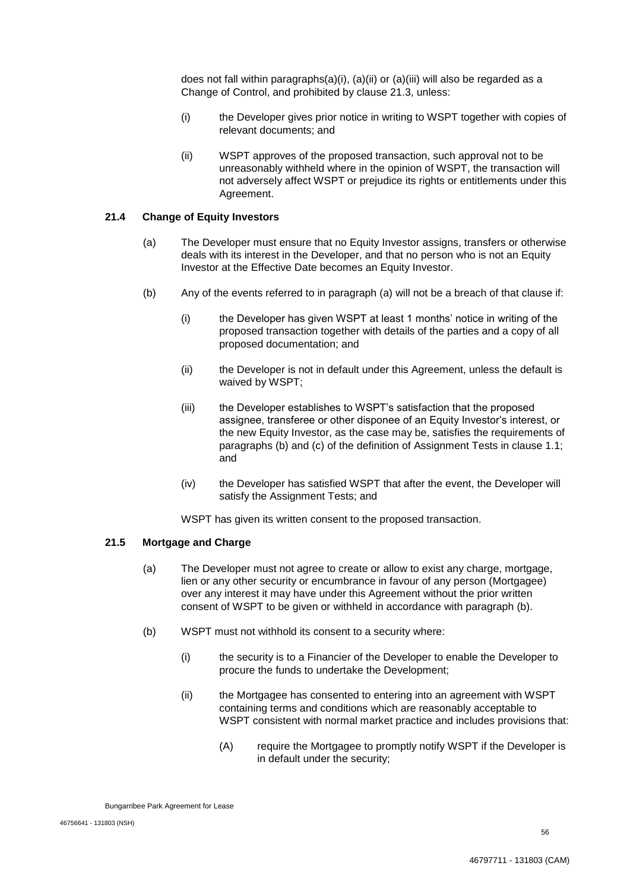does not fall within paragraphs $(a)(i)$ ,  $(a)(ii)$  or  $(a)(iii)$  will also be regarded as a Change of Control, and prohibited by clause 21.3, unless:

- (i) the Developer gives prior notice in writing to WSPT together with copies of relevant documents; and
- (ii) WSPT approves of the proposed transaction, such approval not to be unreasonably withheld where in the opinion of WSPT, the transaction will not adversely affect WSPT or prejudice its rights or entitlements under this Agreement.

## **21.4 Change of Equity Investors**

- (a) The Developer must ensure that no Equity Investor assigns, transfers or otherwise deals with its interest in the Developer, and that no person who is not an Equity Investor at the Effective Date becomes an Equity Investor.
- (b) Any of the events referred to in paragraph (a) will not be a breach of that clause if:
	- (i) the Developer has given WSPT at least 1 months' notice in writing of the proposed transaction together with details of the parties and a copy of all proposed documentation; and
	- (ii) the Developer is not in default under this Agreement, unless the default is waived by WSPT;
	- (iii) the Developer establishes to WSPT's satisfaction that the proposed assignee, transferee or other disponee of an Equity Investor's interest, or the new Equity Investor, as the case may be, satisfies the requirements of paragraphs (b) and (c) of the definition of Assignment Tests in clause 1.1; and
	- (iv) the Developer has satisfied WSPT that after the event, the Developer will satisfy the Assignment Tests; and

WSPT has given its written consent to the proposed transaction.

## **21.5 Mortgage and Charge**

- (a) The Developer must not agree to create or allow to exist any charge, mortgage, lien or any other security or encumbrance in favour of any person (Mortgagee) over any interest it may have under this Agreement without the prior written consent of WSPT to be given or withheld in accordance with paragraph (b).
- (b) WSPT must not withhold its consent to a security where:
	- (i) the security is to a Financier of the Developer to enable the Developer to procure the funds to undertake the Development;
	- (ii) the Mortgagee has consented to entering into an agreement with WSPT containing terms and conditions which are reasonably acceptable to WSPT consistent with normal market practice and includes provisions that:
		- (A) require the Mortgagee to promptly notify WSPT if the Developer is in default under the security;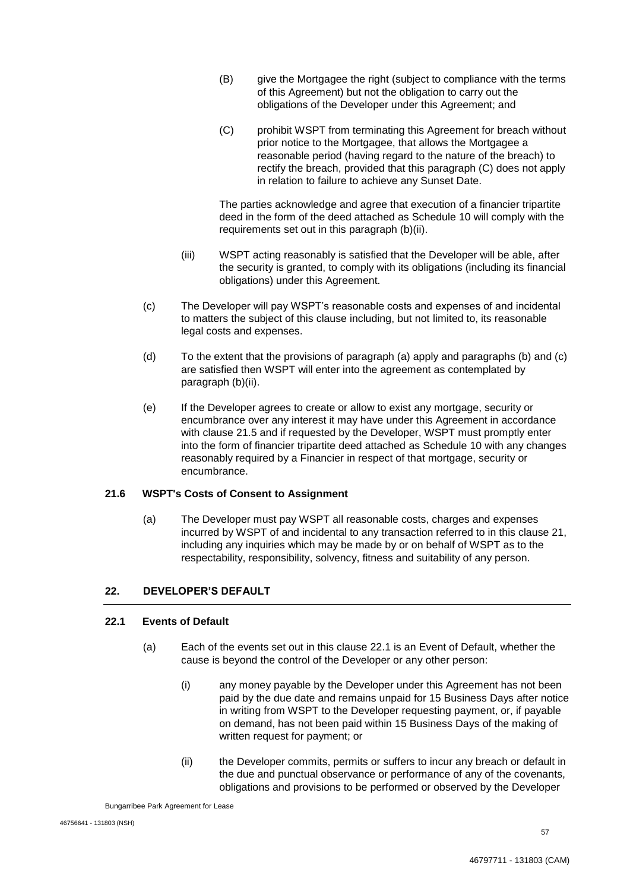- (B) give the Mortgagee the right (subject to compliance with the terms of this Agreement) but not the obligation to carry out the obligations of the Developer under this Agreement; and
- (C) prohibit WSPT from terminating this Agreement for breach without prior notice to the Mortgagee, that allows the Mortgagee a reasonable period (having regard to the nature of the breach) to rectify the breach, provided that this paragraph (C) does not apply in relation to failure to achieve any Sunset Date.

The parties acknowledge and agree that execution of a financier tripartite deed in the form of the deed attached as Schedule 10 will comply with the requirements set out in this paragraph (b)(ii).

- (iii) WSPT acting reasonably is satisfied that the Developer will be able, after the security is granted, to comply with its obligations (including its financial obligations) under this Agreement.
- (c) The Developer will pay WSPT's reasonable costs and expenses of and incidental to matters the subject of this clause including, but not limited to, its reasonable legal costs and expenses.
- (d) To the extent that the provisions of paragraph (a) apply and paragraphs (b) and (c) are satisfied then WSPT will enter into the agreement as contemplated by paragraph (b)(ii).
- (e) If the Developer agrees to create or allow to exist any mortgage, security or encumbrance over any interest it may have under this Agreement in accordance with clause 21.5 and if requested by the Developer, WSPT must promptly enter into the form of financier tripartite deed attached as Schedule 10 with any changes reasonably required by a Financier in respect of that mortgage, security or encumbrance.

## **21.6 WSPT's Costs of Consent to Assignment**

(a) The Developer must pay WSPT all reasonable costs, charges and expenses incurred by WSPT of and incidental to any transaction referred to in this clause 21, including any inquiries which may be made by or on behalf of WSPT as to the respectability, responsibility, solvency, fitness and suitability of any person.

## **22. DEVELOPER'S DEFAULT**

## **22.1 Events of Default**

- (a) Each of the events set out in this clause 22.1 is an Event of Default, whether the cause is beyond the control of the Developer or any other person:
	- (i) any money payable by the Developer under this Agreement has not been paid by the due date and remains unpaid for 15 Business Days after notice in writing from WSPT to the Developer requesting payment, or, if payable on demand, has not been paid within 15 Business Days of the making of written request for payment; or
	- (ii) the Developer commits, permits or suffers to incur any breach or default in the due and punctual observance or performance of any of the covenants, obligations and provisions to be performed or observed by the Developer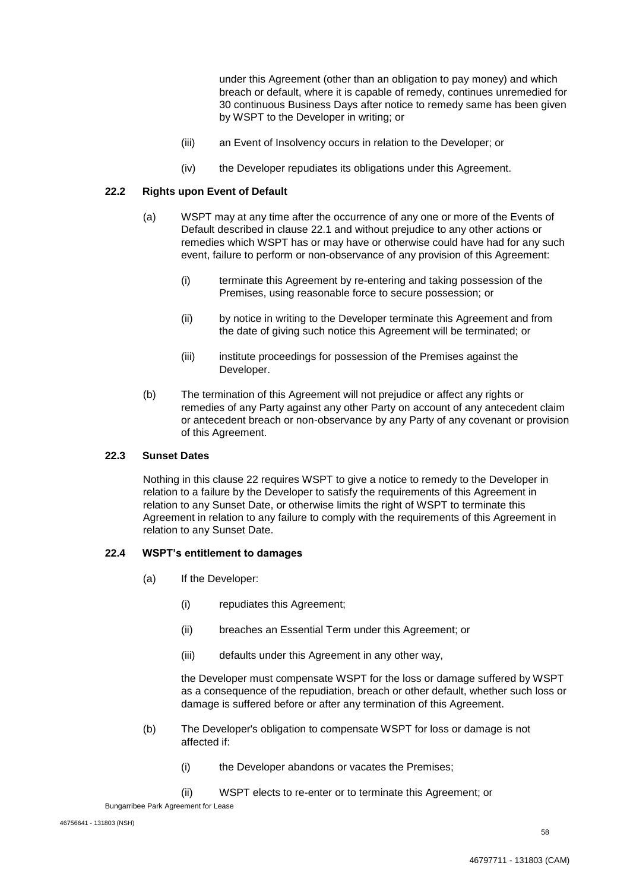under this Agreement (other than an obligation to pay money) and which breach or default, where it is capable of remedy, continues unremedied for 30 continuous Business Days after notice to remedy same has been given by WSPT to the Developer in writing; or

- (iii) an Event of Insolvency occurs in relation to the Developer; or
- (iv) the Developer repudiates its obligations under this Agreement.

## **22.2 Rights upon Event of Default**

- (a) WSPT may at any time after the occurrence of any one or more of the Events of Default described in clause 22.1 and without prejudice to any other actions or remedies which WSPT has or may have or otherwise could have had for any such event, failure to perform or non-observance of any provision of this Agreement:
	- (i) terminate this Agreement by re-entering and taking possession of the Premises, using reasonable force to secure possession; or
	- (ii) by notice in writing to the Developer terminate this Agreement and from the date of giving such notice this Agreement will be terminated; or
	- (iii) institute proceedings for possession of the Premises against the Developer.
- (b) The termination of this Agreement will not prejudice or affect any rights or remedies of any Party against any other Party on account of any antecedent claim or antecedent breach or non-observance by any Party of any covenant or provision of this Agreement.

#### **22.3 Sunset Dates**

Nothing in this clause 22 requires WSPT to give a notice to remedy to the Developer in relation to a failure by the Developer to satisfy the requirements of this Agreement in relation to any Sunset Date, or otherwise limits the right of WSPT to terminate this Agreement in relation to any failure to comply with the requirements of this Agreement in relation to any Sunset Date.

#### **22.4 WSPT's entitlement to damages**

- (a) If the Developer:
	- (i) repudiates this Agreement;
	- (ii) breaches an Essential Term under this Agreement; or
	- (iii) defaults under this Agreement in any other way,

the Developer must compensate WSPT for the loss or damage suffered by WSPT as a consequence of the repudiation, breach or other default, whether such loss or damage is suffered before or after any termination of this Agreement.

- (b) The Developer's obligation to compensate WSPT for loss or damage is not affected if:
	- (i) the Developer abandons or vacates the Premises;
	- (ii) WSPT elects to re-enter or to terminate this Agreement; or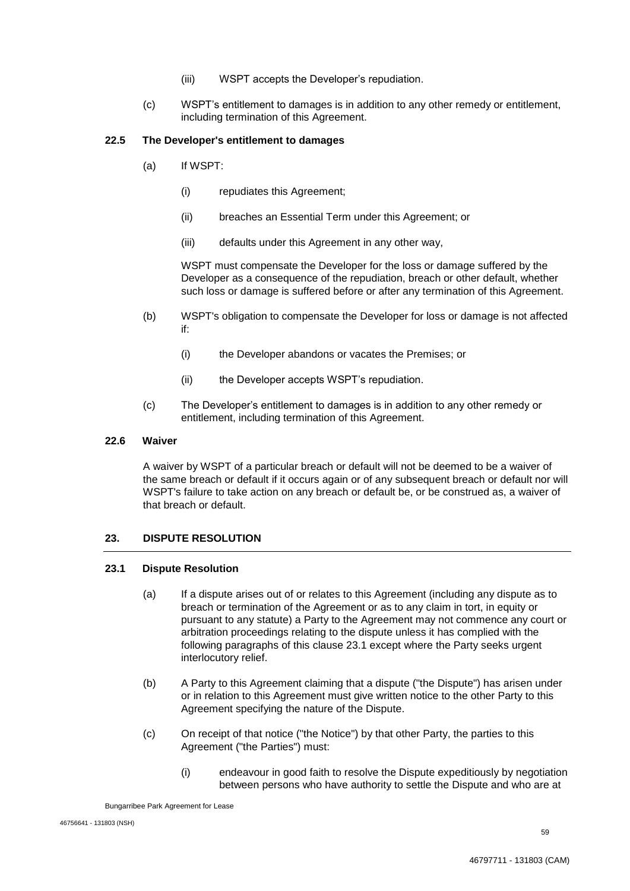- (iii) WSPT accepts the Developer's repudiation.
- (c) WSPT's entitlement to damages is in addition to any other remedy or entitlement, including termination of this Agreement.

#### **22.5 The Developer's entitlement to damages**

- (a) If WSPT:
	- (i) repudiates this Agreement;
	- (ii) breaches an Essential Term under this Agreement; or
	- (iii) defaults under this Agreement in any other way,

WSPT must compensate the Developer for the loss or damage suffered by the Developer as a consequence of the repudiation, breach or other default, whether such loss or damage is suffered before or after any termination of this Agreement.

- (b) WSPT's obligation to compensate the Developer for loss or damage is not affected if:
	- (i) the Developer abandons or vacates the Premises; or
	- (ii) the Developer accepts WSPT's repudiation.
- (c) The Developer's entitlement to damages is in addition to any other remedy or entitlement, including termination of this Agreement.

#### **22.6 Waiver**

A waiver by WSPT of a particular breach or default will not be deemed to be a waiver of the same breach or default if it occurs again or of any subsequent breach or default nor will WSPT's failure to take action on any breach or default be, or be construed as, a waiver of that breach or default.

## **23. DISPUTE RESOLUTION**

#### **23.1 Dispute Resolution**

- (a) If a dispute arises out of or relates to this Agreement (including any dispute as to breach or termination of the Agreement or as to any claim in tort, in equity or pursuant to any statute) a Party to the Agreement may not commence any court or arbitration proceedings relating to the dispute unless it has complied with the following paragraphs of this clause 23.1 except where the Party seeks urgent interlocutory relief.
- (b) A Party to this Agreement claiming that a dispute ("the Dispute") has arisen under or in relation to this Agreement must give written notice to the other Party to this Agreement specifying the nature of the Dispute.
- (c) On receipt of that notice ("the Notice") by that other Party, the parties to this Agreement ("the Parties") must:
	- (i) endeavour in good faith to resolve the Dispute expeditiously by negotiation between persons who have authority to settle the Dispute and who are at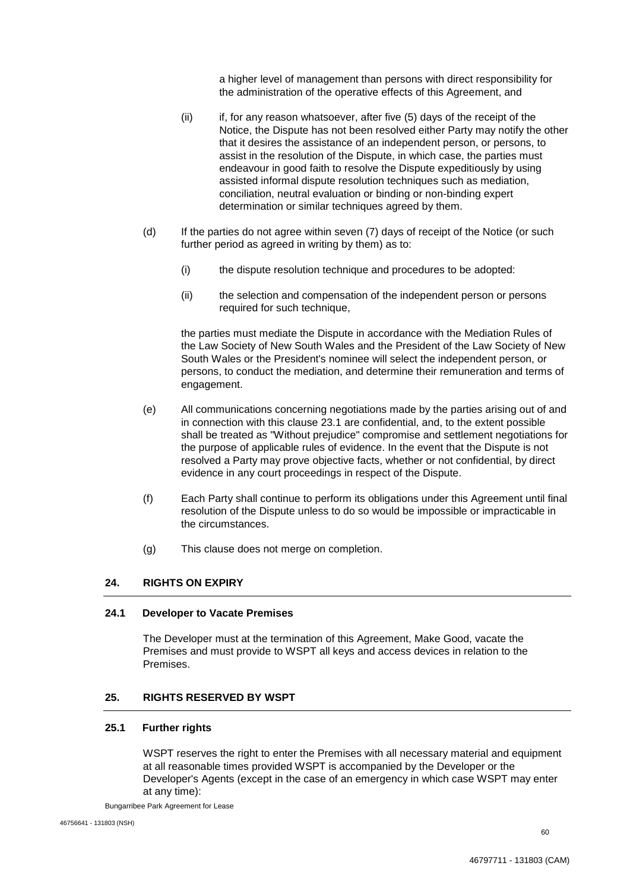a higher level of management than persons with direct responsibility for the administration of the operative effects of this Agreement, and

- (ii) if, for any reason whatsoever, after five (5) days of the receipt of the Notice, the Dispute has not been resolved either Party may notify the other that it desires the assistance of an independent person, or persons, to assist in the resolution of the Dispute, in which case, the parties must endeavour in good faith to resolve the Dispute expeditiously by using assisted informal dispute resolution techniques such as mediation, conciliation, neutral evaluation or binding or non-binding expert determination or similar techniques agreed by them.
- (d) If the parties do not agree within seven (7) days of receipt of the Notice (or such further period as agreed in writing by them) as to:
	- (i) the dispute resolution technique and procedures to be adopted:
	- (ii) the selection and compensation of the independent person or persons required for such technique,

the parties must mediate the Dispute in accordance with the Mediation Rules of the Law Society of New South Wales and the President of the Law Society of New South Wales or the President's nominee will select the independent person, or persons, to conduct the mediation, and determine their remuneration and terms of engagement.

- (e) All communications concerning negotiations made by the parties arising out of and in connection with this clause 23.1 are confidential, and, to the extent possible shall be treated as "Without prejudice" compromise and settlement negotiations for the purpose of applicable rules of evidence. In the event that the Dispute is not resolved a Party may prove objective facts, whether or not confidential, by direct evidence in any court proceedings in respect of the Dispute.
- (f) Each Party shall continue to perform its obligations under this Agreement until final resolution of the Dispute unless to do so would be impossible or impracticable in the circumstances.
- (g) This clause does not merge on completion.

## **24. RIGHTS ON EXPIRY**

## **24.1 Developer to Vacate Premises**

The Developer must at the termination of this Agreement, Make Good, vacate the Premises and must provide to WSPT all keys and access devices in relation to the Premises.

## **25. RIGHTS RESERVED BY WSPT**

#### **25.1 Further rights**

WSPT reserves the right to enter the Premises with all necessary material and equipment at all reasonable times provided WSPT is accompanied by the Developer or the Developer's Agents (except in the case of an emergency in which case WSPT may enter at any time):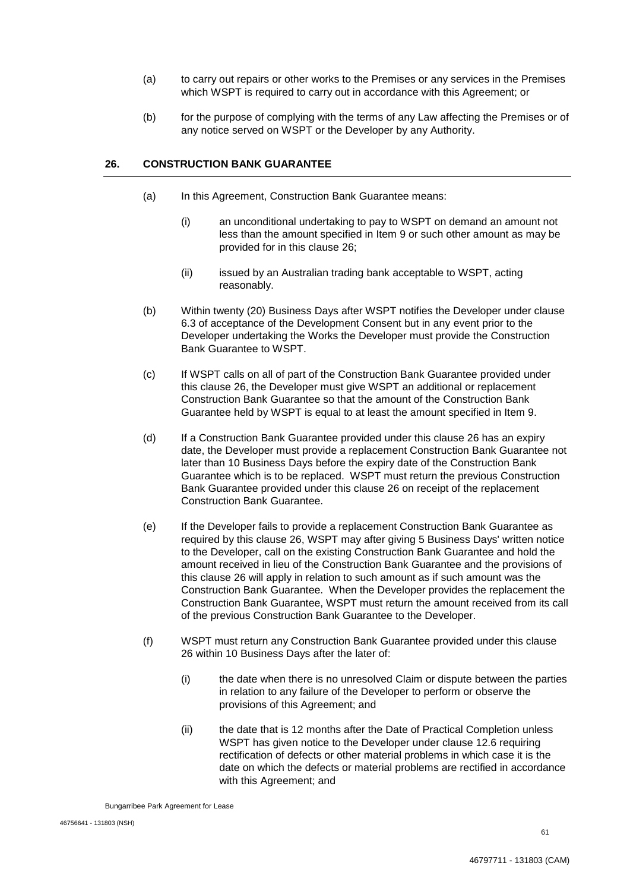- (a) to carry out repairs or other works to the Premises or any services in the Premises which WSPT is required to carry out in accordance with this Agreement; or
- (b) for the purpose of complying with the terms of any Law affecting the Premises or of any notice served on WSPT or the Developer by any Authority.

## **26. CONSTRUCTION BANK GUARANTEE**

- (a) In this Agreement, Construction Bank Guarantee means:
	- (i) an unconditional undertaking to pay to WSPT on demand an amount not less than the amount specified in Item 9 or such other amount as may be provided for in this clause 26;
	- (ii) issued by an Australian trading bank acceptable to WSPT, acting reasonably.
- (b) Within twenty (20) Business Days after WSPT notifies the Developer under clause 6.3 of acceptance of the Development Consent but in any event prior to the Developer undertaking the Works the Developer must provide the Construction Bank Guarantee to WSPT.
- (c) If WSPT calls on all of part of the Construction Bank Guarantee provided under this clause 26, the Developer must give WSPT an additional or replacement Construction Bank Guarantee so that the amount of the Construction Bank Guarantee held by WSPT is equal to at least the amount specified in Item 9.
- (d) If a Construction Bank Guarantee provided under this clause 26 has an expiry date, the Developer must provide a replacement Construction Bank Guarantee not later than 10 Business Days before the expiry date of the Construction Bank Guarantee which is to be replaced. WSPT must return the previous Construction Bank Guarantee provided under this clause 26 on receipt of the replacement Construction Bank Guarantee.
- (e) If the Developer fails to provide a replacement Construction Bank Guarantee as required by this clause 26, WSPT may after giving 5 Business Days' written notice to the Developer, call on the existing Construction Bank Guarantee and hold the amount received in lieu of the Construction Bank Guarantee and the provisions of this clause 26 will apply in relation to such amount as if such amount was the Construction Bank Guarantee. When the Developer provides the replacement the Construction Bank Guarantee, WSPT must return the amount received from its call of the previous Construction Bank Guarantee to the Developer.
- (f) WSPT must return any Construction Bank Guarantee provided under this clause 26 within 10 Business Days after the later of:
	- (i) the date when there is no unresolved Claim or dispute between the parties in relation to any failure of the Developer to perform or observe the provisions of this Agreement; and
	- (ii) the date that is 12 months after the Date of Practical Completion unless WSPT has given notice to the Developer under clause 12.6 requiring rectification of defects or other material problems in which case it is the date on which the defects or material problems are rectified in accordance with this Agreement; and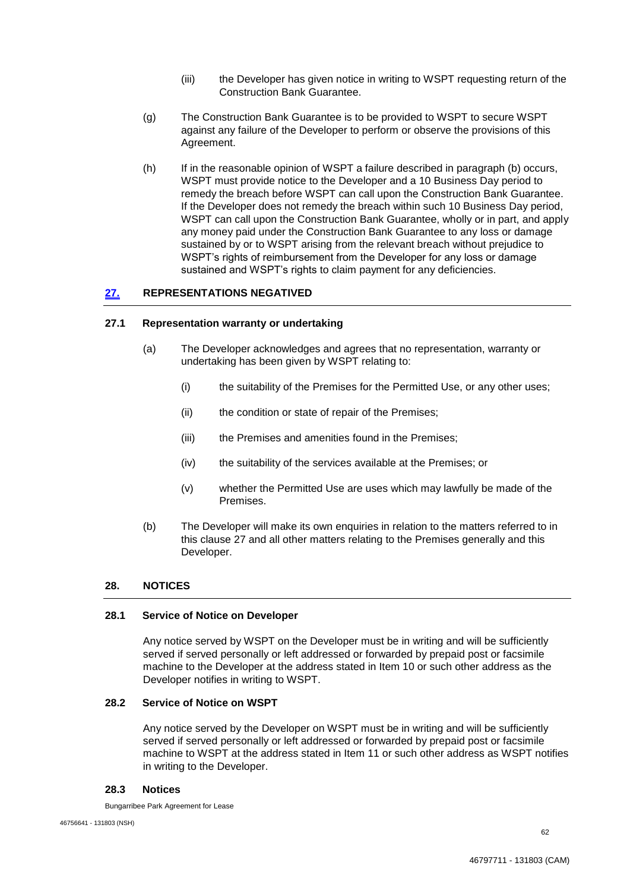- (iii) the Developer has given notice in writing to WSPT requesting return of the Construction Bank Guarantee.
- (g) The Construction Bank Guarantee is to be provided to WSPT to secure WSPT against any failure of the Developer to perform or observe the provisions of this Agreement.
- (h) If in the reasonable opinion of WSPT a failure described in paragraph (b) occurs, WSPT must provide notice to the Developer and a 10 Business Day period to remedy the breach before WSPT can call upon the Construction Bank Guarantee. If the Developer does not remedy the breach within such 10 Business Day period, WSPT can call upon the Construction Bank Guarantee, wholly or in part, and apply any money paid under the Construction Bank Guarantee to any loss or damage sustained by or to WSPT arising from the relevant breach without prejudice to WSPT's rights of reimbursement from the Developer for any loss or damage sustained and WSPT's rights to claim payment for any deficiencies.

# **27. REPRESENTATIONS NEGATIVED**

## **27.1 Representation warranty or undertaking**

- (a) The Developer acknowledges and agrees that no representation, warranty or undertaking has been given by WSPT relating to:
	- (i) the suitability of the Premises for the Permitted Use, or any other uses;
	- (ii) the condition or state of repair of the Premises;
	- (iii) the Premises and amenities found in the Premises;
	- (iv) the suitability of the services available at the Premises; or
	- (v) whether the Permitted Use are uses which may lawfully be made of the Premises.
- (b) The Developer will make its own enquiries in relation to the matters referred to in this clause 27 and all other matters relating to the Premises generally and this Developer.

## **28. NOTICES**

#### **28.1 Service of Notice on Developer**

Any notice served by WSPT on the Developer must be in writing and will be sufficiently served if served personally or left addressed or forwarded by prepaid post or facsimile machine to the Developer at the address stated in Item 10 or such other address as the Developer notifies in writing to WSPT.

## **28.2 Service of Notice on WSPT**

Any notice served by the Developer on WSPT must be in writing and will be sufficiently served if served personally or left addressed or forwarded by prepaid post or facsimile machine to WSPT at the address stated in Item 11 or such other address as WSPT notifies in writing to the Developer.

#### **28.3 Notices**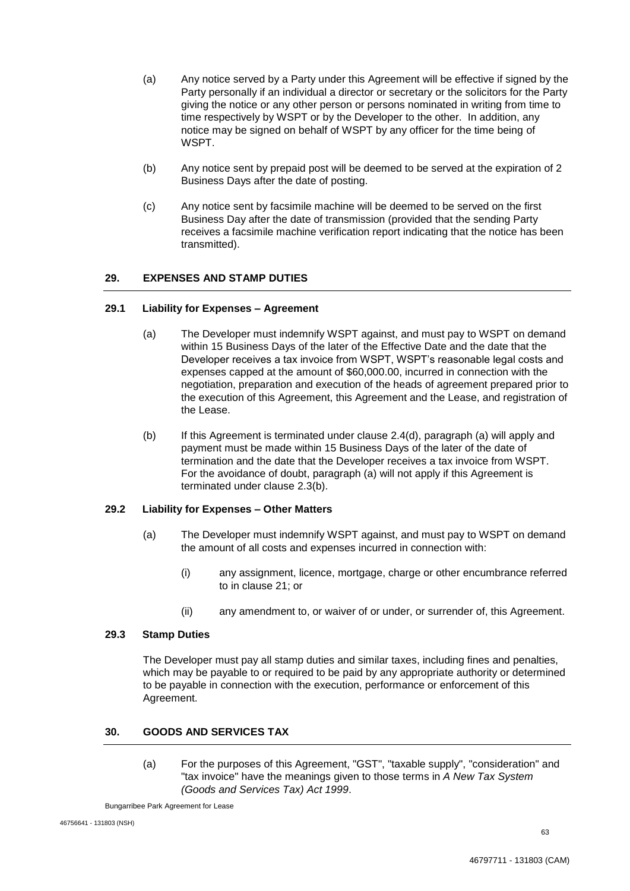- (a) Any notice served by a Party under this Agreement will be effective if signed by the Party personally if an individual a director or secretary or the solicitors for the Party giving the notice or any other person or persons nominated in writing from time to time respectively by WSPT or by the Developer to the other. In addition, any notice may be signed on behalf of WSPT by any officer for the time being of WSPT.
- (b) Any notice sent by prepaid post will be deemed to be served at the expiration of 2 Business Days after the date of posting.
- (c) Any notice sent by facsimile machine will be deemed to be served on the first Business Day after the date of transmission (provided that the sending Party receives a facsimile machine verification report indicating that the notice has been transmitted).

# **29. EXPENSES AND STAMP DUTIES**

#### **29.1 Liability for Expenses – Agreement**

- (a) The Developer must indemnify WSPT against, and must pay to WSPT on demand within 15 Business Days of the later of the Effective Date and the date that the Developer receives a tax invoice from WSPT, WSPT's reasonable legal costs and expenses capped at the amount of \$60,000.00, incurred in connection with the negotiation, preparation and execution of the heads of agreement prepared prior to the execution of this Agreement, this Agreement and the Lease, and registration of the Lease.
- (b) If this Agreement is terminated under clause 2.4(d), paragraph (a) will apply and payment must be made within 15 Business Days of the later of the date of termination and the date that the Developer receives a tax invoice from WSPT. For the avoidance of doubt, paragraph (a) will not apply if this Agreement is terminated under clause 2.3(b).

## **29.2 Liability for Expenses – Other Matters**

- (a) The Developer must indemnify WSPT against, and must pay to WSPT on demand the amount of all costs and expenses incurred in connection with:
	- (i) any assignment, licence, mortgage, charge or other encumbrance referred to in clause 21; or
	- (ii) any amendment to, or waiver of or under, or surrender of, this Agreement.

## **29.3 Stamp Duties**

The Developer must pay all stamp duties and similar taxes, including fines and penalties, which may be payable to or required to be paid by any appropriate authority or determined to be payable in connection with the execution, performance or enforcement of this Agreement.

## **30. GOODS AND SERVICES TAX**

(a) For the purposes of this Agreement, "GST", "taxable supply", "consideration" and "tax invoice" have the meanings given to those terms in *A New Tax System (Goods and Services Tax) Act 1999*.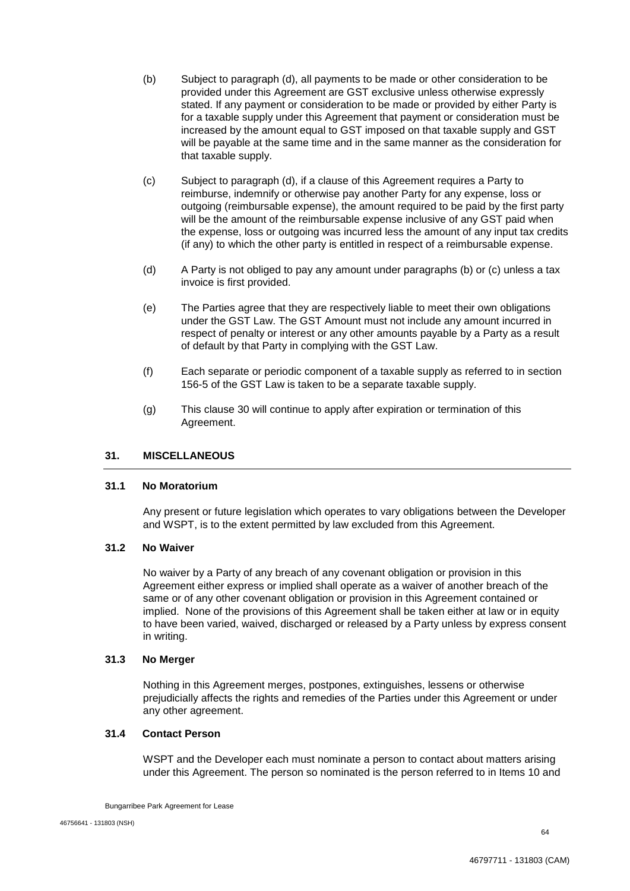- (b) Subject to paragraph (d), all payments to be made or other consideration to be provided under this Agreement are GST exclusive unless otherwise expressly stated. If any payment or consideration to be made or provided by either Party is for a taxable supply under this Agreement that payment or consideration must be increased by the amount equal to GST imposed on that taxable supply and GST will be payable at the same time and in the same manner as the consideration for that taxable supply.
- (c) Subject to paragraph (d), if a clause of this Agreement requires a Party to reimburse, indemnify or otherwise pay another Party for any expense, loss or outgoing (reimbursable expense), the amount required to be paid by the first party will be the amount of the reimbursable expense inclusive of any GST paid when the expense, loss or outgoing was incurred less the amount of any input tax credits (if any) to which the other party is entitled in respect of a reimbursable expense.
- (d) A Party is not obliged to pay any amount under paragraphs (b) or (c) unless a tax invoice is first provided.
- (e) The Parties agree that they are respectively liable to meet their own obligations under the GST Law. The GST Amount must not include any amount incurred in respect of penalty or interest or any other amounts payable by a Party as a result of default by that Party in complying with the GST Law.
- (f) Each separate or periodic component of a taxable supply as referred to in section 156-5 of the GST Law is taken to be a separate taxable supply.
- (g) This clause 30 will continue to apply after expiration or termination of this Agreement.

#### **31. MISCELLANEOUS**

## **31.1 No Moratorium**

Any present or future legislation which operates to vary obligations between the Developer and WSPT, is to the extent permitted by law excluded from this Agreement.

#### **31.2 No Waiver**

No waiver by a Party of any breach of any covenant obligation or provision in this Agreement either express or implied shall operate as a waiver of another breach of the same or of any other covenant obligation or provision in this Agreement contained or implied. None of the provisions of this Agreement shall be taken either at law or in equity to have been varied, waived, discharged or released by a Party unless by express consent in writing.

#### **31.3 No Merger**

Nothing in this Agreement merges, postpones, extinguishes, lessens or otherwise prejudicially affects the rights and remedies of the Parties under this Agreement or under any other agreement.

## **31.4 Contact Person**

WSPT and the Developer each must nominate a person to contact about matters arising under this Agreement. The person so nominated is the person referred to in Items 10 and

Bungarribee Park Agreement for Lease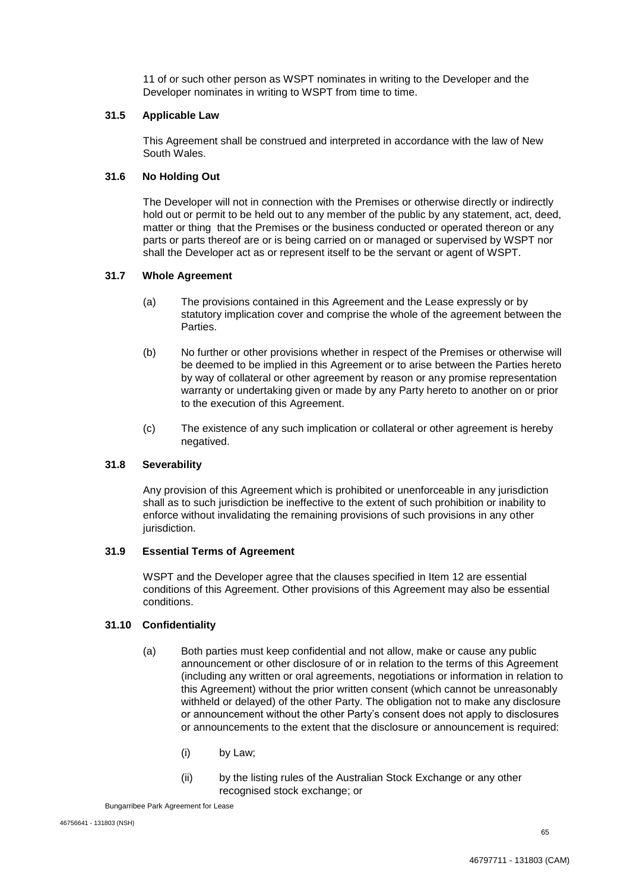11 of or such other person as WSPT nominates in writing to the Developer and the Developer nominates in writing to WSPT from time to time.

## **31.5 Applicable Law**

This Agreement shall be construed and interpreted in accordance with the law of New South Wales.

#### **31.6 No Holding Out**

The Developer will not in connection with the Premises or otherwise directly or indirectly hold out or permit to be held out to any member of the public by any statement, act, deed, matter or thing that the Premises or the business conducted or operated thereon or any parts or parts thereof are or is being carried on or managed or supervised by WSPT nor shall the Developer act as or represent itself to be the servant or agent of WSPT.

## **31.7 Whole Agreement**

- (a) The provisions contained in this Agreement and the Lease expressly or by statutory implication cover and comprise the whole of the agreement between the Parties.
- (b) No further or other provisions whether in respect of the Premises or otherwise will be deemed to be implied in this Agreement or to arise between the Parties hereto by way of collateral or other agreement by reason or any promise representation warranty or undertaking given or made by any Party hereto to another on or prior to the execution of this Agreement.
- (c) The existence of any such implication or collateral or other agreement is hereby negatived.

## **31.8 Severability**

Any provision of this Agreement which is prohibited or unenforceable in any jurisdiction shall as to such jurisdiction be ineffective to the extent of such prohibition or inability to enforce without invalidating the remaining provisions of such provisions in any other jurisdiction.

## **31.9 Essential Terms of Agreement**

WSPT and the Developer agree that the clauses specified in Item 12 are essential conditions of this Agreement. Other provisions of this Agreement may also be essential conditions.

#### **31.10 Confidentiality**

- (a) Both parties must keep confidential and not allow, make or cause any public announcement or other disclosure of or in relation to the terms of this Agreement (including any written or oral agreements, negotiations or information in relation to this Agreement) without the prior written consent (which cannot be unreasonably withheld or delayed) of the other Party. The obligation not to make any disclosure or announcement without the other Party's consent does not apply to disclosures or announcements to the extent that the disclosure or announcement is required:
	- (i) by Law;
	- (ii) by the listing rules of the Australian Stock Exchange or any other recognised stock exchange; or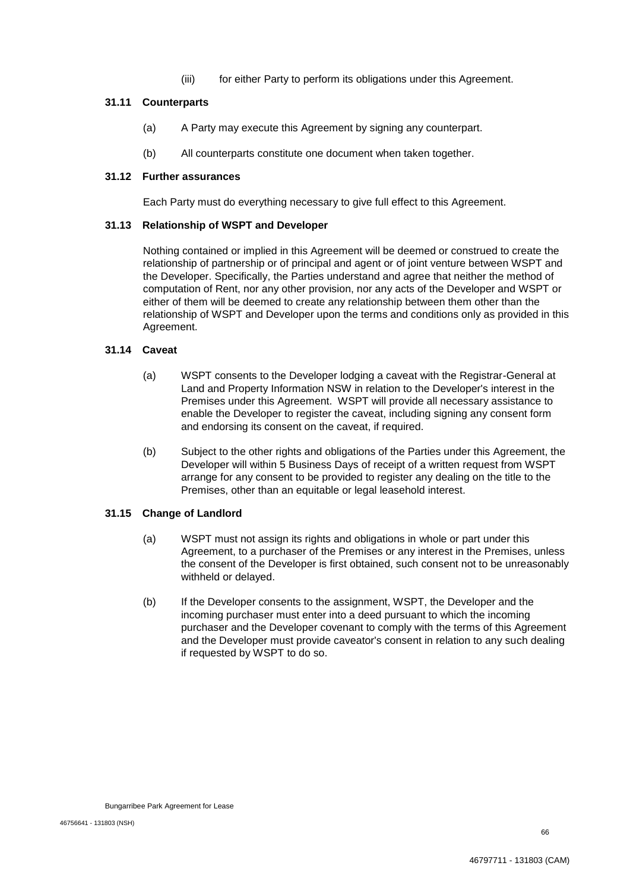(iii) for either Party to perform its obligations under this Agreement.

## **31.11 Counterparts**

- (a) A Party may execute this Agreement by signing any counterpart.
- (b) All counterparts constitute one document when taken together.

## **31.12 Further assurances**

Each Party must do everything necessary to give full effect to this Agreement.

## **31.13 Relationship of WSPT and Developer**

Nothing contained or implied in this Agreement will be deemed or construed to create the relationship of partnership or of principal and agent or of joint venture between WSPT and the Developer. Specifically, the Parties understand and agree that neither the method of computation of Rent, nor any other provision, nor any acts of the Developer and WSPT or either of them will be deemed to create any relationship between them other than the relationship of WSPT and Developer upon the terms and conditions only as provided in this Agreement.

## **31.14 Caveat**

- (a) WSPT consents to the Developer lodging a caveat with the Registrar-General at Land and Property Information NSW in relation to the Developer's interest in the Premises under this Agreement. WSPT will provide all necessary assistance to enable the Developer to register the caveat, including signing any consent form and endorsing its consent on the caveat, if required.
- (b) Subject to the other rights and obligations of the Parties under this Agreement, the Developer will within 5 Business Days of receipt of a written request from WSPT arrange for any consent to be provided to register any dealing on the title to the Premises, other than an equitable or legal leasehold interest.

## **31.15 Change of Landlord**

- (a) WSPT must not assign its rights and obligations in whole or part under this Agreement, to a purchaser of the Premises or any interest in the Premises, unless the consent of the Developer is first obtained, such consent not to be unreasonably withheld or delayed.
- (b) If the Developer consents to the assignment, WSPT, the Developer and the incoming purchaser must enter into a deed pursuant to which the incoming purchaser and the Developer covenant to comply with the terms of this Agreement and the Developer must provide caveator's consent in relation to any such dealing if requested by WSPT to do so.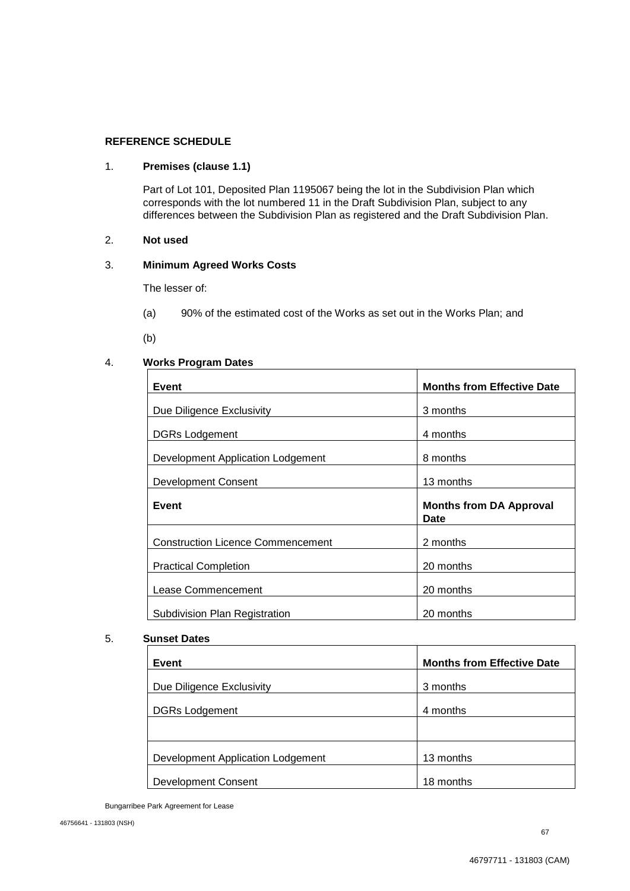## **REFERENCE SCHEDULE**

## 1. **Premises (clause 1.1)**

Part of Lot 101, Deposited Plan 1195067 being the lot in the Subdivision Plan which corresponds with the lot numbered 11 in the Draft Subdivision Plan, subject to any differences between the Subdivision Plan as registered and the Draft Subdivision Plan.

# 2. **Not used**

## 3. **Minimum Agreed Works Costs**

The lesser of:

- (a) 90% of the estimated cost of the Works as set out in the Works Plan; and
- $(b)$

## 4. **Works Program Dates**

| 3 months                               |
|----------------------------------------|
| 4 months                               |
| 8 months                               |
| 13 months                              |
|                                        |
| <b>Months from DA Approval</b><br>Date |
| 2 months                               |
| 20 months                              |
| 20 months                              |
| 20 months                              |
|                                        |

#### 5. **Sunset Dates**

| Event                             | <b>Months from Effective Date</b> |
|-----------------------------------|-----------------------------------|
| Due Diligence Exclusivity         | 3 months                          |
| <b>DGRs Lodgement</b>             | 4 months                          |
|                                   |                                   |
| Development Application Lodgement | 13 months                         |
| <b>Development Consent</b>        | 18 months                         |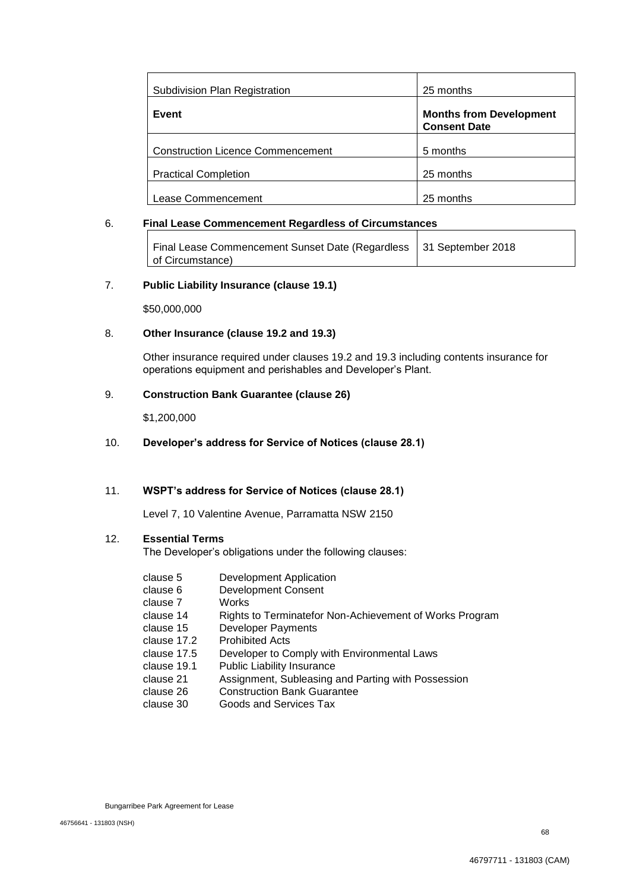| Subdivision Plan Registration            | 25 months                                             |
|------------------------------------------|-------------------------------------------------------|
| Event                                    | <b>Months from Development</b><br><b>Consent Date</b> |
| <b>Construction Licence Commencement</b> | 5 months                                              |
| <b>Practical Completion</b>              | 25 months                                             |
| Lease Commencement                       | 25 months                                             |

#### 6. **Final Lease Commencement Regardless of Circumstances**

| Final Lease Commencement Sunset Date (Regardless   31 September 2018 |  |
|----------------------------------------------------------------------|--|
| of Circumstance)                                                     |  |

## 7. **Public Liability Insurance (clause 19.1)**

\$50,000,000

## 8. **Other Insurance (clause 19.2 and 19.3)**

Other insurance required under clauses 19.2 and 19.3 including contents insurance for operations equipment and perishables and Developer's Plant.

#### 9. **Construction Bank Guarantee (clause 26)**

\$1,200,000

#### 10. **Developer's address for Service of Notices (clause 28.1)**

#### 11. **WSPT's address for Service of Notices (clause 28.1)**

Level 7, 10 Valentine Avenue, Parramatta NSW 2150

## 12. **Essential Terms**

The Developer's obligations under the following clauses:

- clause 5 Development Application
- clause 6 Development Consent
- clause 7 Works
- clause 14 Rights to Terminatefor Non-Achievement of Works Program
- clause 15 Developer Payments
- clause 17.2 Prohibited Acts
- clause 17.5 Developer to Comply with Environmental Laws
- clause 19.1 Public Liability Insurance
- clause 21 Assignment, Subleasing and Parting with Possession
- clause 26 Construction Bank Guarantee
- clause 30 Goods and Services Tax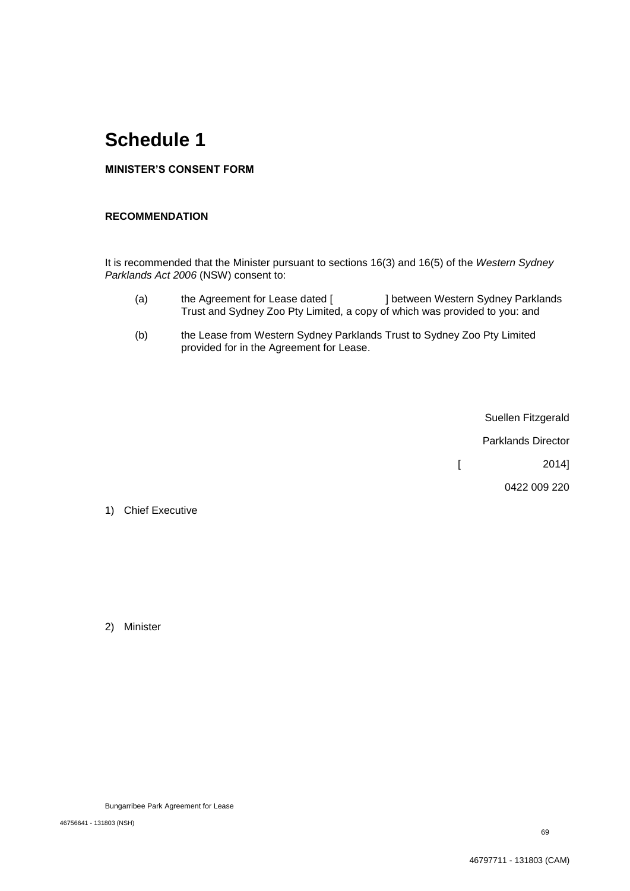# **Schedule 1**

# **MINISTER'S CONSENT FORM**

# **RECOMMENDATION**

It is recommended that the Minister pursuant to sections 16(3) and 16(5) of the *Western Sydney Parklands Act 2006* (NSW) consent to:

- (a) the Agreement for Lease dated [ ] between Western Sydney Parklands Trust and Sydney Zoo Pty Limited, a copy of which was provided to you: and
- (b) the Lease from Western Sydney Parklands Trust to Sydney Zoo Pty Limited provided for in the Agreement for Lease.

Suellen Fitzgerald

Parklands Director

 $[$  2014]

0422 009 220

1) Chief Executive

2) Minister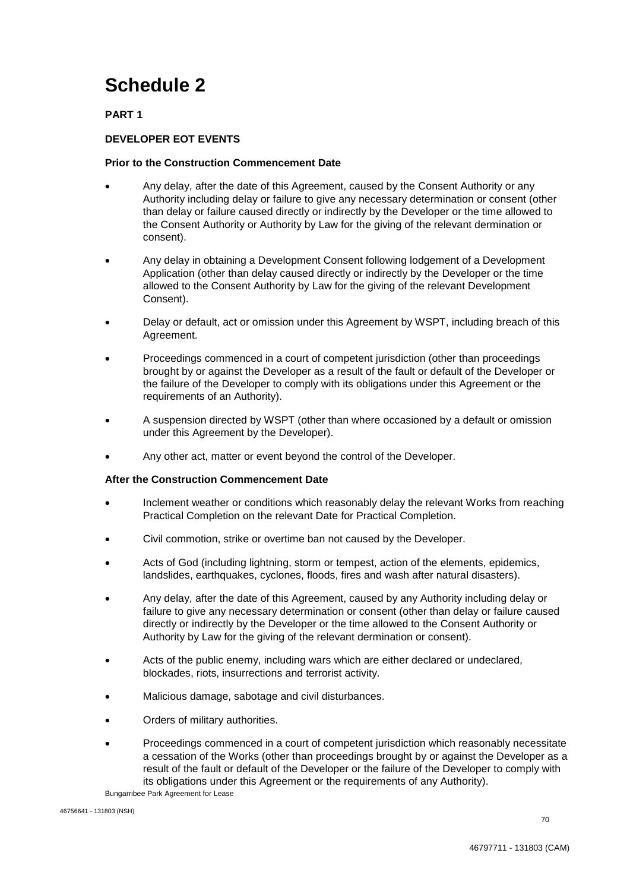# **Schedule 2**

# **PART 1**

# **DEVELOPER EOT EVENTS**

## **Prior to the Construction Commencement Date**

- Any delay, after the date of this Agreement, caused by the Consent Authority or any Authority including delay or failure to give any necessary determination or consent (other than delay or failure caused directly or indirectly by the Developer or the time allowed to the Consent Authority or Authority by Law for the giving of the relevant dermination or consent).
- Any delay in obtaining a Development Consent following lodgement of a Development Application (other than delay caused directly or indirectly by the Developer or the time allowed to the Consent Authority by Law for the giving of the relevant Development Consent).
- Delay or default, act or omission under this Agreement by WSPT, including breach of this Agreement.
- Proceedings commenced in a court of competent jurisdiction (other than proceedings brought by or against the Developer as a result of the fault or default of the Developer or the failure of the Developer to comply with its obligations under this Agreement or the requirements of an Authority).
- A suspension directed by WSPT (other than where occasioned by a default or omission under this Agreement by the Developer).
- Any other act, matter or event beyond the control of the Developer.

## **After the Construction Commencement Date**

- Inclement weather or conditions which reasonably delay the relevant Works from reaching Practical Completion on the relevant Date for Practical Completion.
- Civil commotion, strike or overtime ban not caused by the Developer.
- Acts of God (including lightning, storm or tempest, action of the elements, epidemics, landslides, earthquakes, cyclones, floods, fires and wash after natural disasters).
- Any delay, after the date of this Agreement, caused by any Authority including delay or failure to give any necessary determination or consent (other than delay or failure caused directly or indirectly by the Developer or the time allowed to the Consent Authority or Authority by Law for the giving of the relevant dermination or consent).
- Acts of the public enemy, including wars which are either declared or undeclared, blockades, riots, insurrections and terrorist activity.
- Malicious damage, sabotage and civil disturbances.
- Orders of military authorities.
- Proceedings commenced in a court of competent jurisdiction which reasonably necessitate a cessation of the Works (other than proceedings brought by or against the Developer as a result of the fault or default of the Developer or the failure of the Developer to comply with its obligations under this Agreement or the requirements of any Authority).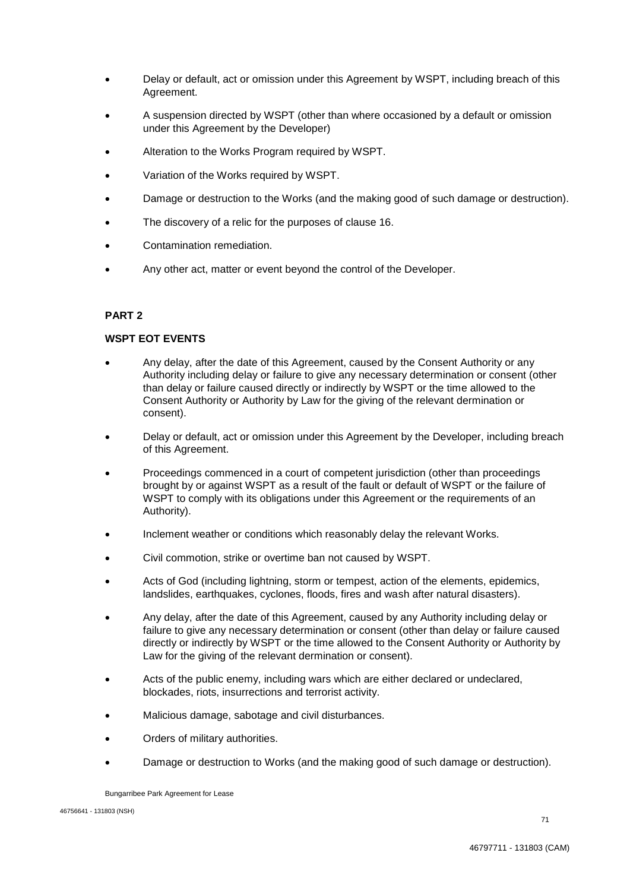- Delay or default, act or omission under this Agreement by WSPT, including breach of this Agreement.
- A suspension directed by WSPT (other than where occasioned by a default or omission under this Agreement by the Developer)
- Alteration to the Works Program required by WSPT.
- Variation of the Works required by WSPT.
- Damage or destruction to the Works (and the making good of such damage or destruction).
- The discovery of a relic for the purposes of clause 16.
- Contamination remediation.
- Any other act, matter or event beyond the control of the Developer.

## **PART 2**

## **WSPT EOT EVENTS**

- Any delay, after the date of this Agreement, caused by the Consent Authority or any Authority including delay or failure to give any necessary determination or consent (other than delay or failure caused directly or indirectly by WSPT or the time allowed to the Consent Authority or Authority by Law for the giving of the relevant dermination or consent).
- Delay or default, act or omission under this Agreement by the Developer, including breach of this Agreement.
- Proceedings commenced in a court of competent jurisdiction (other than proceedings brought by or against WSPT as a result of the fault or default of WSPT or the failure of WSPT to comply with its obligations under this Agreement or the requirements of an Authority).
- Inclement weather or conditions which reasonably delay the relevant Works.
- Civil commotion, strike or overtime ban not caused by WSPT.
- Acts of God (including lightning, storm or tempest, action of the elements, epidemics, landslides, earthquakes, cyclones, floods, fires and wash after natural disasters).
- Any delay, after the date of this Agreement, caused by any Authority including delay or failure to give any necessary determination or consent (other than delay or failure caused directly or indirectly by WSPT or the time allowed to the Consent Authority or Authority by Law for the giving of the relevant dermination or consent).
- Acts of the public enemy, including wars which are either declared or undeclared, blockades, riots, insurrections and terrorist activity.
- Malicious damage, sabotage and civil disturbances.
- Orders of military authorities.
- Damage or destruction to Works (and the making good of such damage or destruction).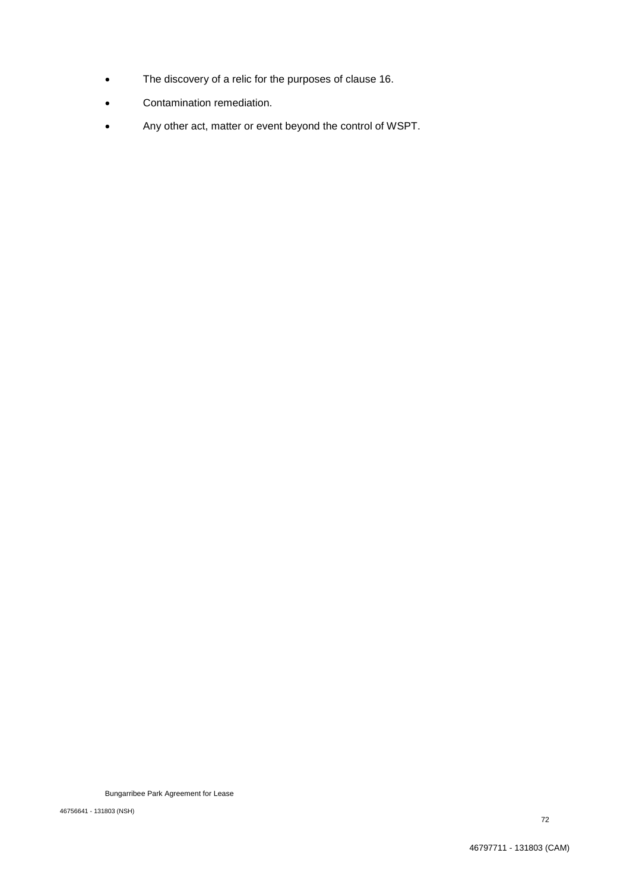- The discovery of a relic for the purposes of clause 16.
- Contamination remediation.
- Any other act, matter or event beyond the control of WSPT.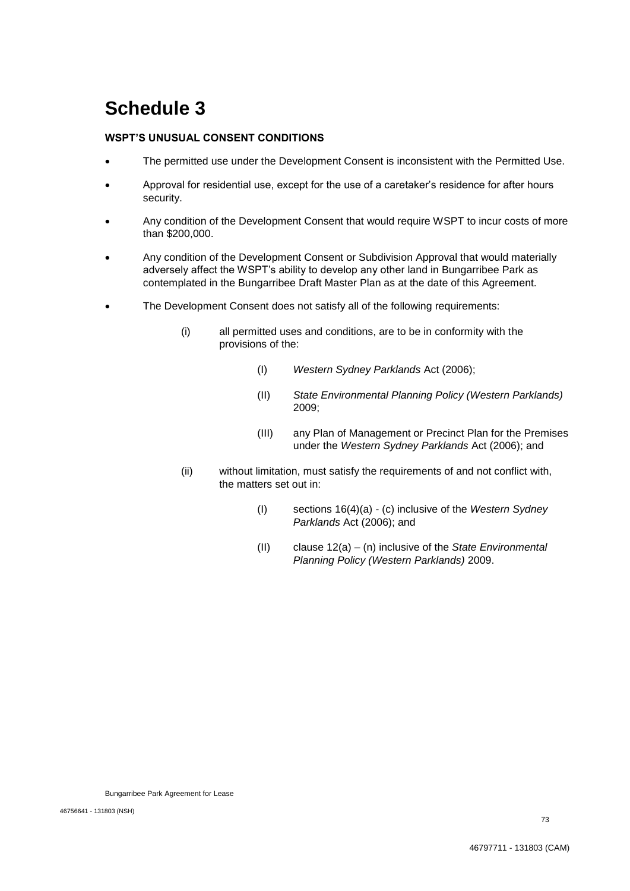#### **WSPT'S UNUSUAL CONSENT CONDITIONS**

- The permitted use under the Development Consent is inconsistent with the Permitted Use.
- Approval for residential use, except for the use of a caretaker's residence for after hours security.
- Any condition of the Development Consent that would require WSPT to incur costs of more than \$200,000.
- Any condition of the Development Consent or Subdivision Approval that would materially adversely affect the WSPT's ability to develop any other land in Bungarribee Park as contemplated in the Bungarribee Draft Master Plan as at the date of this Agreement.
- The Development Consent does not satisfy all of the following requirements:
	- (i) all permitted uses and conditions, are to be in conformity with the provisions of the:
		- (I) *Western Sydney Parklands* Act (2006);
		- (II) *State Environmental Planning Policy (Western Parklands)*  2009;
		- (III) any Plan of Management or Precinct Plan for the Premises under the *Western Sydney Parklands* Act (2006); and
	- (ii) without limitation, must satisfy the requirements of and not conflict with, the matters set out in:
		- (I) sections 16(4)(a) (c) inclusive of the *Western Sydney Parklands* Act (2006); and
		- (II) clause 12(a) (n) inclusive of the *State Environmental Planning Policy (Western Parklands)* 2009.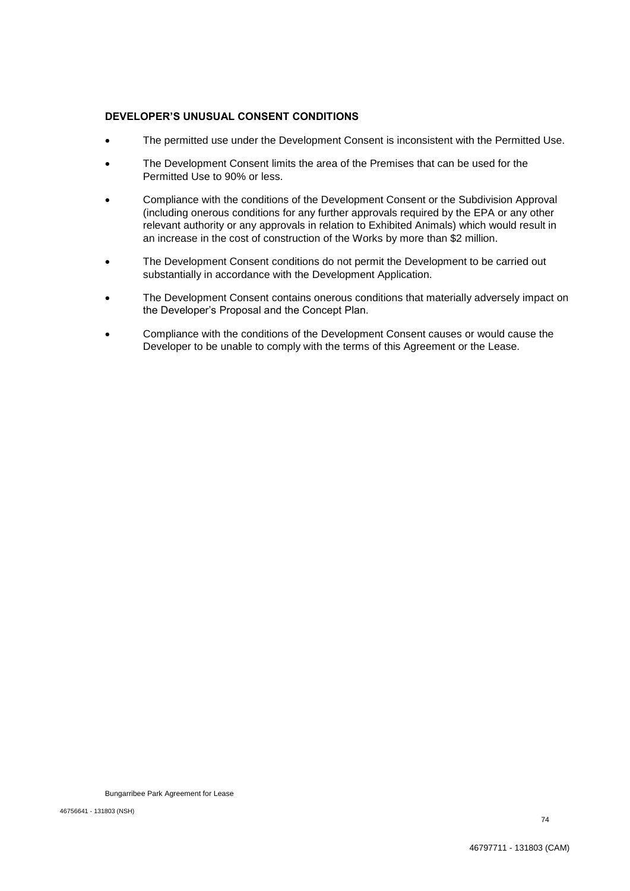#### **DEVELOPER'S UNUSUAL CONSENT CONDITIONS**

- The permitted use under the Development Consent is inconsistent with the Permitted Use.
- The Development Consent limits the area of the Premises that can be used for the Permitted Use to 90% or less.
- Compliance with the conditions of the Development Consent or the Subdivision Approval (including onerous conditions for any further approvals required by the EPA or any other relevant authority or any approvals in relation to Exhibited Animals) which would result in an increase in the cost of construction of the Works by more than \$2 million.
- The Development Consent conditions do not permit the Development to be carried out substantially in accordance with the Development Application.
- The Development Consent contains onerous conditions that materially adversely impact on the Developer's Proposal and the Concept Plan.
- Compliance with the conditions of the Development Consent causes or would cause the Developer to be unable to comply with the terms of this Agreement or the Lease.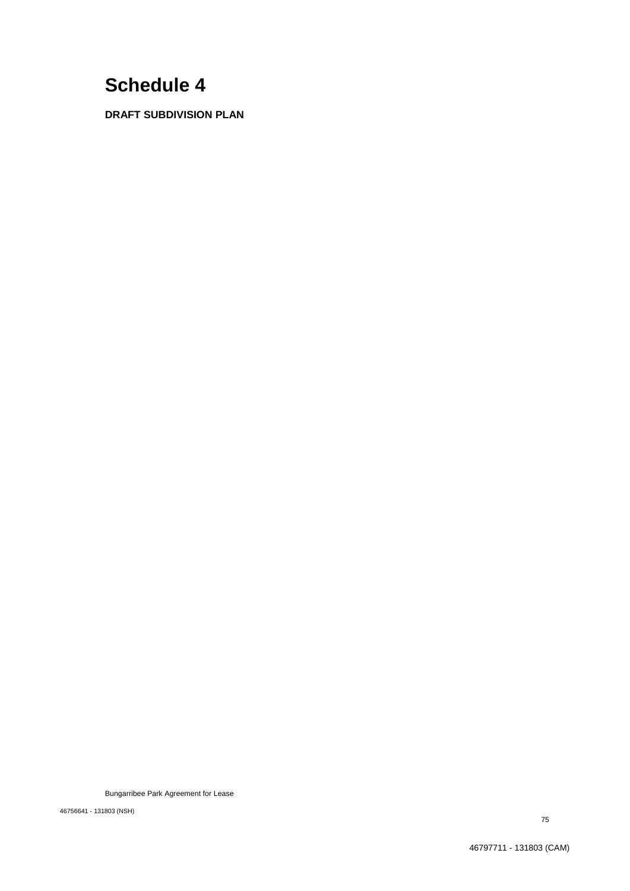**DRAFT SUBDIVISION PLAN**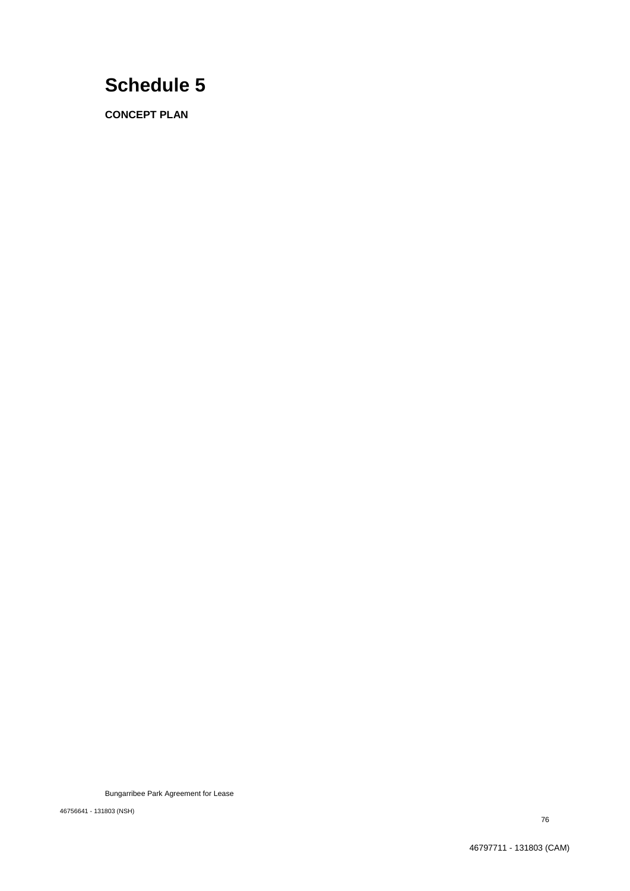**CONCEPT PLAN**

Bungarribee Park Agreement for Lease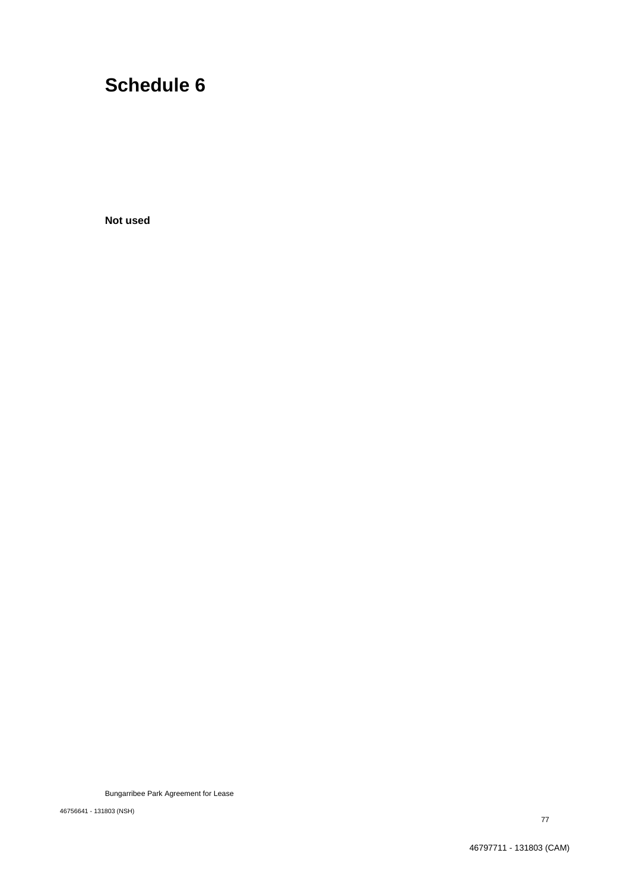**Not used**

Bungarribee Park Agreement for Lease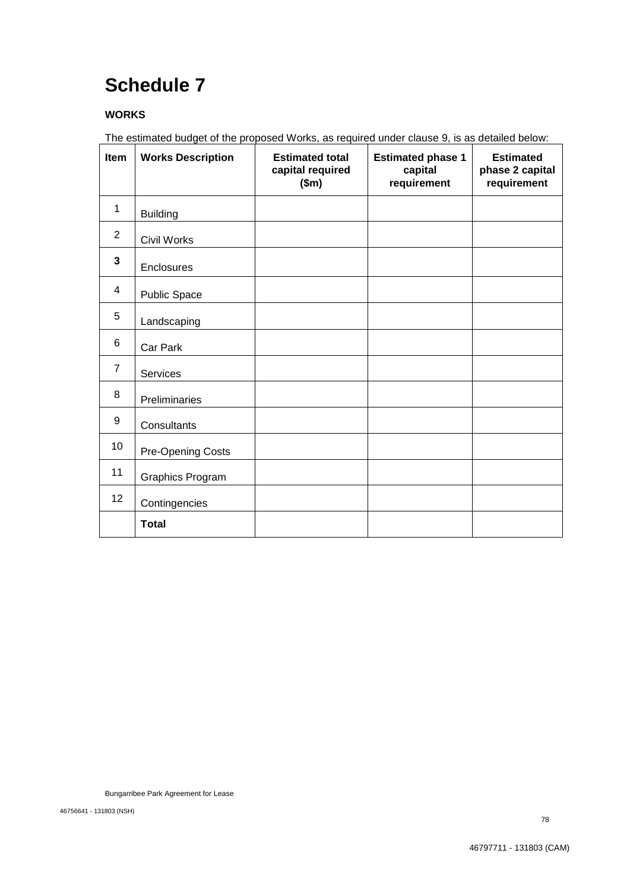### **WORKS**

The estimated budget of the proposed Works, as required under clause 9, is as detailed below:

| Item           | <b>Works Description</b> | <b>Estimated total</b><br>capital required<br>\$m\$ | <b>Estimated phase 1</b><br>capital<br>requirement | <b>Estimated</b><br>phase 2 capital<br>requirement |
|----------------|--------------------------|-----------------------------------------------------|----------------------------------------------------|----------------------------------------------------|
| $\mathbf{1}$   | <b>Building</b>          |                                                     |                                                    |                                                    |
| 2              | <b>Civil Works</b>       |                                                     |                                                    |                                                    |
| 3              | Enclosures               |                                                     |                                                    |                                                    |
| 4              | Public Space             |                                                     |                                                    |                                                    |
| 5              | Landscaping              |                                                     |                                                    |                                                    |
| 6              | Car Park                 |                                                     |                                                    |                                                    |
| $\overline{7}$ | Services                 |                                                     |                                                    |                                                    |
| 8              | Preliminaries            |                                                     |                                                    |                                                    |
| 9              | Consultants              |                                                     |                                                    |                                                    |
| 10             | Pre-Opening Costs        |                                                     |                                                    |                                                    |
| 11             | Graphics Program         |                                                     |                                                    |                                                    |
| 12             | Contingencies            |                                                     |                                                    |                                                    |
|                | <b>Total</b>             |                                                     |                                                    |                                                    |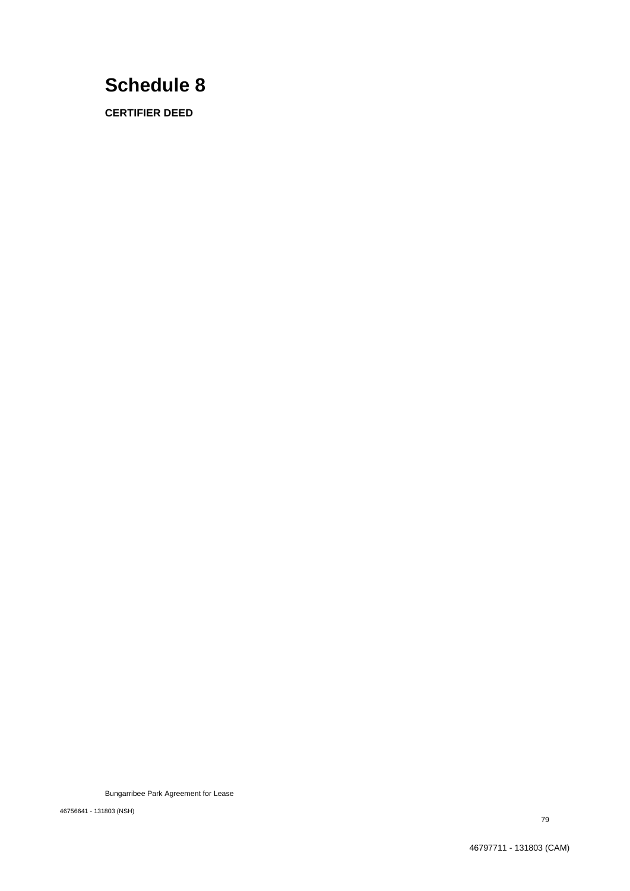**CERTIFIER DEED**

Bungarribee Park Agreement for Lease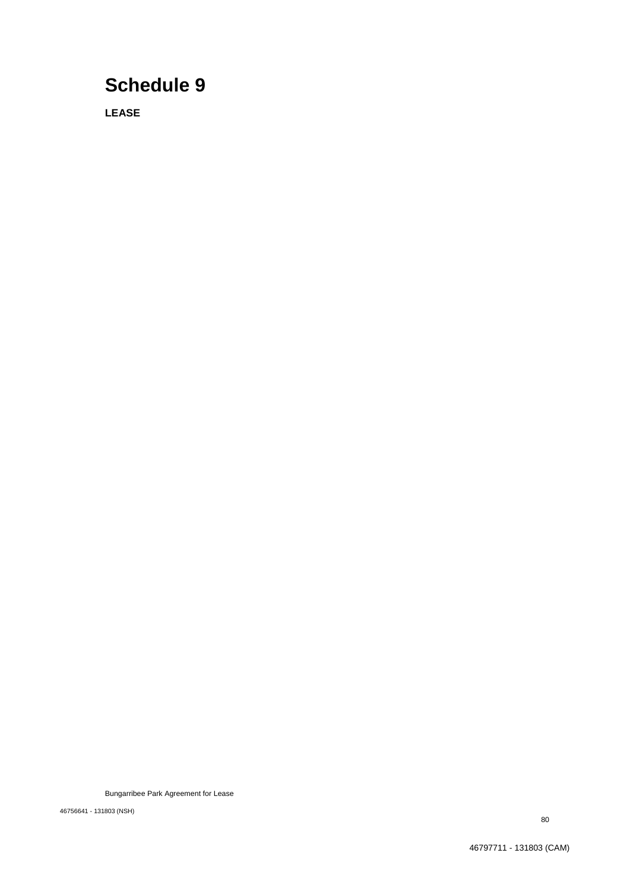**LEASE**

Bungarribee Park Agreement for Lease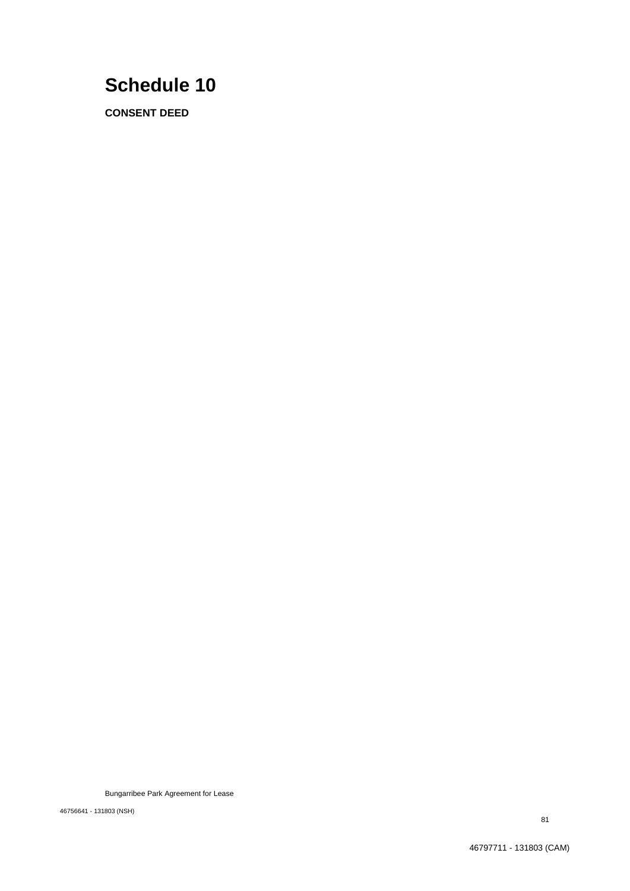**CONSENT DEED**

Bungarribee Park Agreement for Lease